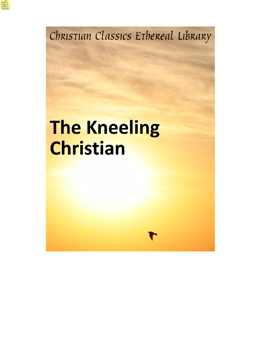Christian Classics Ethereal Library

# **The Kneeling Christian**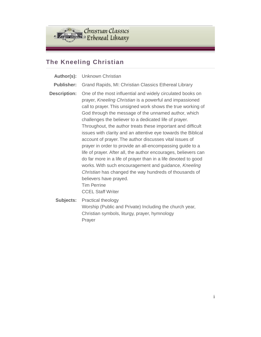

## **The Kneeling Christian**

**Author(s):** Unknown Christian **Publisher:** Grand Rapids, MI: Christian Classics Ethereal Library **Description:** One of the most influential and widely circulated books on prayer, *Kneeling Christian* is a powerful and impassioned call to prayer. This unsigned work shows the true working of God through the message of the unnamed author, which challenges the believer to a dedicated life of prayer. Throughout, the author treats these important and difficult issues with clarity and an attentive eye towards the Biblical account of prayer. The author discusses vital issues of prayer in order to provide an all-encompassing guide to a life of prayer. After all, the author encourages, believers can do far more in a life of prayer than in a life devoted to good works. With such encouragement and guidance, *Kneeling Christian* has changed the way hundreds of thousands of believers have prayed. Tim Perrine CCEL Staff Writer **Subjects:** Practical theology Worship (Public and Private) Including the church year, Christian symbols, liturgy, prayer, hymnology

Prayer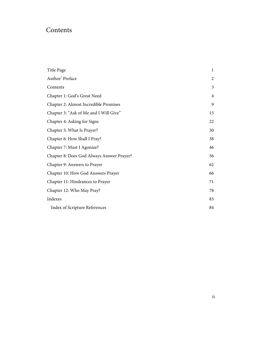## Contents

| Title Page                                | 1              |
|-------------------------------------------|----------------|
| Author' Preface                           | $\overline{2}$ |
| Contents                                  | 3              |
| Chapter 1: God's Great Need               | 4              |
| Chapter 2: Almost Incredible Promises     | 9              |
| Chapter 3: "Ask of Me and I Will Give"    | 15             |
| Chapter 4: Asking for Signs               | 22             |
| Chapter 5: What Is Prayer?                | 30             |
| Chapter 6: How Shall I Pray?              | 38             |
| Chapter 7: Must I Agonize?                | 46             |
| Chapter 8: Does God Always Answer Prayer? | 56             |
| Chapter 9: Answers to Prayer              | 62             |
| Chapter 10: How God Answers Prayer        | 66             |
| Chapter 11: Hindrances to Prayer          | 71             |
| Chapter 12: Who May Pray?                 | 78             |
| Indexes                                   | 83             |
| <b>Index of Scripture References</b>      | 84             |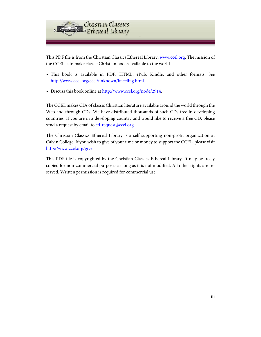

This PDF file is from the Christian Classics Ethereal Library, [www.ccel.org.](http://www.ccel.org) The mission of the CCEL is to make classic Christian books available to the world.

- This book is available in PDF, HTML, ePub, Kindle, and other formats. See [http://www.ccel.org/ccel/unknown/kneeling.html.](http://www.ccel.org/ccel/unknown/kneeling.html)
- Discuss this book online at [http://www.ccel.org/node/2914.](http://www.ccel.org/node/2914)

The CCEL makes CDs of classic Christian literature available around the world through the Web and through CDs. We have distributed thousands of such CDs free in developing countries. If you are in a developing country and would like to receive a free CD, please send a request by email to [cd-request@ccel.org.](mailto:cd-request@ccel.org)

The Christian Classics Ethereal Library is a self supporting non-profit organization at Calvin College. If you wish to give of your time or money to support the CCEL, please visit [http://www.ccel.org/give.](http://www.ccel.org/give)

This PDF file is copyrighted by the Christian Classics Ethereal Library. It may be freely copied for non-commercial purposes as long as it is not modified. All other rights are reserved. Written permission is required for commercial use.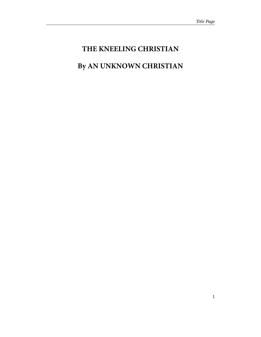## <span id="page-4-0"></span>**THE KNEELING CHRISTIAN**

# **By AN UNKNOWN CHRISTIAN**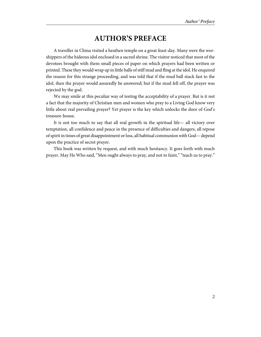## **AUTHOR'S PREFACE**

<span id="page-5-0"></span>A traveller in China visited a heathen temple on a great feast-day. Many were the worshippers of the hideous idol enclosed in a sacred shrine. The visitor noticed that most of the devotees brought with them small pieces of paper on which prayers had been written or printed. These they would wrap up in little balls of stiff mud and fling at the idol. He enquired the reason for this strange proceeding, and was told that if the mud ball stuck fast to the idol, then the prayer would assuredly be answered; but if the mud fell off, the prayer was rejected by the god.

We may smile at this peculiar way of testing the acceptability of a prayer. But is it not a fact that the majority of Christian men and women who pray to a Living God know very little about real prevailing prayer? Yet prayer is the key which unlocks the door of God's treasure-house.

It is not too much to say that all real growth in the spiritual life— all victory over temptation, all confidence and peace in the presence of difficulties and dangers, all repose of spirit in times of great disappointment or loss, all habitual communion with God— depend upon the practice of secret prayer.

This book was written by request, and with much hesitancy. It goes forth with much prayer. May He Who said, "Men ought always to pray, and not to faint," "teach us to pray."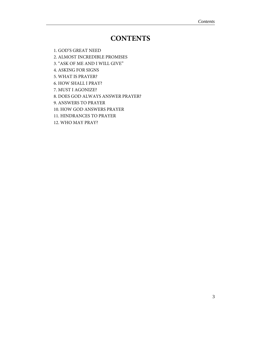## **CONTENTS**

<span id="page-6-0"></span>1. GOD'S GREAT NEED 2. ALMOST INCREDIBLE PROMISES 3. "ASK OF ME AND I WILL GIVE" 4. ASKING FOR SIGNS 5. WHAT IS PRAYER? 6. HOW SHALL I PRAY? 7. MUST I AGONIZE? 8. DOES GOD ALWAYS ANSWER PRAYER? 9. ANSWERS TO PRAYER 10. HOW GOD ANSWERS PRAYER 11. HINDRANCES TO PRAYER 12. WHO MAY PRAY?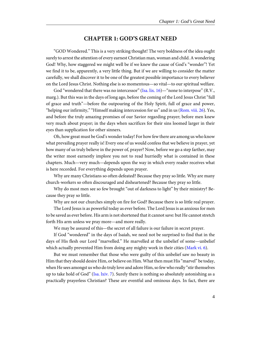#### **CHAPTER 1: GOD'S GREAT NEED**

<span id="page-7-0"></span>"GOD Wondered." This is a very striking thought! The very boldness of the idea ought surely to arrest the attention of every earnest Christian man, woman and child. A wondering God! Why, how staggered we might well be if we knew the cause of God's "wonder"! Yet we find it to be, apparently, a very little thing. But if we are willing to consider the matter carefully, we shall discover it to be one of the greatest possible importance to every believer on the Lord Jesus Christ. Nothing else is so momentous—so vital—to our spiritual welfare.

God "wondered that there was no intercessor" (Isa.  $\text{lix}$ . 16)— "none to interpose" (R.V., marg.). But this was in the days of long ago, before the coming of the Lord Jesus Christ "full of grace and truth"—before the outpouring of the Holy Spirit, full of grace and power, "helping our infirmity," "Himself making intercession for us" and in us [\(Rom. viii. 26\)](http://www.ccel.org/study/Bible:Rom.8.26). Yes, and before the truly amazing promises of our Savior regarding prayer; before men knew very much about prayer; in the days when sacrifices for their sins loomed larger in their eyes than supplication for other sinners.

Oh, how great must be God's wonder today! For how few there are among us who know what prevailing prayer really is! Every one of us would confess that we believe in prayer, yet how many of us truly believe in the power of, prayer? Now, before we go a step farther, may the writer most earnestly implore you not to read hurriedly what is contained in these chapters. Much—very much—depends upon the way in which every reader receives what is here recorded. For everything depends upon prayer.

Why are many Christians so often defeated? Because they pray so little. Why are many church-workers so often discouraged and disheartened? Because they pray so little.

Why do most men see so few brought "out of darkness to light" by their ministry? Because they pray so little.

Why are not our churches simply on fire for God? Because there is so little real prayer.

The Lord Jesus is as powerful today as ever before. The Lord Jesus is as anxious for men to be saved as ever before. His arm is not shortened that it cannot save: but He cannot stretch forth His arm unless we pray more—and more really.

We may be assured of this—the secret of all failure is our failure in secret prayer.

If God "wondered" in the days of Isaiah, we need not be surprised to find that in the days of His flesh our Lord "marvelled." He marvelled at the unbelief of some—unbelief which actually prevented Him from doing any mighty work in their cities [\(Mark vi. 6](http://www.ccel.org/study/Bible:Mark.6.6)).

But we must remember that those who were guilty of this unbelief saw no beauty in Him that they should desire Him, or believe on Him. What then must His "marvel" be today, when He sees amongst us who do truly love and adore Him, so few who really "stir themselves up to take hold of God" (Isa.  $lxiv. 7$ ). Surely there is nothing so absolutely astonishing as a practically prayerless Christian? These are eventful and ominous days. In fact, there are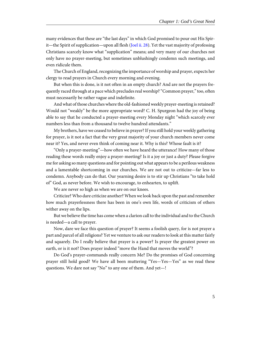many evidences that these are "the last days" in which God promised to pour out His Spirit—the Spirit of supplication—upon all flesh ([Joel ii. 28\)](http://www.ccel.org/study/Bible:Joel.2.28). Yet the vast majority of professing Christians scarcely know what "supplication" means; and very many of our churches not only have no prayer-meeting, but sometimes unblushingly condemn such meetings, and even ridicule them.

The Church of England, recognizing the importance of worship and prayer, expects her clergy to read prayers in Church every morning and evening.

But when this is done, is it not often in an empty church? And are not the prayers frequently raced through at a pace which precludes real worship? "Common prayer," too, often must necessarily be rather vague and indefinite.

And what of those churches where the old-fashioned weekly prayer-meeting is retained? Would not "weakly" be the more appropriate word? C. H. Spurgeon had the joy of being able to say that he conducted a prayer-meeting every Monday night "which scarcely ever numbers less than from a thousand to twelve hundred attendants."

My brothers, have we ceased to believe in prayer? If you still hold your weekly gathering for prayer, is it not a fact that the very great majority of your church members never come near it? Yes, and never even think of coming near it. Why is this? Whose fault is it?

"Only a prayer-meeting"—how often we have heard the utterance! How many of those reading these words really enjoy a prayer-meeting? Is it a joy or just a duty? Please forgive me for asking so many questions and for pointing out what appears to be a perilous weakness and a lamentable shortcoming in our churches. We are not out to criticize—far less to condemn. Anybody can do that. Our yearning desire is to stir up Christians "to take hold of" God, as never before. We wish to encourage, to enhearten, to uplift.

We are never so high as when we are on our knees.

Criticize? Who dare criticize another? When we look back upon the past and remember how much prayerlessness there has been in one's own life, words of criticism of others wither away on the lips.

But we believe the time has come when a clarion call to the individual and to the Church is needed—a call to prayer.

Now, dare we face this question of prayer? It seems a foolish query, for is not prayer a part and parcel of all religions? Yet we venture to ask our readers to look at this matter fairly and squarely. Do I really believe that prayer is a power? Is prayer the greatest power on earth, or is it not? Does prayer indeed "move the Hand that moves the world"?

Do God's prayer-commands really concern Me? Do the promises of God concerning prayer still hold good? We have all been muttering "Yes—Yes—Yes" as we read these questions. We dare not say "No" to any one of them. And yet—!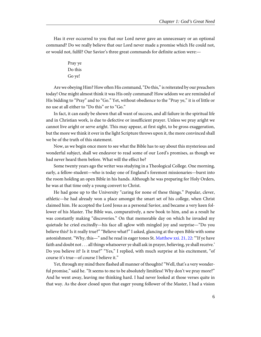Has it ever occurred to you that our Lord never gave an unnecessary or an optional command? Do we really believe that our Lord never made a promise which He could not, or would not, fulfil? Our Savior's three great commands for definite action were:—

> Pray ye Do this Go ye!

Are we obeying Him? How often His command, "Do this," is reiterated by our preachers today! One might almost think it was His only command! How seldom we are reminded of His bidding to "Pray" and to "Go." Yet, without obedience to the "Pray ye," it is of little or no use at all either to "Do this" or to "Go."

In fact, it can easily be shown that all want of success, and all failure in the spiritual life and in Christian work, is due to defective or insufficient prayer. Unless we pray aright we cannot live aright or serve aright. This may appear, at first sight, to be gross exaggeration, but the more we think it over in the light Scripture throws upon it, the more convinced shall we be of the truth of this statement.

Now, as we begin once more to see what the Bible has to say about this mysterious and wonderful subject, shall we endeavor to read some of our Lord's promises, as though we had never heard them before. What will the effect be?

Some twenty years ago the writer was studying in a Theological College. One morning, early, a fellow-student—who is today one of England's foremost missionaries—burst into the room holding an open Bible in his hands. Although he was preparing for Holy Orders, he was at that time only a young convert to Christ.

He had gone up to the University "caring for none of these things." Popular, clever, athletic—he had already won a place amongst the smart set of his college, when Christ claimed him. He accepted the Lord Jesus as a personal Savior, and became a very keen follower of his Master. The Bible was, comparatively, a new book to him, and as a result he was constantly making "discoveries." On that memorable day on which he invaded my quietude he cried excitedly—his face all aglow with mingled joy and surprise—"Do you believe this? Is it really true?" "Believe what?" I asked, glancing at the open Bible with some astonishment. "Why, this—" and he read in eager tones St. [Matthew xxi. 21, 22:](http://www.ccel.org/study/Bible:Matt.21.21-Matt.21.22) "'If ye have faith and doubt not . . . all things whatsoever ye shall ask in prayer, believing, ye shall receive.' Do you believe it? Is it true?" "Yes," I replied, with much surprise at his excitement, "of course it's true—of course I believe it."

Yet, through my mind there flashed all manner of thoughts! "Well, that's a very wonderful promise," said he. "It seems to me to be absolutely limitless! Why don't we pray more?" And he went away, leaving me thinking hard. I had never looked at those verses quite in that way. As the door closed upon that eager young follower of the Master, I had a vision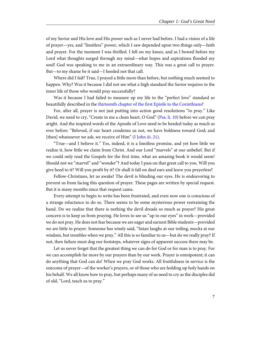of my Savior and His love and His power such as I never had before. I had a vision of a life of prayer—yes, and "limitless" power, which I saw depended upon two things only—faith and prayer. For the moment I was thrilled. I fell on my knees, and as I bowed before my Lord what thoughts surged through my mind—what hopes and aspirations flooded my soul! God was speaking to me in an extraordinary way. This was a great call to prayer. But—to my shame be it said—I heeded not that call.

Where did I fail? True, I prayed a little more than before, but nothing much seemed to happen. Why? Was it because I did not see what a high standard the Savior requires in the inner life of those who would pray successfully?

Was it because I had failed to measure up my life to the "perfect love" standard so beautifully described in the [thirteenth chapter of the first Epistle to the Corinthians?](http://www.ccel.org/study/Bible:1Cor.13)

For, after all, prayer is not just putting into action good resolutions "to pray." Like David, we need to cry, "Create in me a clean heart, O God" [\(Psa. li. 10\)](http://www.ccel.org/study/Bible:Ps.51.10) before we can pray aright. And the inspired words of the Apostle of Love need to be heeded today as much as ever before: "Beloved, if our heart condemn us not, we have boldness toward God; and [then] whatsoever we ask, we receive of Him" ([I John iii. 21](http://www.ccel.org/study/Bible:1John.3.21)).

"True—and I believe it." Yes, indeed, it is a limitless promise, and yet how little we realize it, how little we claim from Christ. And our Lord "marvels" at our unbelief. But if we could only read the Gospels for the first time, what an amazing book it would seem! Should not we "marvel" and "wonder"? And today I pass on that great call to you. Will you give heed to it? Will you profit by it? Or shall it fall on deaf ears and leave you prayerless?

Fellow-Christians, let us awake! The devil is blinding our eyes. He is endeavoring to prevent us from facing this question of prayer. These pages are written by special request. But it is many months since that request came.

Every attempt to begin to write has been frustrated, and even now one is conscious of a strange reluctance to do so. There seems to be some mysterious power restraining the hand. Do we realize that there is nothing the devil dreads so much as prayer? His great concern is to keep us from praying. He loves to see us "up to our eyes" in work—provided we do not pray. He does not fear because we are eager and earnest Bible students—provided we are little in prayer. Someone has wisely said, "Satan laughs at our toiling, mocks at our wisdom, but trembles when we pray." All this is so familiar to us—but do we really pray? If not, then failure must dog our footsteps, whatever signs of apparent success there may be.

Let us never forget that the greatest thing we can do for God or for man is to pray. For we can accomplish far more by our prayers than by our work. Prayer is omnipotent; it can do anything that God can do! When we pray God works. All fruitfulness in service is the outcome of prayer—of the worker's prayers, or of those who are holding up holy hands on his behalf. We all know how to pray, but perhaps many of us need to cry as the disciples did of old, "Lord, teach us to pray."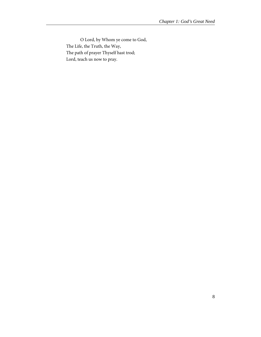O Lord, by Whom ye come to God, The Life, the Truth, the Way, The path of prayer Thyself hast trod; Lord, teach us now to pray.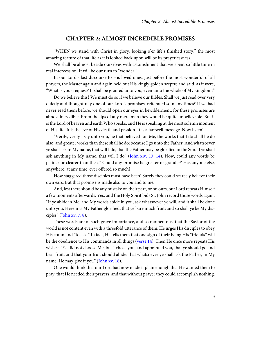#### **CHAPTER 2: ALMOST INCREDIBLE PROMISES**

<span id="page-12-0"></span>"WHEN we stand with Christ in glory, looking o'er life's finished story," the most amazing feature of that life as it is looked back upon will be its prayerlessness.

We shall be almost beside ourselves with astonishment that we spent so little time in real intercession. It will be our turn to "wonder."

In our Lord's last discourse to His loved ones, just before the most wonderful of all prayers, the Master again and again held out His kingly golden sceptre and said, as it were, "What is your request? It shall be granted unto you, even unto the whole of My kingdom!"

Do we believe this? We must do so if we believe our Bibles. Shall we just read over very quietly and thoughtfully one of our Lord's promises, reiterated so many times? If we had never read them before, we should open our eyes in bewilderment, for these promises are almost incredible. From the lips of any mere man they would be quite unbelievable. But it is the Lord of heaven and earth Who speaks; and He is speaking at the most solemn moment of His life. It is the eve of His death and passion. It is a farewell message. Now listen!

"Verily, verily I say unto you, he that believeth on Me, the works that I do shall he do also; and greater works than these shall he do: because I go unto the Father. And whatsoever ye shall ask in My name, that will I do, that the Father may be glorified in the Son. If ye shall ask anything in My name, that will I do" [\(John xiv. 13, 14](http://www.ccel.org/study/Bible:John.14.13-John.14.14)). Now, could any words be plainer or clearer than these? Could any promise be greater or grander? Has anyone else, anywhere, at any time, ever offered so much?

How staggered those disciples must have been! Surely they could scarcely believe their own ears. But that promise is made also to you and to me.

And, lest there should be any mistake on their part, or on ours, our Lord repeats Himself a few moments afterwards. Yes, and the Holy Spirit bids St. John record those words again. "If ye abide in Me, and My words abide in you, ask whatsoever ye will, and it shall be done unto you. Herein is My Father glorified, that ye bare much fruit; and so shall ye be My disciples" ([John xv. 7, 8](http://www.ccel.org/study/Bible:John.15.7-John.15.8)).

These words are of such grave importance, and so momentous, that the Savior of the world is not content even with a threefold utterance of them. He urges His disciples to obey His command "to ask." In fact, He tells them that one sign of their being His "friends" will be the obedience to His commands in all things [\(verse 14](http://www.ccel.org/study/Bible:John.15.14)). Then He once more repeats His wishes: "Ye did not choose Me, but I chose you, and appointed you, that ye should go and bear fruit, and that your fruit should abide: that whatsoever ye shall ask the Father, in My name, He may give it you" ([John xv. 16](http://www.ccel.org/study/Bible:John.15.16)).

One would think that our Lord had now made it plain enough that He wanted them to pray; that He needed their prayers, and that without prayer they could accomplish nothing.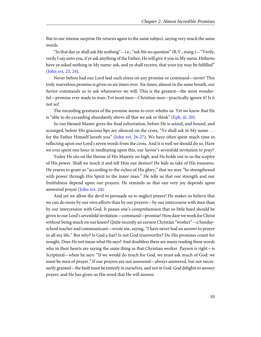But to our intense surprise He returns again to the same subject, saying very much the same words.

"In that day ye shall ask Me nothing"—i.e., "ask Me no question"  $(R.V., marg.)$ — "Verily, verily I say unto you, if ye ask anything of the Father, He will give it you in My name. Hitherto have ye asked nothing in My name: ask, and ye shall receive, that your joy may be fulfilled" ([John xvi. 23, 24\)](http://www.ccel.org/study/Bible:John.16.23-John.16.24).

Never before had our Lord laid such stress on any promise or command—never! This truly marvelous promise is given us six times over. Six times, almost in the same breath, our Savior commands us to ask whatsoever we will. This is the greatest—the most wonderful—promise ever made to man. Yet most men—Christian men—practically ignore it! Is it not so?

The exceeding greatness of the promise seems to over-whelm us. Yet we know that He is "able to do exceeding abundantly above all that we ask or think" ([Eph. iii. 20\)](http://www.ccel.org/study/Bible:Eph.3.20).

So our blessed Master gives the final exhortation, before He is seized, and bound, and scourged, before His gracious lips are silenced on the cross, "Ye shall ask in My name . . . for the Father Himself loveth you" ([John xvi. 26-27](http://www.ccel.org/study/Bible:John.16.26-John.16.27)). We have often spent much time in reflecting upon our Lord's seven words from the cross. And it is well we should do so. Have we ever spent one hour in meditating upon this, our Savior's sevenfold invitation to pray?

Today He sits on the throne of His Majesty on high, and He holds out to us the sceptre of His power. Shall we touch it and tell Him our desires? He bids us take of His treasures. He yearns to grant us "according to the riches of His glory," that we may "be strengthened with power through His Spirit in the inner man." He tells us that our strength and our fruitfulness depend upon our prayers. He reminds us that our very joy depends upon answered prayer ([John xvi. 24](http://www.ccel.org/study/Bible:John.16.24)).

And yet we allow the devil to persuade us to neglect prayer! He makes us believe that we can do more by our own efforts than by our prayers—by our intercourse with men than by our intercession with God. It passes one's comprehension that so little heed should be given to our Lord's sevenfold invitation—command—promise! How dare we work for Christ without being much on our knees? Quite recently an earnest Christian "worker"—a Sundayschool teacher and communicant—wrote me, saying, "I have never had an answer to prayer in all my life." But why? Is God a liar? Is not God trustworthy? Do His promises count for nought. Does He not mean what He says? And doubtless there are many reading these words who in their hearts are saying the same thing as that Christian worker. Payson is right—is Scriptural—when he says: "If we would do much for God, we must ask much of God: we must be men of prayer." If our prayers are not answered—always answered, but not necessarily granted—the fault must be entirely in ourselves, and not in God. God delights to answer prayer; and He has given us His word that He will answer.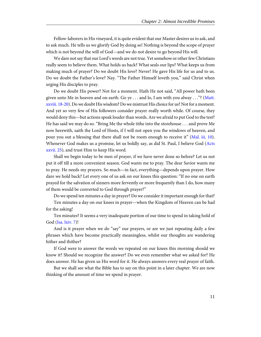Fellow-laborers in His vineyard, it is quite evident that our Master desires us to ask, and to ask much. He tells us we glorify God by doing so! Nothing is beyond the scope of prayer which is not beyond the will of God—and we do not desire to go beyond His will.

We dare not say that our Lord's words are not true. Yet somehow or other few Christians really seem to believe them. What holds us back? What seals our lips? What keeps us from making much of prayer? Do we doubt His love? Never! He gave His life for us and to us. Do we doubt the Father's love? Nay. "The Father Himself loveth you," said Christ when urging His disciples to pray.

Do we doubt His power? Not for a moment. Hath He not said, "All power hath been given unto Me in heaven and on earth. Go ye . . . and lo, I am with you alway . . ."? [\(Matt.](http://www.ccel.org/study/Bible:Matt.28.18-Matt.28.20) [xxviii. 18-20](http://www.ccel.org/study/Bible:Matt.28.18-Matt.28.20)). Do we doubt His wisdom? Do we mistrust His choice for us? Not for a moment. And yet so very few of His followers consider prayer really worth while. Of course, they would deny this—but actions speak louder than words. Are we afraid to put God to the test? He has said we may do so. "Bring Me the whole tithe into the storehouse . . . and prove Me now herewith, saith the Lord of Hosts, if I will not open you the windows of heaven, and pour you out a blessing that there shall not be room enough to receive it" [\(Mal. iii. 10\)](http://www.ccel.org/study/Bible:Mal.3.10). Whenever God makes us a promise, let us boldly say, as did St. Paul, I believe God [\(Acts](http://www.ccel.org/study/Bible:Acts.27.25) [xxvii. 25\)](http://www.ccel.org/study/Bible:Acts.27.25), and trust Him to keep His word.

Shall we begin today to be men of prayer, if we have never done so before? Let us not put it off till a more convenient season. God wants me to pray. The dear Savior wants me to pray. He needs my prayers. So much—in fact, everything—depends upon prayer. How dare we hold back? Let every one of us ask on our knees this question: "If no one on earth prayed for the salvation of sinners more fervently or more frequently than I do, how many of them would be converted to God through prayer?"

Do we spend ten minutes a day in prayer? Do we consider it important enough for that?

Ten minutes a day on our knees in prayer—when the Kingdom of Heaven can be had for the asking!

Ten minutes? It seems a very inadequate portion of our time to spend in taking hold of God ([Isa. lxiv. 7\)](http://www.ccel.org/study/Bible:Isa.64.7)!

And is it prayer when we do "say" our prayers, or are we just repeating daily a few phrases which have become practically meaningless, whilst our thoughts are wandering hither and thither?

If God were to answer the words we repeated on our knees this morning should we know it? Should we recognize the answer? Do we even remember what we asked for? He does answer. He has given us His word for it. He always answers every real prayer of faith.

But we shall see what the Bible has to say on this point in a later chapter. We are now thinking of the amount of time we spend in prayer.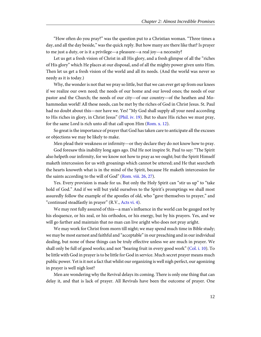"How often do you pray?" was the question put to a Christian woman. "Three times a day, and all the day beside," was the quick reply. But how many are there like that? Is prayer to me just a duty, or is it a privilege—a pleasure—a real joy—a necessity?

Let us get a fresh vision of Christ in all His glory, and a fresh glimpse of all the "riches of His glory" which He places at our disposal, and of all the mighty power given unto Him. Then let us get a fresh vision of the world and all its needs. (And the world was never so needy as it is today.)

Why, the wonder is not that we pray so little, but that we can ever get up from our knees if we realize our own need; the needs of our home and our loved ones; the needs of our pastor and the Church; the needs of our city—of our country—of the heathen and Mohammedan world! All these needs, can be met by the riches of God in Christ Jesus. St. Paul had no doubt about this—nor have we. Yes! "My God shall supply all your need according to His riches in glory, in Christ Jesus" [\(Phil. iv. 19\)](http://www.ccel.org/study/Bible:Phil.4.19). But to share His riches we must pray, for the same Lord is rich unto all that call upon Him [\(Rom. x. 12\)](http://www.ccel.org/study/Bible:Rom.10.12).

So great is the importance of prayer that God has taken care to anticipate all the excuses or objections we may be likely to make.

Men plead their weakness or infirmity—or they declare they do not know how to pray.

God foresaw this inability long ages ago. Did He not inspire St. Paul to say: "The Spirit also helpeth our infirmity, for we know not how to pray as we ought; but the Spirit Himself maketh intercession for us with groanings which cannot be uttered; and He that searcheth the hearts knoweth what is in the mind of the Spirit, because He maketh intercession for the saints according to the will of God" [\(Rom. viii. 26, 27\)](http://www.ccel.org/study/Bible:Rom.8.26-Rom.8.27).

Yes. Every provision is made for us. But only the Holy Spirit can "stir us up" to "take hold of God." And if we will but yield ourselves to the Spirit's promptings we shall most assuredly follow the example of the apostles of old, who "gave themselves to prayer," and "continued steadfastly in prayer" (R.V., [Acts vi. 4](http://www.ccel.org/study/Bible:Acts.6.4)).

We may rest fully assured of this—a man's influence in the world can be gauged not by his eloquence, or his zeal, or his orthodox, or his energy, but by his prayers. Yes, and we will go farther and maintain that no man can live aright who does not pray aright.

We may work for Christ from morn till night; we may spend much time in Bible study; we may be most earnest and faithful and "acceptable" in our preaching and in our individual dealing, but none of these things can be truly effective unless we are much in prayer. We shall only be full of good works; and not "bearing fruit in every good work" ([Col. i. 10\)](http://www.ccel.org/study/Bible:Col.1.10). To be little with God in prayer is to be little for God in service. Much secret prayer means much public power. Yet is it not a fact that whilst our organizing is well nigh perfect, our agonizing in prayer is well nigh lost?

Men are wondering why the Revival delays its coming. There is only one thing that can delay it, and that is lack of prayer. All Revivals have been the outcome of prayer. One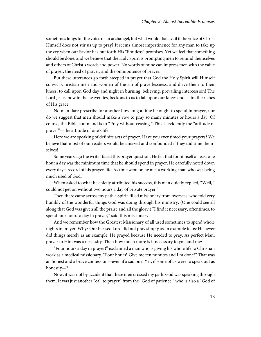sometimes longs for the voice of an archangel, but what would that avail if the voice of Christ Himself does not stir us up to pray? It seems almost impertinence for any man to take up the cry when our Savior has put forth His "limitless" promises. Yet we feel that something should be done, and we believe that the Holy Spirit is prompting men to remind themselves and others of Christ's words and power. No words of mine can impress men with the value of prayer, the need of prayer, and the omnipotence of prayer.

But these utterances go forth steeped in prayer that God the Holy Spirit will Himself convict Christian men and women of the sin of prayerlessness, and drive them to their knees, to call upon God day and night in burning, believing, prevailing intercession! The Lord Jesus, now in the heavenlies, beckons to us to fall upon our knees and claim the riches of His grace.

No man dare prescribe for another how long a time he ought to spend in prayer, nor do we suggest that men should make a vow to pray so many minutes or hours a day. Of course, the Bible command is to "Pray without ceasing." This is evidently the "attitude of prayer"—the attitude of one's life.

Here we are speaking of definite acts of prayer. Have you ever timed your prayers? We believe that most of our readers would be amazed and confounded if they did time themselves!

Some years ago the writer faced this prayer question. He felt that for himself at least one hour a day was the minimum time that he should spend in prayer. He carefully noted down every day a record of his prayer-life. As time went on he met a working-man who was being much used of God.

When asked to what he chiefly attributed his success, this man quietly replied, "Well, I could not get on without two hours a day of private prayer."

Then there came across my path a Spirit-filled missionary from overseas, who told very humbly of the wonderful things God was doing through his ministry. (One could see all along that God was given all the praise and all the glory.) "I find it necessary, oftentimes, to spend four hours a day in prayer," said this missionary.

And we remember how the Greatest Missionary of all used sometimes to spend whole nights in prayer. Why? Our blessed Lord did not pray simply as an example to us: He never did things merely as an example. He prayed because He needed to pray. As perfect Man, prayer to Him was a necessity. Then how much more is it necessary to you and me?

"Four hours a day in prayer!" exclaimed a man who is giving his whole life to Christian work as a medical missionary. "Four hours? Give me ten minutes and I'm done!" That was an honest and a brave confession—even if a sad one. Yet, if some of us were to speak out as honestly—?

Now, it was not by accident that these men crossed my path. God was speaking through them. It was just another "call to prayer" from the "God of patience," who is also a "God of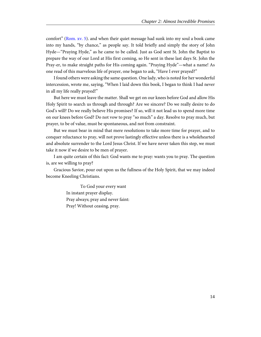comfort" ([Rom. xv. 5](http://www.ccel.org/study/Bible:Rom.15.5)). and when their quiet message had sunk into my soul a book came into my hands, "by chance," as people say. It told briefly and simply the story of John Hyde—"Praying Hyde," as he came to be called. Just as God sent St. John the Baptist to prepare the way of our Lord at His first coming, so He sent in these last days St. John the Pray-er, to make straight paths for His coming again. "Praying Hyde"—what a name! As one read of this marvelous life of prayer, one began to ask, "Have I ever prayed?"

I found others were asking the same question. One lady, who is noted for her wonderful intercession, wrote me, saying, "When I laid down this book, I began to think I had never in all my life really prayed!"

But here we must leave the matter. Shall we get on our knees before God and allow His Holy Spirit to search us through and through? Are we sincere? Do we really desire to do God's will? Do we really believe His promises? If so, will it not lead us to spend more time on our knees before God? Do not vow to pray "so much" a day. Resolve to pray much, but prayer, to be of value, must be spontaneous, and not from constraint.

But we must bear in mind that mere resolutions to take more time for prayer, and to conquer reluctance to pray, will not prove lastingly effective unless there is a wholehearted and absolute surrender to the Lord Jesus Christ. If we have never taken this step, we must take it now if we desire to be men of prayer.

I am quite certain of this fact: God wants me to pray: wants you to pray. The question is, are we willing to pray?

Gracious Savior, pour out upon us the fullness of the Holy Spirit, that we may indeed become Kneeling Christians.

> To God your every want In instant prayer display. Pray always; pray and never faint: Pray! Without ceasing, pray.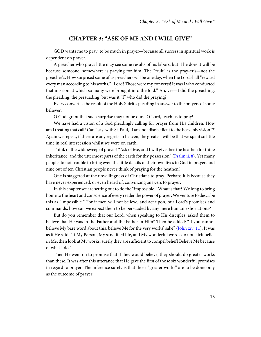### **CHAPTER 3: "ASK OF ME AND I WILL GIVE"**

<span id="page-18-0"></span>GOD wants me to pray, to be much in prayer—because all success in spiritual work is dependent on prayer.

A preacher who prays little may see some results of his labors, but if he does it will be because someone, somewhere is praying for him. The "fruit" is the pray-er's—not the preacher's. How surprised some of us preachers will be one day, when the Lord shall "reward every man according to his works." "Lord! Those were my converts! It was I who conducted that mission at which so many were brought into the fold." Ah, yes—I did the preaching, the pleading, the persuading; but was it "I" who did the praying?

Every convert is the result of the Holy Spirit's pleading in answer to the prayers of some believer.

O God, grant that such surprise may not be ours. O Lord, teach us to pray!

We have had a vision of a God pleadingly calling for prayer from His children. How am I treating that call? Can I say, with St. Paul, "I am 'not disobedient to the heavenly vision'"? Again we repeat, if there are any regrets in heaven, the greatest will be that we spent so little time in real intercession whilst we were on earth.

Think of the wide sweep of prayer! "Ask of Me, and I will give thee the heathen for thine inheritance, and the uttermost parts of the earth for thy possession" [\(Psalm ii. 8](http://www.ccel.org/study/Bible:Ps.2.8)). Yet many people do not trouble to bring even the little details of their own lives to God in prayer, and nine out of ten Christian people never think of praying for the heathen!

One is staggered at the unwillingness of Christians to pray. Perhaps it is because they have never experienced, or even heard of, convincing answers to prayer.

In this chapter we are setting out to do the "impossible." What is that? We long to bring home to the heart and conscience of every reader the power of prayer. We venture to describe this as "impossible." For if men will not believe, and act upon, our Lord's promises and commands, how can we expect them to be persuaded by any mere human exhortations?

But do you remember that our Lord, when speaking to His disciples, asked them to believe that He was in the Father and the Father in Him? Then he added: "If you cannot believe My bare word about this, believe Me for the very works' sake" [\(John xiv. 11](http://www.ccel.org/study/Bible:John.14.11)). It was as if He said, "If My Person, My sanctified life, and My wonderful words do not elicit belief in Me, then look at My works: surely they are sufficient to compel belief? Believe Me because of what I do."

Then He went on to promise that if they would believe, they should do greater works than these. It was after this utterance that He gave the first of those six wonderful promises in regard to prayer. The inference surely is that those "greater works" are to be done only as the outcome of prayer.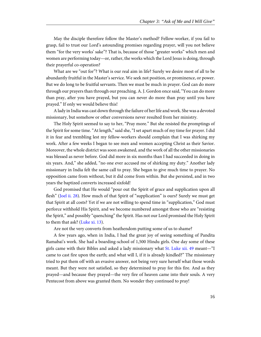May the disciple therefore follow the Master's method? Fellow-worker, if you fail to grasp, fail to trust our Lord's astounding promises regarding prayer, will you not believe them "for the very works' sake"? That is, because of those "greater works" which men and women are performing today—or, rather, the works which the Lord Jesus is doing, through their prayerful co-operation?

What are we "out for"? What is our real aim in life? Surely we desire most of all to be abundantly fruitful in the Master's service. We seek not position, or prominence, or power. But we do long to be fruitful servants. Then we must be much in prayer. God can do more through our prayers than through our preaching. A. J. Gordon once said, "You can do more than pray, after you have prayed, but you can never do more than pray until you have prayed." If only we would believe this!

A lady in India was cast down through the failure of her life and work. She was a devoted missionary, but somehow or other conversions never resulted from her ministry.

The Holy Spirit seemed to say to her, "Pray more." But she resisted the promptings of the Spirit for some time. "At length," said she, "I set apart much of my time for prayer. I did it in fear and trembling lest my fellow-workers should complain that I was shirking my work. After a few weeks I began to see men and women accepting Christ as their Savior. Moreover, the whole district was soon awakened, and the work of all the other missionaries was blessed as never before. God did more in six months than I had succeeded in doing in six years. And," she added, "no one ever accused me of shirking my duty." Another lady missionary in India felt the same call to pray. She began to give much time to prayer. No opposition came from without, but it did come from within. But she persisted, and in two years the baptized converts increased sixfold!

God promised that He would "pour out the Spirit of grace and supplication upon all flesh" ([Joel ii. 28\)](http://www.ccel.org/study/Bible:Joel.2.28). How much of that Spirit of "supplication" is ours? Surely we must get that Spirit at all costs? Yet if we are not willing to spend time in "supplication," God must perforce withhold His Spirit, and we become numbered amongst those who are "resisting the Spirit," and possibly "quenching" the Spirit. Has not our Lord promised the Holy Spirit to them that ask? ([Luke xi. 13\)](http://www.ccel.org/study/Bible:Luke.11.13).

Are not the very converts from heathendom putting some of us to shame?

A few years ago, when in India, I had the great joy of seeing something of Pandita Ramabai's work. She had a boarding-school of 1,500 Hindu girls. One day some of these girls came with their Bibles and asked a lady missionary what [St. Luke xii. 49](http://www.ccel.org/study/Bible:Luke.12.49) meant—"I came to cast fire upon the earth; and what will I, if it is already kindled?" The missionary tried to put them off with an evasive answer, not being very sure herself what those words meant. But they were not satisfied, so they determined to pray for this fire. And as they prayed—and because they prayed—the very fire of heaven came into their souls. A very Pentecost from above was granted them. No wonder they continued to pray!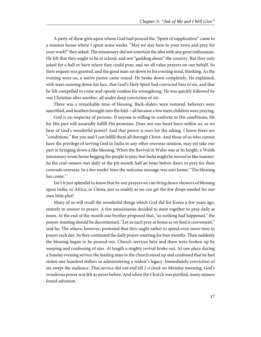A party of these girls upon whom God had poured the "Spirit of supplication" came to a mission house where I spent some weeks. "May we stay here in your town and pray for your work?" they asked. The missionary did not entertain the idea with any great enthusiasm. He felt that they ought to be at school, and not "gadding about" the country. But they only asked for a hall or barn where they could pray; and we all value prayers on our behalf. So their request was granted, and the good man sat down to his evening meal, thinking. As the evening wore on, a native pastor came round. He broke down completely. He explained, with tears running down his face, that God's Holy Spirit had convicted him of sin, and that he felt compelled to come and openly confess his wrongdoing. He was quickly followed by one Christian after another, all under deep conviction of sin.

There was a remarkable time of blessing. Back-sliders were restored, believers were sanctified, and heathen brought into the fold—all because a few mere children were praying.

God is no respecter of persons. If anyone is willing to conform to His conditions, He for His part will assuredly fulfill His promises. Does not our heart burn within us, as we hear of God's wonderful power? And that power is ours for the asking. I know there are "conditions." But you and I can fulfill them all through Christ. And those of us who cannot have the privilege of serving God in India or any other overseas mission, may yet take our part in bringing down a like blessing. When the Revival in Wales was at its height, a Welsh missionary wrote home begging the people to pray that India might be moved in like manner. So the coal-miners met daily at the pit-mouth half an hour before dawn to pray for their comrade overseas. In a few weeks' time the welcome message was sent home: "The blessing has come."

Isn't it just splendid to know that by our prayers we can bring down showers of blessing upon India, or Africa, or China, just as readily as we can get the few drops needed for our own little plot?

Many of us will recall the wonderful things which God did for Korea a few years ago, entirely in answer to prayer. A few missionaries decided to meet together to pray daily at noon. At the end of the month one brother proposed that, "as nothing had happened," the prayer-meeting should be discontinued. "Let us each pray at home as we find it convenient," said he. The others, however, protested that they ought rather to spend even more time in prayer each day. So they continued the daily prayer-meeting for four months. Then suddenly the blessing began to be poured out. Church services here and there were broken up by weeping and confessing of sins. At length a mighty revival broke out. At one place during a Sunday evening service the leading man in the church stood up and confessed that he had stolen one hundred dollars in administering a widow's legacy. Immediately conviction of sin swept the audience. That service did not end till 2 o'clock on Monday morning. God's wondrous power was felt as never before. And when the Church was purified, many sinners found salvation.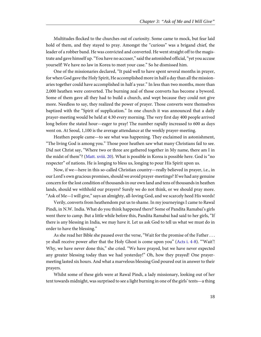Multitudes flocked to the churches out of curiosity. Some came to mock, but fear laid hold of them, and they stayed to pray. Amongst the "curious" was a brigand chief, the leader of a robber band. He was convicted and converted. He went straight off to the magistrate and gave himself up. "You have no accuser," said the astonished official, "yet you accuse yourself! We have no law in Korea to meet your case." So he dismissed him.

One of the missionaries declared, "It paid well to have spent several months in prayer, for when God gave the Holy Spirit, He accomplished more in half a day than all the missionaries together could have accomplished in half a year." In less than two months, more than 2,000 heathen were converted. The burning zeal of those converts has become a byword. Some of them gave all they had to build a church, and wept because they could not give more. Needless to say, they realized the power of prayer. Those converts were themselves baptized with the "Spirit of supplication." In one church it was announced that a daily prayer-meeting would be held at 4:30 every morning. The very first day 400 people arrived long before the stated hour—eager to pray! The number rapidly increased to 600 as days went on. At Seoul, 1,100 is the average attendance at the weekly prayer-meeting.

Heathen people came—to see what was happening. They exclaimed in astonishment, "The living God is among you." Those poor heathen saw what many Christians fail to see. Did not Christ say, "Where two or three are gathered together in My name, there am I in the midst of them"? ([Matt. xviii. 20\)](http://www.ccel.org/study/Bible:Matt.18.20). What is possible in Korea is possible here. God is "no respecter" of nations. He is longing to bless us, longing to pour His Spirit upon us.

Now, if we—here in this so-called Christian country—really believed in prayer, i.e., in our Lord's own gracious promises, should we avoid prayer-meetings? If we had any genuine concern for the lost condition of thousands in our own land and tens of thousands in heathen lands, should we withhold our prayers? Surely we do not think, or we should pray more. "Ask of Me—I will give," says an almighty, all-loving God, and we scarcely heed His words!

Verily, converts from heathendom put us to shame. In my journeyings I came to Rawal Pindi, in N.W. India. What do you think happened there? Some of Pandita Ramabai's girls went there to camp. But a little while before this, Pandita Ramabai had said to her girls, "If there is any blessing in India, we may have it. Let us ask God to tell us what we must do in order to have the blessing."

As she read her Bible she paused over the verse, "Wait for the promise of the Father . . . ye shall receive power after that the Holy Ghost is come upon you" ([Acts i. 4-8](http://www.ccel.org/study/Bible:Acts.1.4-Acts.1.8)). "'Wait'! Why, we have never done this," she cried. "We have prayed, but we have never expected any greater blessing today than we had yesterday!" Oh, how they prayed! One prayermeeting lasted six hours. And what a marvelous blessing God poured out in answer to their prayers.

Whilst some of these girls were at Rawal Pindi, a lady missionary, looking out of her tent towards midnight, was surprised to see a light burning in one of the girls' tents—a thing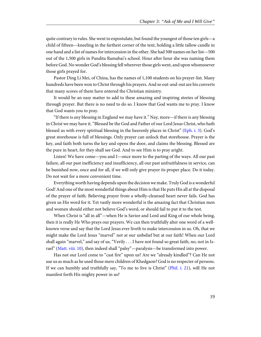quite contrary to rules. She went to expostulate, but found the youngest of those ten girls—a child of fifteen—kneeling in the farthest corner of the tent, holding a little tallow candle in one hand and a list of names for intercession in the other. She had 500 names on her list—500 out of the 1,500 girls in Pandita Ramabai's school. Hour after hour she was naming them before God. No wonder God's blessing fell wherever those girls went, and upon whomsoever those girls prayed for.

Pastor Ding Li Mei, of China, has the names of 1,100 students on his prayer-list. Many hundreds have been won to Christ through his prayers. And so out-and-out are his converts that many scores of them have entered the Christian ministry.

It would be an easy matter to add to these amazing and inspiring stories of blessing through prayer. But there is no need to do so. I know that God wants me to pray. I know that God wants you to pray.

"If there is any blessing in England we may have it." Nay, more—if there is any blessing in Christ we may have it. "Blessed be the God and Father of our Lord Jesus Christ, who hath blessed us with every spiritual blessing in the heavenly places in Christ" [\(Eph. i. 3](http://www.ccel.org/study/Bible:Eph.1.3)). God's great storehouse is full of blessings. Only prayer can unlock that storehouse. Prayer is the key, and faith both turns the key and opens the door, and claims the blessing. Blessed are the pure in heart, for they shall see God. And to see Him is to pray aright.

Listen! We have come—you and I—once more to the parting of the ways. All our past failure, all our past inefficiency and insufficiency, all our past unfruitfulness in service, can be banished now, once and for all, if we will only give prayer its proper place. Do it today. Do not wait for a more convenient time.

Everything worth having depends upon the decision we make. Truly God is a wonderful God! And one of the most wonderful things about Him is that He puts His all at the disposal of the prayer of faith. Believing prayer from a wholly-cleansed heart never fails. God has given us His word for it. Yet vastly more wonderful is the amazing fact that Christian men and women should either not believe God's word, or should fail to put it to the test.

When Christ is "all in all"—when He is Savior and Lord and King of our whole being, then it is really He Who prays our prayers. We can then truthfully alter one word of a wellknown verse and say that the Lord Jesus ever liveth to make intercession in us. Oh, that we might make the Lord Jesus "marvel" not at our unbelief but at our faith! When our Lord shall again "marvel," and say of us, "Verily . . . I have not found so great faith, no, not in Israel" [\(Matt. viii. 10\)](http://www.ccel.org/study/Bible:Matt.8.10), then indeed shall "palsy"—paralysis—be transformed into power.

Has not our Lord come to "cast fire" upon us? Are we "already kindled"? Can He not use us as much as he used those mere children of Khedgaon? God is no respecter of persons. If we can humbly and truthfully say, "To me to live is Christ" [\(Phil. i. 21](http://www.ccel.org/study/Bible:Phil.1.21)), will He not manifest forth His mighty power in us?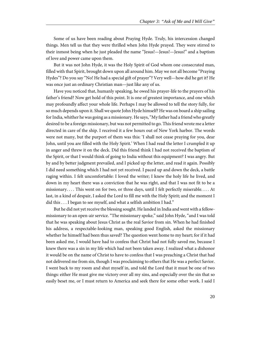Some of us have been reading about Praying Hyde. Truly, his intercession changed things. Men tell us that they were thrilled when John Hyde prayed. They were stirred to their inmost being when he just pleaded the name "Jesus!—Jesus!—Jesus!" and a baptism of love and power came upon them.

But it was not John Hyde, it was the Holy Spirit of God whom one consecrated man, filled with that Spirit, brought down upon all around him. May we not all become "Praying Hydes"? Do you say "No! He had a special gift of prayer"? Very well—how did he get it? He was once just an ordinary Christian man—just like any of us.

Have you noticed that, humanly speaking, he owed his prayer-life to the prayers of his father's friend? Now get hold of this point. It is one of greatest importance, and one which may profoundly affect your whole life. Perhaps I may be allowed to tell the story fully, for so much depends upon it. Shall we quote John Hyde himself? He was on board a ship sailing for India, whither he was going as a missionary. He says, "My father had a friend who greatly desired to be a foreign missionary, but was not permitted to go. This friend wrote me a letter directed in care of the ship. I received it a few hours out of New York harbor. The words were not many, but the purport of them was this: 'I shall not cease praying for you, dear John, until you are filled with the Holy Spirit.' When I had read the letter I crumpled it up in anger and threw it on the deck. Did this friend think I had not received the baptism of the Spirit, or that I would think of going to India without this equipment? I was angry. But by and by better judgment prevailed, and I picked up the letter, and read it again. Possibly I did need something which I had not yet received. I paced up and down the deck, a battle raging within. I felt uncomfortable: I loved the writer; I knew the holy life he lived, and down in my heart there was a conviction that he was right, and that I was not fit to be a missionary. . . . This went on for two, or three days, until I felt perfectly miserable. . . . At last, in a kind of despair, I asked the Lord to fill me with the Holy Spirit; and the moment I did this . . . I began to see myself, and what a selfish ambition I had."

But he did not yet receive the blessing sought. He landed in India and went with a fellowmissionary to an open-air service. "The missionary spoke," said John Hyde, "and I was told that he was speaking about Jesus Christ as the real Savior from sin. When he had finished his address, a respectable-looking man, speaking good English, asked the missionary whether he himself had been thus saved? The question went home to my heart; for if it had been asked me, I would have had to confess that Christ had not fully saved me, because I knew there was a sin in my life which had not been taken away. I realized what a dishonor it would be on the name of Christ to have to confess that I was preaching a Christ that had not delivered me from sin, though I was proclaiming to others that He was a perfect Savior. I went back to my room and shut myself in, and told the Lord that it must be one of two things: either He must give me victory over all my sins, and especially over the sin that so easily beset me, or I must return to America and seek there for some other work. I said I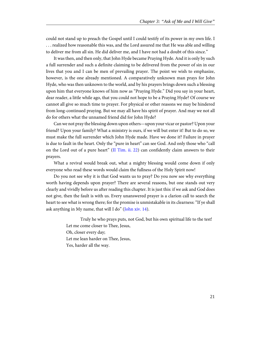could not stand up to preach the Gospel until I could testify of its power in my own life. I . . . realized how reasonable this was, and the Lord assured me that He was able and willing to deliver me from all sin. He did deliver me, and I have not had a doubt of this since."

It was then, and then only, that John Hyde became Praying Hyde. And it is only by such a full surrender and such a definite claiming to be delivered from the power of sin in our lives that you and I can be men of prevailing prayer. The point we wish to emphasize, however, is the one already mentioned. A comparatively unknown man prays for John Hyde, who was then unknown to the world, and by his prayers brings down such a blessing upon him that everyone knows of him now as "Praying Hyde." Did you say in your heart, dear reader, a little while ago, that you could not hope to be a Praying Hyde? Of course we cannot all give so much time to prayer. For physical or other reasons we may be hindered from long-continued praying. But we may all have his spirit of prayer. And may we not all do for others what the unnamed friend did for John Hyde?

Can we not pray the blessing down upon others—upon your vicar or pastor? Upon your friend? Upon your family? What a ministry is ours, if we will but enter it! But to do so, we must make the full surrender which John Hyde made. Have we done it? Failure in prayer is due to fault in the heart. Only the "pure in heart" can see God. And only those who "call on the Lord out of a pure heart" [\(II Tim. ii. 22](http://www.ccel.org/study/Bible:2Tim.2.22)) can confidently claim answers to their prayers.

What a revival would break out, what a mighty blessing would come down if only everyone who read these words would claim the fullness of the Holy Spirit now!

Do you not see why it is that God wants us to pray? Do you now see why everything worth having depends upon prayer? There are several reasons, but one stands out very clearly and vividly before us after reading this chapter. It is just this: if we ask and God does not give, then the fault is with us. Every unanswered prayer is a clarion call to search the heart to see what is wrong there; for the promise is unmistakable in its clearness: "If ye shall ask anything in My name, that will I do" ([John xiv. 14](http://www.ccel.org/study/Bible:John.14.14)).

> Truly he who prays puts, not God, but his own spiritual life to the test! Let me come closer to Thee, Jesus, Oh, closer every day; Let me lean harder on Thee, Jesus, Yes, harder all the way.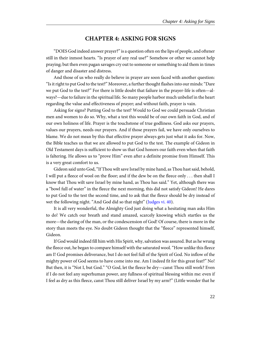#### **CHAPTER 4: ASKING FOR SIGNS**

<span id="page-25-0"></span>"DOES God indeed answer prayer?" is a question often on the lips of people, and oftener still in their inmost hearts. "Is prayer of any real use?" Somehow or other we cannot help praying; but then even pagan savages cry out to someone or something to aid them in times of danger and disaster and distress.

And those of us who really do believe in prayer are soon faced with another question: "Is it right to put God to the test?" Moreover, a further thought flashes into our minds: "Dare we put God to the test?" For there is little doubt that failure in the prayer-life is often—always?—due to failure in the spiritual life. So many people harbor much unbelief in the heart regarding the value and effectiveness of prayer; and without faith, prayer is vain.

Asking for signs? Putting God to the test? Would to God we could persuade Christian men and women to do so. Why, what a test this would be of our own faith in God, and of our own holiness of life. Prayer is the touchstone of true godliness. God asks our prayers, values our prayers, needs our prayers. And if those prayers fail, we have only ourselves to blame. We do not mean by this that effective prayer always gets just what it asks for. Now, the Bible teaches us that we are allowed to put God to the test. The example of Gideon in Old Testament days is sufficient to show us that God honors our faith even when that faith is faltering. He allows us to "prove Him" even after a definite promise from Himself. This is a very great comfort to us.

Gideon said unto God, "If Thou wilt save Israel by mine hand, as Thou hast said, behold, I will put a fleece of wool on the floor; and if the dew be on the fleece only . . . then shall I know that Thou wilt save Israel by mine hand, as Thou has said." Yet, although there was a "bowl full of water" in the fleece the next morning, this did not satisfy Gideon! He dares to put God to the test the second time, and to ask that the fleece should be dry instead of wet the following night. "And God did so that night" [\(Judges vi. 40\)](http://www.ccel.org/study/Bible:Judg.6.40).

It is all very wonderful, the Almighty God just doing what a hesitating man asks Him to do! We catch our breath and stand amazed, scarcely knowing which startles us the more—the daring of the man, or the condescension of God! Of course, there is more in the story than meets the eye. No doubt Gideon thought that the "fleece" represented himself, Gideon.

If God would indeed fill him with His Spirit, why, salvation was assured. But as he wrung the fleece out, he began to compare himself with the saturated wool. "How unlike this fleece am I! God promises deliverance, but I do not feel full of the Spirit of God. No inflow of the mighty power of God seems to have come into me. Am I indeed fit for this great feat?" No! But then, it is "Not I, but God." "O God, let the fleece be dry—canst Thou still work? Even if I do not feel any superhuman power, any fullness of spiritual blessing within me: even if I feel as dry as this fleece, canst Thou still deliver Israel by my arm?" (Little wonder that he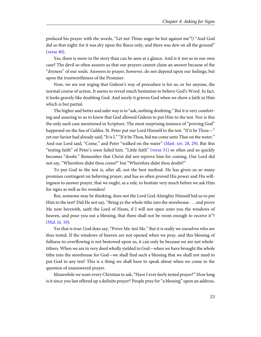prefaced his prayer with the words, "Let not Thine anger be hot against me"!) "And God did so that night: for it was dry upon the fleece only, and there was dew on all the ground" ([verse 40](http://www.ccel.org/study/Bible:Judg.6.40)).

Yes, there is more in the story than can be seen at a glance. And is it not so in our own case? The devil so often assures us that our prayers cannot claim an answer because of the "dryness" of our souls. Answers to prayer, however, do not depend upon our feelings, but upon the trustworthiness of the Promiser.

Now, we are not urging that Gideon's way of procedure is for us, or for anyone, the normal course of action. It seems to reveal much hesitation to believe God's Word. In fact, it looks gravely like doubting God. And surely it grieves God when we show a faith in Him which is but partial.

The higher and better and safer way is to "ask, nothing doubting." But it is very comforting and assuring to us to know that God allowed Gideon to put Him to the test. Nor is this the only such case mentioned in Scripture. The most surprising instance of "proving God" happened on the Sea of Galilee. St. Peter put our Lord Himself to the test. "If it be Thou-" yet our Savior had already said, "It is I." "If it be Thou, bid me come unto Thee on the water." And our Lord said, "Come," and Peter "walked on the water" ([Matt. xiv. 28, 29\)](http://www.ccel.org/study/Bible:Matt.14.28-Matt.14.29). But this "testing-faith" of Peter's soon failed him. "Little faith" [\(verse 31\)](http://www.ccel.org/study/Bible:Matt.14.31) so often and so quickly becomes "doubt." Remember that Christ did not reprove him for coming. Our Lord did not say, "Wherefore didst thou come?" but "Wherefore didst thou doubt?"

To put God to the test is, after all, not the best method. He has given us so many promises contingent on believing prayer, and has so often proved His power and His willingness to answer prayer, that we ought, as a rule, to hesitate very much before we ask Him for signs as well as for wonders!

But, someone may be thinking, does not the Lord God Almighty Himself bid us to put Him to the test? Did He not say, "Bring ye the whole tithe into the storehouse . . . and prove Me now herewith, saith the Lord of Hosts, if I will not open unto you the windows of heaven, and pour you out a blessing, that there shall not be room enough to receive it"? ([Mal. iii. 10\)](http://www.ccel.org/study/Bible:Mal.3.10).

Yes that is true: God does say, "Prove Me: test Me." But it is really we ourselves who are thus tested. If the windows of heaven are not opened when we pray, and this blessing of fullness-to-overflowing is not bestowed upon us, it can only be because we are not wholetithers. When we are in very deed wholly yielded to God—when we have brought the whole tithe into the storehouse for God—we shall find such a blessing that we shall not need to put God to any test! This is a thing we shall have to speak about when we come to the question of unanswered prayer.

Meanwhile we want every Christian to ask, "Have I ever fairly tested prayer?" How long is it since you last offered up a definite prayer? People pray for "a blessing" upon an address,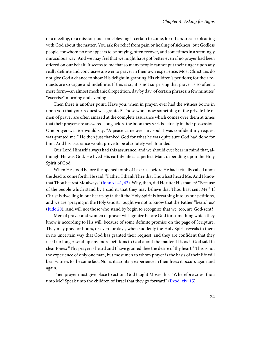or a meeting, or a mission; and some blessing is certain to come, for others are also pleading with God about the matter. You ask for relief from pain or healing of sickness: but Godless people, for whom no one appears to be praying, often recover, and sometimes in a seemingly miraculous way. And we may feel that we might have got better even if no prayer had been offered on our behalf. It seems to me that so many people cannot put their finger upon any really definite and conclusive answer to prayer in their own experience. Most Christians do not give God a chance to show His delight in granting His children's petitions; for their requests are so vague and indefinite. If this is so, it is not surprising that prayer is so often a mere form—an almost mechanical repetition, day by day, of certain phrases; a few minutes' "exercise" morning and evening.

Then there is another point. Have you, when in prayer, ever had the witness borne in upon you that your request was granted? Those who know something of the private life of men of prayer are often amazed at the complete assurance which comes over them at times that their prayers are answered, long before the boon they seek is actually in their possession. One prayer-warrior would say, "A peace came over my soul. I was confident my request was granted me." He then just thanked God for what he was quite sure God had done for him. And his assurance would prove to be absolutely well founded.

Our Lord Himself always had this assurance, and we should ever bear in mind that, although He was God, He lived His earthly life as a perfect Man, depending upon the Holy Spirit of God.

When He stood before the opened tomb of Lazarus, before He had actually called upon the dead to come forth, He said, "Father, I thank Thee that Thou hast heard Me. And I know that Thou hearest Me always" ([John xi. 41, 42\)](http://www.ccel.org/study/Bible:John.11.41-John.11.42). Why, then, did He utter His thanks? "Because of the people which stand by I said it, that they may believe that Thou hast sent Me." If Christ is dwelling in our hearts by faith: if the Holy Spirit is breathing into us our petitions, and we are "praying in the Holy Ghost," ought we not to know that the Father "hears" us? ([Jude 20\)](http://www.ccel.org/study/Bible:Jude.1.20). And will not those who stand by begin to recognize that we, too, are God-sent?

Men of prayer and women of prayer will agonize before God for something which they know is according to His will, because of some definite promise on the page of Scripture. They may pray for hours, or even for days, when suddenly the Holy Spirit reveals to them in no uncertain way that God has granted their request; and they are confident that they need no longer send up any more petitions to God about the matter. It is as if God said in clear tones: "Thy prayer is heard and I have granted thee the desire of thy heart." This is not the experience of only one man, but most men to whom prayer is the basis of their life will bear witness to the same fact. Nor is it a solitary experience in their lives: it occurs again and again.

Then prayer must give place to action. God taught Moses this: "Wherefore criest thou unto Me? Speak unto the children of Israel that they go forward" [\(Exod. xiv. 15](http://www.ccel.org/study/Bible:Exod.14.15)).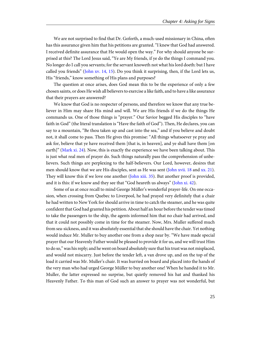We are not surprised to find that Dr. Goforth, a much-used missionary in China, often has this assurance given him that his petitions are granted. "I knew that God had answered. I received definite assurance that He would open the way." For why should anyone be surprised at this? The Lord Jesus said, "Ye are My friends, if ye do the things I command you. No longer do I call you servants; for the servant knoweth not what his lord doeth: but I have called you friends" [\(John xv. 14, 15](http://www.ccel.org/study/Bible:John.15.14-John.15.15)). Do you think it surprising, then, if the Lord lets us, His "friends," know something of His plans and purposes?

The question at once arises, does God mean this to be the experience of only a few chosen saints, or does He wish all believers to exercise a like faith, and to have a like assurance that their prayers are answered?

We know that God is no respecter of persons, and therefore we know that any true believer in Him may share His mind and will. We are His friends if we do the things He commands us. One of those things is "prayer." Our Savior begged His disciples to "have faith in God" (the literal translation is "Have the faith of God"). Then, He declares, you can say to a mountain, "Be thou taken up and cast into the sea," and if you believe and doubt not, it shall come to pass. Then He gives this promise: "All things whatsoever ye pray and ask for, believe that ye have received them [that is, in heaven], and ye shall have them [on earth]" [\(Mark xi. 24](http://www.ccel.org/study/Bible:Mark.11.24)). Now, this is exactly the experience we have been talking about. This is just what real men of prayer do. Such things naturally pass the comprehension of unbelievers. Such things are perplexing to the half-believers. Our Lord, however, desires that men should know that we are His disciples, sent as He was sent ([John xvii. 18](http://www.ccel.org/study/Bible:John.17.18) and [xx. 21\)](http://www.ccel.org/study/Bible:John.20.21). They will know this if we love one another [\(John xiii. 35](http://www.ccel.org/study/Bible:John.13.35)). But another proof is provided, and it is this: if we know and they see that "God heareth us always" ([John xi. 42](http://www.ccel.org/study/Bible:John.11.42)).

Some of us at once recall to mind George Müller's wonderful prayer-life. On one occasion, when crossing from Quebec to Liverpool, he had prayed very definitely that a chair he had written to New York for should arrive in time to catch the steamer, and he was quite confident that God had granted his petition. About half an hour before the tender was timed to take the passengers to the ship, the agents informed him that no chair had arrived, and that it could not possibly come in time for the steamer. Now, Mrs. Muller suffered much from sea-sickness, and it was absolutely essential that she should have the chair. Yet nothing would induce Mr. Muller to buy another one from a shop near by. "We have made special prayer that our Heavenly Father would be pleased to provide it for us, and we will trust Him to do so," was his reply; and he went on board absolutely sure that his trust was not misplaced, and would not miscarry. Just before the tender left, a van drove up, and on the top of the load it carried was Mr. Muller's chair. It was hurried on board and placed into the hands of the very man who had urged George Müller to buy another one! When he handed it to Mr. Muller, the latter expressed no surprise, but quietly removed his hat and thanked his Heavenly Father. To this man of God such an answer to prayer was not wonderful, but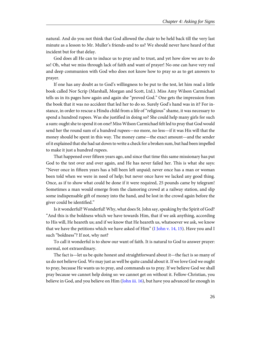natural. And do you not think that God allowed the chair to be held back till the very last minute as a lesson to Mr. Muller's friends-and to us? We should never have heard of that incident but for that delay.

God does all He can to induce us to pray and to trust, and yet how slow we are to do so! Oh, what we miss through lack of faith and want of prayer! No one can have very real and deep communion with God who does not know how to pray so as to get answers to prayer.

If one has any doubt as to God's willingness to be put to the test, let him read a little book called Nor Scrip (Marshall, Morgan and Scott, Ltd.). Miss Amy Wilson Carmichael tells us in its pages how again and again she "proved God." One gets the impression from the book that it was no accident that led her to do so. Surely God's hand was in it? For instance, in order to rescue a Hindu child from a life of "religious" shame, it was necessary to spend a hundred rupees. Was she justified in doing so? She could help many girls for such a sum: ought she to spend it on one? Miss Wilson Carmichael felt led to pray that God would send her the round sum of a hundred rupees—no more, no less—if it was His will that the money should be spent in this way. The money came—the exact amount—and the sender of it explained that she had sat down to write a check for a broken sum, but had been impelled to make it just a hundred rupees.

That happened over fifteen years ago, and since that time this same missionary has put God to the test over and over again, and He has never failed her. This is what she says: "Never once in fifteen years has a bill been left unpaid; never once has a man or woman been told when we were in need of help; but never once have we lacked any good thing. Once, as if to show what could be done if it were required, 25 pounds came by telegram! Sometimes a man would emerge from the clamoring crowd at a railway station, and slip some indispensable gift of money into the hand, and be lost in the crowd again before the giver could be identified."

Is it wonderful? Wonderful! Why, what does St. John say, speaking by the Spirit of God? "And this is the boldness which we have towards Him, that if we ask anything, according to His will, He heareth us; and if we know that He heareth us, whatsoever we ask, we know that we have the petitions which we have asked of Him" ([I John v. 14, 15](http://www.ccel.org/study/Bible:1John.5.14-1John.5.15)). Have you and I such "boldness"? If not, why not?

To call it wonderful is to show our want of faith. It is natural to God to answer prayer: normal, not extraordinary.

The fact is—let us be quite honest and straightforward about it—the fact is so many of us do not believe God. We may just as well be quite candid about it. If we love God we ought to pray, because He wants us to pray, and commands us to pray. If we believe God we shall pray because we cannot help doing so: we cannot get on without it. Fellow-Christian, you believe in God, and you believe on Him ([John iii. 16](http://www.ccel.org/study/Bible:John.3.16)), but have you advanced far enough in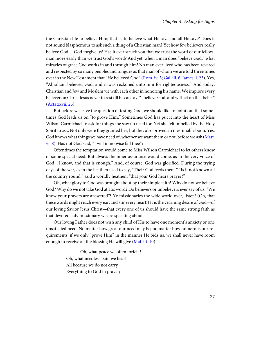the Christian life to believe Him; that is, to believe what He says and all He says? Does it not sound blasphemous to ask such a thing of a Christian man? Yet how few believers really believe God!—God forgive us! Has it ever struck you that we trust the word of our fellowman more easily than we trust God's word? And yet, when a man does "believe God," what miracles of grace God works in and through him! No man ever lived who has been revered and respected by so many peoples and tongues as that man of whom we are told three times over in the New Testament that "He believed God" ([Rom. iv. 3;](http://www.ccel.org/study/Bible:Rom.4.3) [Gal. iii. 6](http://www.ccel.org/study/Bible:Gal.3.6); [James ii. 23](http://www.ccel.org/study/Bible:Jas.2.23)). Yes, "Abraham believed God, and it was reckoned unto him for righteousness." And today, Christian and Jew and Moslem vie with each other in honoring his name. We implore every believer on Christ Jesus never to rest till he can say, "I believe God, and will act on that belief" ([Acts xxvii. 25\)](http://www.ccel.org/study/Bible:Acts.27.25).

But before we leave the question of testing God, we should like to point out that sometimes God leads us on "to prove Him." Sometimes God has put it into the heart of Miss Wilson Carmichael to ask for things she saw no need for. Yet she felt impelled by the Holy Spirit to ask. Not only were they granted her, but they also proved an inestimable boon. Yes, God knows what things we have need of, whether we want them or not, before we ask [\(Matt.](http://www.ccel.org/study/Bible:Matt.6.8) [vi. 8](http://www.ccel.org/study/Bible:Matt.6.8)). Has not God said, "I will in no wise fail thee"?

Oftentimes the temptation would come to Miss Wilson Carmichael to let others know of some special need. But always the inner assurance would come, as in the very voice of God, "I know, and that is enough." And, of course, God was glorified. During the trying days of the war, even the heathen used to say, "Their God feeds them." "Is it not known all the country round," said a worldly heathen, "that your God hears prayer?"

Oh, what glory to God was brought about by their simple faith! Why do not we believe God? Why do we not take God at His word? Do believers or unbelievers ever say of us, "We know your prayers are answered"? Ye missionaries the wide world over, listen! (Oh, that these words might reach every ear, and stir every heart!) It is the yearning desire of God—of our loving Savior Jesus Christ—that every one of us should have the same strong faith as that devoted lady missionary we are speaking about.

Our loving Father does not wish any child of His to have one moment's anxiety or one unsatisfied need. No matter how great our need may be; no matter how numerous our requirements, if we only "prove Him" in the manner He bids us, we shall never have room enough to receive all the blessing He will give ([Mal. iii. 10\)](http://www.ccel.org/study/Bible:Mal.3.10).

> Oh, what peace we often forfeit ! Oh, what needless pain we bear! All because we do not carry Everything to God in prayer;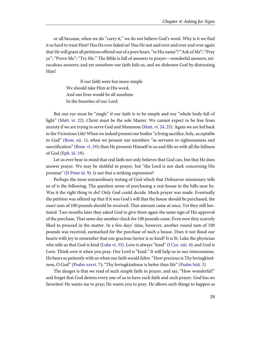or all because, when we do "carry it," we do not believe God's word. Why is it we find it so hard to trust Him? Has He ever failed us? Has He not said over and over and over again that He will grant all petitions offered out of a pure heart, "in His name"? "Ask of Me"; "Pray ye"; "Prove Me"; "Try Me." The Bible is full of answers to prayer—wonderful answers, miraculous answers; and yet somehow our faith fails us, and we dishonor God by distrusting Him!

> If our faith were but more simple We should take Him at His word, And our lives would be all sunshine In the bounties of our Lord.

But our eye must be "single" if our faith is to be simple and our "whole body full of light" [\(Matt. vi. 22](http://www.ccel.org/study/Bible:Matt.6.22)). Christ must be the sole Master. We cannot expect to be free from anxiety if we are trying to serve God and Mammon [\(Matt. vi. 24, 25\)](http://www.ccel.org/study/Bible:Matt.6.24-Matt.6.25). Again we are led back to the Victorious Life! When we indeed present our bodies "a living sacrifice, holy, acceptable to God" ([Rom. xii. 1\)](http://www.ccel.org/study/Bible:Rom.12.1); when we present our members "as servants to righteousness and sanctification" ([Rom. vi. 19](http://www.ccel.org/study/Bible:Rom.6.19)); then He presents Himself to us and fills us with all the fullness of God ([Eph. iii. 19](http://www.ccel.org/study/Bible:Eph.3.19)).

Let us ever bear in mind that real faith not only believes that God can, but that He does answer prayer. We may be slothful in prayer, but "the Lord is not slack concerning His promise" ([II Peter iii. 9](http://www.ccel.org/study/Bible:2Pet.3.9)). Is not that a striking expression?

Perhaps the most extraordinary testing of God which that Dohnavur missionary tells us of is the following. The question arose of purchasing a rest-house in the hills near by. Was it the right thing to do? Only God could decide. Much prayer was made. Eventually the petition was offered up that if it was God's will that the house should be purchased, the exact sum of 100 pounds should be received. That amount came at once. Yet they still hesitated. Two months later they asked God to give them again the same sign of His approval of the purchase. That same day another check for 100 pounds came. Even now they scarcely liked to proceed in the matter. In a few days' time, however, another round sum of 100 pounds was received, earmarked for the purchase of such a house. Does it not flood our hearts with joy to remember that our gracious Savior is so kind? It is St. Luke the physician who tells us that God is kind [\(Luke vi. 35\)](http://www.ccel.org/study/Bible:Luke.6.35). Love is always "kind" [\(I Cor. xiii. 4\)](http://www.ccel.org/study/Bible:1Cor.13.4); and God is Love. Think over it when you pray. Our Lord is "kind." It will help us in our intercessions. He bears so patiently with us when our faith would falter. "How precious is Thy lovingkindness, O God" [\(Psalm xxxvi. 7\)](http://www.ccel.org/study/Bible:Ps.36.7); "Thy lovingkindness is better than life" ([Psalm lxiii. 3](http://www.ccel.org/study/Bible:Ps.63.3)).

The danger is that we read of such simple faith in prayer, and say, "How wonderful!" and forget that God desires every one of us to have such faith and such prayer. God has no favorites! He wants me to pray; He wants you to pray. He allows such things to happen as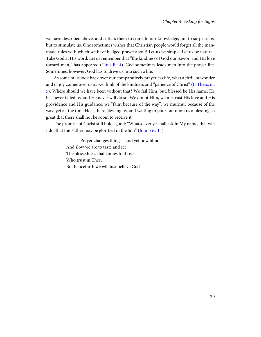we have described above, and suffers them to come to our knowledge, not to surprise us, but to stimulate us. One sometimes wishes that Christian people would forget all the manmade rules with which we have hedged prayer about! Let us be simple. Let us be natural. Take God at His word. Let us remember that "the kindness of God our Savior, and His love toward man," has appeared ([Titus iii. 4\)](http://www.ccel.org/study/Bible:Titus.3.4). God sometimes leads men into the prayer-life. Sometimes, however, God has to drive us into such a life.

As some of us look back over our comparatively prayerless life, what a thrill of wonder and of joy comes over us as we think of the kindness and "patience of Christ" [\(II Thess. iii.](http://www.ccel.org/study/Bible:2Thess.3.5) [5](http://www.ccel.org/study/Bible:2Thess.3.5)). Where should we have been without that? We fail Him, but, blessed be His name, He has never failed us, and He never will do so. We doubt Him, we mistrust His love and His providence and His guidance; we "faint because of the way"; we murmur because of the way; yet all the time He is there blessing us, and waiting to pour out upon us a blessing so great that there shall not be room to receive it.

The promise of Christ still holds good: "Whatsoever ye shall ask in My name, that will I do, that the Father may be glorified in the Son" [\(John xiv. 14\)](http://www.ccel.org/study/Bible:John.14.14).

> Prayer changes things—and yet how blind And slow we are to taste and see The blessedness that comes to those Who trust in Thee. But henceforth we will just believe God.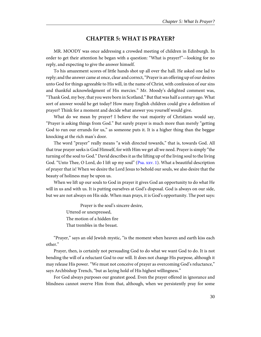#### **CHAPTER 5: WHAT IS PRAYER?**

<span id="page-33-0"></span>MR. MOODY was once addressing a crowded meeting of children in Edinburgh. In order to get their attention he began with a question: "What is prayer?"—looking for no reply, and expecting to give the answer himself.

To his amazement scores of little hands shot up all over the hall. He asked one lad to reply; and the answer came at once, clear and correct, "Prayer is an offering up of our desires unto God for things agreeable to His will, in the name of Christ, with confession of our sins and thankful acknowledgment of His mercies." Mr. Moody's delighted comment was, "Thank God, my boy, that you were born in Scotland." But that was half a century ago. What sort of answer would he get today? How many English children could give a definition of prayer? Think for a moment and decide what answer you yourself would give.

What do we mean by prayer? I believe the vast majority of Christians would say, "Prayer is asking things from God." But surely prayer is much more than merely "getting God to run our errands for us," as someone puts it. It is a higher thing than the beggar knocking at the rich man's door.

The word "prayer" really means "a wish directed towards," that is, towards God. All that true prayer seeks is God Himself, for with Him we get all we need. Prayer is simply "the turning of the soul to God." David describes it as the lifting up of the living soul to the living God. "Unto Thee, O Lord, do I lift up my soul" [\(Psa. xxv. 1\)](http://www.ccel.org/study/Bible:Ps.25.1). What a beautiful description of prayer that is! When we desire the Lord Jesus to behold our souls, we also desire that the beauty of holiness may be upon us.

When we lift up our souls to God in prayer it gives God an opportunity to do what He will in us and with us. It is putting ourselves at God's disposal. God is always on our side, but we are not always on His side. When man prays, it is God's opportunity. The poet says:

> Prayer is the soul's sincere desire, Uttered or unexpressed, The motion of a hidden fire That trembles in the breast.

"Prayer," says an old Jewish mystic, "is the moment when heaven and earth kiss each other."

Prayer, then, is certainly not persuading God to do what we want God to do. It is not bending the will of a reluctant God to our will. It does not change His purpose, although it may release His power. "We must not conceive of prayer as overcoming God's reluctance," says Archbishop Trench, "but as laying hold of His highest willingness."

For God always purposes our greatest good. Even the prayer offered in ignorance and blindness cannot swerve Him from that, although, when we persistently pray for some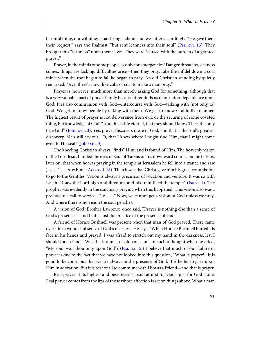harmful thing, our wilfulness may bring it about, and we suffer accordingly. "He gave them their request," says the Psalmist, "but sent leanness into their soul" ([Psa. cvi. 15\)](http://www.ccel.org/study/Bible:Ps.106.15). They brought this "leanness" upon themselves. They were "cursed with the burden of a granted prayer."

Prayer, in the minds of some people, is only for emergencies! Danger threatens, sickness comes, things are lacking, difficulties arise—then they pray. Like the infidel down a coal mine: when the roof began to fall he began to pray. An old Christian standing by quietly remarked, "Aye, there's nowt like cobs of coal to make a man pray."

Prayer is, however, much more than merely asking God for something, although that is a very valuable part of prayer if only because it reminds us of our utter dependence upon God. It is also communion with God—intercourse with God—talking with (not only to) God. We get to know people by talking with them. We get to know God in like manner. The highest result of prayer is not deliverance from evil, or the securing of some coveted thing, but knowledge of God. "And this is life eternal, that they should know Thee, the only true God" ([John xvii. 3](http://www.ccel.org/study/Bible:John.17.3)). Yes, prayer discovers more of God, and that is the soul's greatest discovery. Men still cry out, "O, that I knew where I might find Him, that I might come even to His seat" ([Job xxiii. 3\)](http://www.ccel.org/study/Bible:Job.23.3).

The kneeling Christian always "finds" Him, and is found of Him. The heavenly vision of the Lord Jesus blinded the eyes of Saul of Tarsus on his downward course, but he tells us, later on, that when he was praying in the temple at Jerusalem he fell into a trance and saw Jesus. "I . . . saw him" [\(Acts xxii. 18](http://www.ccel.org/study/Bible:Acts.22.18)). Then it was that Christ gave him his great commission to go to the Gentiles. Vision is always a precursor of vocation and venture. It was so with Isaiah. "I saw the Lord high and lifted up, and his train filled the temple" [\(Isa vi. 1](http://www.ccel.org/study/Bible:Isa.6.1)). The prophet was evidently in the sanctuary praying when this happened. This vision also was a prelude to a call to service, "Go . . . ." Now, we cannot get a vision of God unless we pray. And where there is no vision the soul perishes.

A vision of God! Brother Lawrence once said, "Prayer is nothing else than a sense of God's presence"—and that is just the practice of the presence of God.

A friend of Horace Bushnell was present when that man of God prayed. There came over him a wonderful sense of God's nearness. He says: "When Horace Bushnell buried his face in his hands and prayed, I was afraid to stretch out my hand in the darkness, lest I should touch God." Was the Psalmist of old conscious of such a thought when he cried, "My soul, wait thou only upon God"? ([Psa. lxii. 5.](http://www.ccel.org/study/Bible:Ps.62.5)) I believe that much of our failure in prayer is due to the fact that we have not looked into this question, "What is prayer?" It is good to be conscious that we are always in the presence of God. It is better to gaze upon Him in adoration. But it is best of all to commune with Him as a Friend—and that is prayer.

Real prayer at its highest and best reveals a soul athirst for God—just for God alone. Real prayer comes from the lips of those whose affection is set on things above. What a man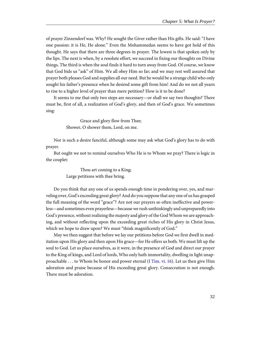of prayer Zinzendorf was. Why? He sought the Giver rather than His gifts. He said: "I have one passion: it is He, He alone." Even the Mohammedan seems to have got hold of this thought. He says that there are three degrees in prayer. The lowest is that spoken only by the lips. The next is when, by a resolute effort, we succeed in fixing our thoughts on Divine things. The third is when the soul finds it hard to turn away from God. Of course, we know that God bids us "ask" of Him. We all obey Him so far; and we may rest well assured that prayer both pleases God and supplies all our need. But he would be a strange child who only sought his father's presence when he desired some gift from him! And do we not all yearn to rise to a higher level of prayer than mere petition? How is it to be done?

It seems to me that only two steps are necessary—or shall we say two thoughts? There must be, first of all, a realization of God's glory, and then of God's grace. We sometimes sing:

> Grace and glory flow from Thee; Shower, O shower them, Lord, on me.

Nor is such a desire fanciful, although some may ask what God's glory has to do with prayer.

But ought we not to remind ourselves Who He is to Whom we pray? There is logic in the couplet:

> Thou art coming to a King; Large petitions with thee bring.

Do you think that any one of us spends enough time in pondering over, yes, and marveling over, God's exceeding great glory? And do you suppose that any one of us has grasped the full meaning of the word "grace"? Are not our prayers so often ineffective and powerless—and sometimes even prayerless—because we rush unthinkingly and unpreparedly into God's presence, without realizing the majesty and glory of the God Whom we are approaching, and without reflecting upon the exceeding great riches of His glory in Christ Jesus, which we hope to draw upon? We must "think magnificently of God."

May we then suggest that before we lay our petitions before God we first dwell in meditation upon His glory and then upon His grace—for He offers us both. We must lift up the soul to God. Let us place ourselves, as it were, in the presence of God and direct our prayer to the King of kings, and Lord of lords, Who only hath immortality, dwelling in light unapproachable . . . to Whom be honor and power eternal ([I Tim. vi. 16\)](http://www.ccel.org/study/Bible:1Tim.6.16). Let us then give Him adoration and praise because of His exceeding great glory. Consecration is not enough. There must be adoration.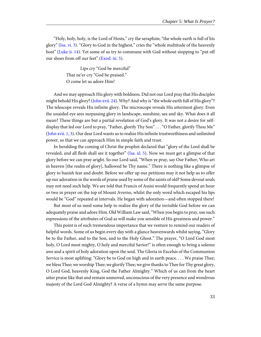"Holy, holy, holy, is the Lord of Hosts," cry the seraphim; "the whole earth is full of his glory" [\(Isa. vi. 3\)](http://www.ccel.org/study/Bible:Isa.6.3). "Glory to God in the highest," cries the "whole multitude of the heavenly host" ([Luke ii. 14](http://www.ccel.org/study/Bible:Luke.2.14)). Yet some of us try to commune with God without stopping to "put off our shoes from off our feet" [\(Exod. iii. 5\)](http://www.ccel.org/study/Bible:Exod.3.5).

> Lips cry "God be merciful" That ne'er cry "God be praised." O come let us adore Him!

And we may approach His glory with boldness. Did not our Lord pray that His disciples might behold His glory? [\(John xvii. 24\)](http://www.ccel.org/study/Bible:John.17.24). Why? And why is "the whole earth full of His glory"? The telescope reveals His infinite glory. The microscope reveals His uttermost glory. Even the unaided eye sees surpassing glory in landscape, sunshine, sea and sky. What does it all mean? These things are but a partial revelation of God's glory. It was not a desire for selfdisplay that led our Lord to pray, "Father, glorify Thy Son" . . . "O Father, glorify Thou Me" ([John xvii. 1, 3\)](http://www.ccel.org/study/Bible:John.17.1 Bible:John.17.3). Our dear Lord wants us to realize His infinite trustworthiness and unlimited power, so that we can approach Him in simple faith and trust.

In heralding the coming of Christ the prophet declared that "glory of the Lord shall be revealed, and all flesh shall see it together" [\(Isa. xl. 5\)](http://www.ccel.org/study/Bible:Isa.40.5). Now we must get a glimpse of that glory before we can pray aright. So our Lord said, "When ye pray, say Our Father, Who art in heaven [the realm of glory], hallowed be Thy name." There is nothing like a glimpse of glory to banish fear and doubt. Before we offer up our petitions may it not help us to offer up our adoration in the words of praise used by some of the saints of old? Some devout souls may not need such help. We are told that Francis of Assisi would frequently spend an hour or two in prayer on the top of Mount Averno, whilst the only word which escaped his lips would be "God" repeated at intervals. He began with adoration—and often stopped there!

But most of us need some help to realize the glory of the invisible God before we can adequately praise and adore Him. Old William Law said, "When you begin to pray, use such expressions of the attributes of God as will make you sensible of His greatness and power."

This point is of such tremendous importance that we venture to remind our readers of helpful words. Some of us begin every day with a glance heavenwards whilst saying, "Glory be to the Father, and to the Son, and to the Holy Ghost." The prayer, "O Lord God most holy, O Lord most mighty, O holy and merciful Savior!" is often enough to bring a solemn awe and a spirit of holy adoration upon the soul. The Gloria in Excelsis of the Communion Service is most uplifting: "Glory be to God on high and in earth peace. . . . We praise Thee; we bless Thee; we worship Thee; we glorify Thee; we give thanks to Thee for Thy great glory, O Lord God, heavenly King, God the Father Almighty." Which of us can from the heart utter praise like that and remain unmoved, unconscious of the very presence and wondrous majesty of the Lord God Almighty? A verse of a hymn may serve the same purpose.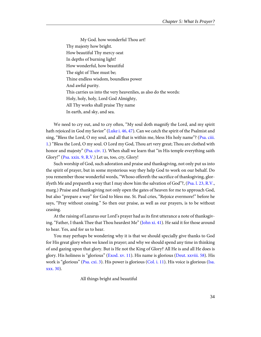My God. how wonderful Thou art! Thy majesty how bright. How beautiful Thy mercy-seat In depths of burning light! How wonderful, how beautiful The sight of Thee must be; Thine endless wisdom, boundless power And awful purity. This carries us into the very heavenlies, as also do the words: Holy, holy, holy, Lord God Almighty, All Thy works shall praise Thy name In earth, and sky, and sea.

We need to cry out, and to cry often, "My soul doth magnify the Lord, and my spirit hath rejoiced in God my Savior" [\(Luke i. 46, 47](http://www.ccel.org/study/Bible:Luke.1.46-Luke.1.47)). Can we catch the spirit of the Psalmist and sing, "Bless the Lord, O my soul, and all that is within me, bless His holy name"? ([Psa. ciii.](http://www.ccel.org/study/Bible:Ps.103.1) [1](http://www.ccel.org/study/Bible:Ps.103.1).) "Bless the Lord, O my soul. O Lord my God, Thou art very great; Thou are clothed with honor and majesty" ([Psa. civ. 1\)](http://www.ccel.org/study/Bible:Ps.104.1). When shall we learn that "in His temple everything saith Glory!" [\(Psa. xxix. 9, R.V.\)](http://www.ccel.org/study/Bible:Ps.29.9) Let us, too, cry, Glory!

Such worship of God, such adoration and praise and thanksgiving, not only put us into the spirit of prayer, but in some mysterious way they help God to work on our behalf. Do you remember those wonderful words, "Whoso offereth the sacrifice of thanksgiving, glorifyeth Me and prepareth a way that I may show him the salvation of God"?, ([Psa. l. 23, R.V.,](http://www.ccel.org/study/Bible:Ps.50.23) marg.) Praise and thanksgiving not only open the gates of heaven for me to approach God, but also "prepare a way" for God to bless me. St. Paul cries, "Rejoice evermore!" before he says, "Pray without ceasing." So then our praise, as well as our prayers, is to be without ceasing.

At the raising of Lazarus our Lord's prayer had as its first utterance a note of thanksgiv-ing. "Father, I thank Thee that Thou heardest Me" [\(John xi. 41](http://www.ccel.org/study/Bible:John.11.41)). He said it for those around to hear. Yes, and for us to hear.

You may perhaps be wondering why it is that we should specially give thanks to God for His great glory when we kneel in prayer; and why we should spend any time in thinking of and gazing upon that glory. But is He not the King of Glory? All He is and all He does is glory. His holiness is "glorious" [\(Exod. xv. 11\)](http://www.ccel.org/study/Bible:Exod.15.11). His name is glorious ([Deut. xxviii. 58\)](http://www.ccel.org/study/Bible:Deut.28.58). His work is "glorious" ([Psa. cxi. 3\)](http://www.ccel.org/study/Bible:Ps.111.3). His power is glorious ([Col. i. 11\)](http://www.ccel.org/study/Bible:Col.1.11). His voice is glorious ([Isa.](http://www.ccel.org/study/Bible:Isa.30.30) [xxx. 30](http://www.ccel.org/study/Bible:Isa.30.30)).

All things bright and beautiful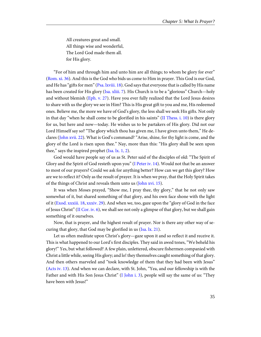All creatures great and small. All things wise and wonderful, The Lord God made them all. for His glory.

"For of him and through him and unto him are all things; to whom be glory for ever" ([Rom. xi. 36](http://www.ccel.org/study/Bible:Rom.11.36)). And this is the God who bids us come to Him in prayer. This God is our God, and He has "gifts for men" ([Psa. lxviii. 18\)](http://www.ccel.org/study/Bible:Ps.68.18). God says that everyone that is called by His name has been created for His glory [\(Isa. xliii. 7](http://www.ccel.org/study/Bible:Isa.43.7)). His Church is to be a "glorious" Church—holy and without blemish ([Eph. v. 27](http://www.ccel.org/study/Bible:Eph.5.27)). Have you ever fully realized that the Lord Jesus desires to share with us the glory we see in Him? This is His great gift to you and me, His redeemed ones. Believe me, the more we have of God's glory, the less shall we seek His gifts. Not only in that day "when he shall come to be glorified in his saints" [\(II Thess. i. 10\)](http://www.ccel.org/study/Bible:2Thess.1.10) is there glory for us, but here and now—today. He wishes us to be partakers of His glory. Did not our Lord Himself say so? "The glory which thou has given me, I have given unto them," He declares [\(John xvii. 22](http://www.ccel.org/study/Bible:John.17.22)). What is God's command? "Arise, shine, for thy light is come, and the glory of the Lord is risen upon thee." Nay, more than this: "His glory shall be seen upon thee," says the inspired prophet [\(Isa. lx. 1, 2](http://www.ccel.org/study/Bible:Isa.60.1-Isa.60.2)).

God would have people say of us as St. Peter said of the disciples of old: "The Spirit of Glory and the Spirit of God resteth upon you" [\(I Peter iv. 14\)](http://www.ccel.org/study/Bible:1Pet.4.14). Would not that be an answer to most of our prayers? Could we ask for anything better? How can we get this glory? How are we to reflect it? Only as the result of prayer. It is when we pray, that the Holy Spirit takes of the things of Christ and reveals them unto us ([John xvi. 15](http://www.ccel.org/study/Bible:John.16.15)).

It was when Moses prayed, "Show me, I pray thee, thy glory," that he not only saw somewhat of it, but shared something of that glory, and his own face shone with the light of it [\(Exod. xxxiii. 18,](http://www.ccel.org/study/Bible:Exod.33.18) [xxxiv. 29](http://www.ccel.org/study/Bible:Exod.34.29)). And when we, too, gaze upon the "glory of God in the face of Jesus Christ" [\(II Cor. iv. 6\)](http://www.ccel.org/study/Bible:2Cor.4.6), we shall see not only a glimpse of that glory, but we shall gain something of it ourselves.

Now, that is prayer, and the highest result of prayer. Nor is there any other way of securing that glory, that God may be glorified in us [\(Isa. lx. 21](http://www.ccel.org/study/Bible:Isa.60.21)).

Let us often meditate upon Christ's glory—gaze upon it and so reflect it and receive it. This is what happened to our Lord's first disciples. They said in awed tones, "We beheld his glory!" Yes, but what followed? A few plain, unlettered, obscure fishermen companied with Christ a little while, seeing His glory; and lo! they themselves caught something of that glory. And then others marveled and "took knowledge of them that they had been with Jesus" ([Acts iv. 13\)](http://www.ccel.org/study/Bible:Acts.4.13). And when we can declare, with St. John, "Yea, and our fellowship is with the Father and with His Son Jesus Christ" ([I John i. 3\)](http://www.ccel.org/study/Bible:1John.1.3), people will say the same of us: "They have been with Jesus!"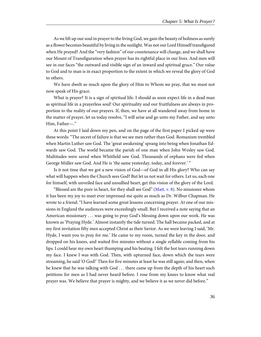As we lift up our soul in prayer to the living God, we gain the beauty of holiness as surely as a flower becomes beautiful by living in the sunlight. Was not our Lord Himself transfigured when He prayed? And the "very fashion" of our countenance will change, and we shall have our Mount of Transfiguration when prayer has its rightful place in our lives. And men will see in our faces "the outward and visible sign of an inward and spiritual grace." Our value to God and to man is in exact proportion to the extent in which we reveal the glory of God to others.

We have dwelt so much upon the glory of Him to Whom we pray, that we must not now speak of His grace.

What is prayer? It is a sign of spiritual life. I should as soon expect life in a dead man as spiritual life in a prayerless soul! Our spirituality and our fruitfulness are always in proportion to the reality of our prayers. If, then, we have at all wandered away from home in the matter of prayer, let us today resolve, "I will arise and go unto my Father, and say unto Him, Father—."

At this point I laid down my pen, and on the page of the first paper I picked up were these words: "The secret of failure is that we see men rather than God. Romanism trembled when Martin Luther saw God. The 'great awakening' sprang into being when Jonathan Edwards saw God. The world became the parish of one man when John Wesley saw God. Multitudes were saved when Whitfield saw God. Thousands of orphans were fed when George Müller saw God. And He is 'the same yesterday, today, and forever.' "

Is it not time that we got a new vision of God—of God in all His glory? Who can say what will happen when the Church sees God? But let us not wait for others. Let us, each one for himself, with unveiled face and unsullied heart, get this vision of the glory of the Lord.

"Blessed are the pure in heart, for they shall see God" [\(Matt. v. 8](http://www.ccel.org/study/Bible:Matt.5.8)). No missioner whom it has been my joy to meet ever impressed me quite as much as Dr. Wilbur Chapman. He wrote to a friend: "I have learned some great lessons concerning prayer. At one of our missions in England the audiences were exceedingly small. But I received a note saying that an American missionary . . . was going to pray God's blessing down upon our work. He was known as 'Praying Hyde.' Almost instantly the tide turned. The hall became packed, and at my first invitation fifty men accepted Christ as their Savior. As we were leaving I said, 'Mr. Hyde, I want you to pray for me.' He came to my room, turned the key in the door, and dropped on his knees, and waited five minutes without a single syllable coming from his lips. I could hear my own heart thumping and his beating. I felt the hot tears running down my face. I knew I was with God. Then, with upturned face, down which the tears were streaming, he said 'O God!' Then for five minutes at least he was still again; and then, when he knew that he was talking with God . . . there came up from the depth of his heart such petitions for men as I had never heard before. I rose from my knees to know what real prayer was. We believe that prayer is mighty, and we believe it as we never did before."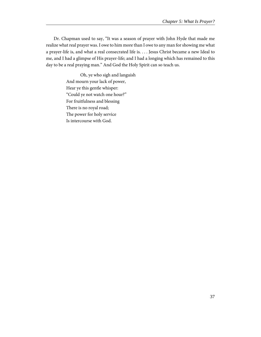Dr. Chapman used to say, "It was a season of prayer with John Hyde that made me realize what real prayer was. I owe to him more than I owe to any man for showing me what a prayer-life is, and what a real consecrated life is. . . . Jesus Christ became a new Ideal to me, and I had a glimpse of His prayer-life; and I had a longing which has remained to this day to be a real praying man." And God the Holy Spirit can so teach us.

> Oh, ye who sigh and languish And mourn your lack of power, Hear ye this gentle whisper: "Could ye not watch one hour?" For fruitfulness and blessing There is no royal road; The power for holy service Is intercourse with God.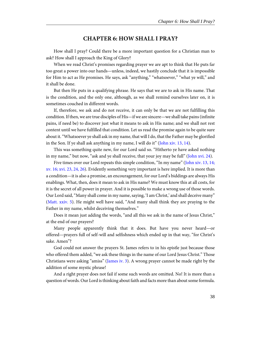# **CHAPTER 6: HOW SHALL I PRAY?**

How shall I pray? Could there be a more important question for a Christian man to ask? How shall I approach the King of Glory?

When we read Christ's promises regarding prayer we are apt to think that He puts far too great a power into our hands—unless, indeed, we hastily conclude that it is impossible for Him to act as He promises. He says, ask "anything," "whatsoever," "what ye will," and it shall be done.

But then He puts in a qualifying phrase. He says that we are to ask in His name. That is the condition, and the only one, although, as we shall remind ourselves later on, it is sometimes couched in different words.

If, therefore, we ask and do not receive, it can only be that we are not fulfilling this condition. If then, we are true disciples of His—if we are sincere—we shall take pains (infinite pains, if need be) to discover just what it means to ask in His name; and we shall not rest content until we have fulfilled that condition. Let us read the promise again to be quite sure about it. "Whatsoever ye shall ask in my name, that will I do, that the Father may be glorified in the Son. If ye shall ask anything in my name, I will do it" [\(John xiv. 13, 14](http://www.ccel.org/study/Bible:John.14.13-John.14.14)).

This was something quite new, for our Lord said so. "Hitherto ye have asked nothing in my name," but now, "ask and ye shall receive, that your joy may be full" [\(John xvi. 24\)](http://www.ccel.org/study/Bible:John.16.24).

Five times over our Lord repeats this simple condition, "In my name" [\(John xiv. 13, 14;](http://www.ccel.org/study/Bible:John.14.13-John.14.14 Bible:John.15.16 Bible:John.16.23-John.16.24 Bible:John.16.26) [xv. 16; xvi. 23, 24, 26](http://www.ccel.org/study/Bible:John.14.13-John.14.14 Bible:John.15.16 Bible:John.16.23-John.16.24 Bible:John.16.26)). Evidently something very important is here implied. It is more than a condition—it is also a promise, an encouragement, for our Lord's biddings are always His enablings. What, then, does it mean to ask in His name? We must know this at all costs, for it is the secret of all power in prayer. And it is possible to make a wrong use of those words. Our Lord said, "Many shall come in my name, saying, 'I am Christ,' and shall deceive many" ([Matt. xxiv. 5\)](http://www.ccel.org/study/Bible:Matt.24.5). He might well have said, "And many shall think they are praying to the Father in my name, whilst deceiving themselves."

Does it mean just adding the words, "and all this we ask in the name of Jesus Christ," at the end of our prayers?

Many people apparently think that it does. But have you never heard—or offered—prayers full of self-will and selfishness which ended up in that way, "for Christ's sake. Amen"?

God could not answer the prayers St. James refers to in his epistle just because those who offered them added, "we ask these things in the name of our Lord Jesus Christ." Those Christians were asking "amiss" ([James iv. 3](http://www.ccel.org/study/Bible:Jas.4.3)). A wrong prayer cannot be made right by the addition of some mystic phrase!

And a right prayer does not fail if some such words are omitted. No! It is more than a question of words. Our Lord is thinking about faith and facts more than about some formula.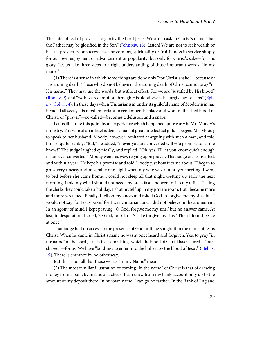The chief object of prayer is to glorify the Lord Jesus. We are to ask in Christ's name "that the Father may be glorified in the Son" ([John xiv. 13](http://www.ccel.org/study/Bible:John.14.13)). Listen! We are not to seek wealth or health, prosperity or success, ease or comfort, spirituality or fruitfulness in service simply for our own enjoyment or advancement or popularity, but only for Christ's sake—for His glory. Let us take three steps to a right understanding of those important words, "in my name"

(1) There is a sense in which some things are done only "for Christ's sake"—because of His atoning death. Those who do not believe in the atoning death of Christ cannot pray "in His name." They may use the words, but without effect. For we are "justified by His blood" ([Rom. v. 9](http://www.ccel.org/study/Bible:Rom.5.9)), and "we have redemption through His blood, even the forgiveness of sins" ([Eph.](http://www.ccel.org/study/Bible:Eph.1.7) [i. 7](http://www.ccel.org/study/Bible:Eph.1.7); [Col. i. 14\)](http://www.ccel.org/study/Bible:Col.1.14). In these days when Unitarianism under its guileful name of Modernism has invaded all sects, it is most important to remember the place and work of the shed blood of Christ, or "prayer"—so-called—becomes a delusion and a snare.

Let us illustrate this point by an experience which happened quite early in Mr. Moody's ministry. The wife of an infidel judge—a man of great intellectual gifts—begged Mr. Moody to speak to her husband. Moody, however, hesitated at arguing with such a man, and told him so quite frankly. "But," he added, "if ever you are converted will you promise to let me know?" The judge laughed cynically, and replied, "Oh, yes, I'll let you know quick enough if I am ever converted!" Moody went his way, relying upon prayer. That judge was converted, and within a year. He kept his promise and told Moody just how it came about. "I began to grow very uneasy and miserable one night when my wife was at a prayer-meeting. I went to bed before she came home. I could not sleep all that night. Getting up early the next morning, I told my wife I should not need any breakfast, and went off to my office. Telling the clerks they could take a holiday, I shut myself up in my private room. But I became more and more wretched. Finally, I fell on my knees and asked God to forgive me my sins, but I would not say 'for Jesus' sake,' for I was Unitarian, and I did not believe in the atonement. In an agony of mind I kept praying, 'O God, forgive me my sins,' but no answer came. At last, in desperation, I cried, 'O God, for Christ's sake forgive my sins.' Then I found peace at once."

That judge had no access to the presence of God until he sought it in the name of Jesus Christ. When he came in Christ's name he was at once heard and forgiven. Yes, to pray "in the name" of the Lord Jesus is to ask for things which the blood of Christ has secured—"purchased"—for us. We have "boldness to enter into the holiest by the blood of Jesus" ([Heb. x.](http://www.ccel.org/study/Bible:Heb.10.19) [19\)](http://www.ccel.org/study/Bible:Heb.10.19). There is entrance by no other way.

But this is not all that those words "In my Name" mean.

(2) The most familiar illustration of coming "in the name" of Christ is that of drawing money from a bank by means of a check. I can draw from my bank account only up to the amount of my deposit there. In my own name, I can go no farther. In the Bank of England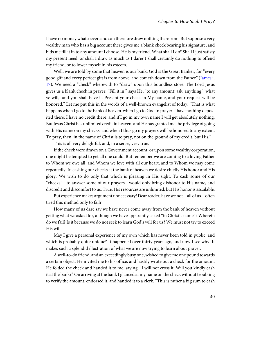I have no money whatsoever, and can therefore draw nothing therefrom. But suppose a very wealthy man who has a big account there gives me a blank check bearing his signature, and bids me fill it in to any amount I choose. He is my friend. What shall I do? Shall I just satisfy my present need, or shall I draw as much as I dare? I shall certainly do nothing to offend my friend, or to lower myself in his esteem.

Well, we are told by some that heaven is our bank. God is the Great Banker, for "every good gift and every perfect gift is from above, and cometh down from the Father" [\(James i.](http://www.ccel.org/study/Bible:Jas.1.17) [17\)](http://www.ccel.org/study/Bible:Jas.1.17). We need a "check" wherewith to "draw" upon this boundless store. The Lord Jesus gives us a blank check in prayer. "Fill it in," says He, "to any amount; ask 'anything,' 'what ye will,' and you shall have it. Present your check in My name, and your request will be honored." Let me put this in the words of a well-known evangelist of today. "That is what happens when I go to the bank of heaven-when I go to God in prayer. I have nothing deposited there; I have no credit there; and if I go in my own name I will get absolutely nothing. But Jesus Christ has unlimited credit in heaven, and He has granted me the privilege of going with His name on my checks; and when I thus go my prayers will be honored to any extent. To pray, then, in the name of Christ is to pray, not on the ground of my credit, but His."

This is all very delightful, and, in a sense, very true.

If the check were drawn on a Government account, or upon some wealthy corporation, one might be tempted to get all one could. But remember we are coming to a loving Father to Whom we owe all, and Whom we love with all our heart, and to Whom we may come repeatedly. In cashing our checks at the bank of heaven we desire chiefly His honor and His glory. We wish to do only that which is pleasing in His sight. To cash some of our "checks"—to answer some of our prayers—would only bring dishonor to His name, and discredit and discomfort to us. True, His resources are unlimited; but His honor is assailable.

But experience makes argument unnecessary! Dear reader, have we not—all of us—often tried this method only to fail?

How many of us dare say we have never come away from the bank of heaven without getting what we asked for, although we have apparently asked "in Christ's name"? Wherein do we fail? Is it because we do not seek to learn God's will for us? We must not try to exceed His will.

May I give a personal experience of my own which has never been told in public, and which is probably quite unique? It happened over thirty years ago, and now I see why. It makes such a splendid illustration of what we are now trying to learn about prayer.

A well-to-do friend, and an exceedingly busy one, wished to give me one pound towards a certain object. He invited me to his office, and hastily wrote out a check for the amount. He folded the check and handed it to me, saying, "I will not cross it. Will you kindly cash it at the bank?" On arriving at the bank I glanced at my name on the check without troubling to verify the amount, endorsed it, and handed it to a clerk. "This is rather a big sum to cash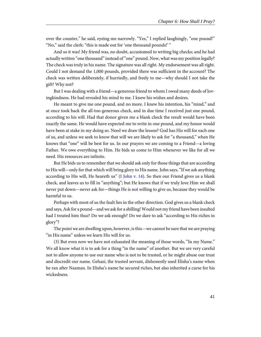over the counter," he said, eyeing me narrowly. "Yes," I replied laughingly, "one pound!" "No," said the clerk: "this is made out for 'one thousand pounds!' "

And so it was! My friend was, no doubt, accustomed to writing big checks; and he had actually written "one thousand" instead of "one" pound. Now, what was my position legally? The check was truly in his name. The signature was all right. My endorsement was all right. Could I not demand the 1,000 pounds, provided there was sufficient in the account? The check was written deliberately, if hurriedly, and freely to me—why should I not take the gift? Why not?

But I was dealing with a friend—a generous friend to whom I owed many deeds of lovingkindness. He had revealed his mind to me. I knew his wishes and desires.

He meant to give me one pound, and no more. I knew his intention, his "mind," and at once took back the all-too-generous check, and in due time I received just one pound, according to his will. Had that donor given me a blank check the result would have been exactly the same. He would have expected me to write in one pound, and my honor would have been at stake in my doing so. Need we draw the lesson? God has His will for each one of us, and unless we seek to know that will we are likely to ask for "a thousand," when He knows that "one" will be best for us. In our prayers we are coming to a Friend—a loving Father. We owe everything to Him. He bids us come to Him whenever we like for all we need. His resources are infinite.

But He bids us to remember that we should ask only for those things that are according to His will—only for that which will bring glory to His name. John says, "If we ask anything according to His will, He heareth us" ([I John v. 14\)](http://www.ccel.org/study/Bible:1John.5.14). So then our Friend gives us a blank check, and leaves us to fill in "anything"; but He knows that if we truly love Him we shall never put down—never ask for—things He is not willing to give us, because they would be harmful to us.

Perhaps with most of us the fault lies in the other direction. God gives us a blank check and says, Ask for a pound—and we ask for a shilling! Would not my friend have been insulted had I treated him thus? Do we ask enough? Do we dare to ask "according to His riches in glory"?

The point we are dwelling upon, however, is this—we cannot be sure that we are praying "in His name" unless we learn His will for us.

(3) But even now we have not exhausted the meaning of those words, "In my Name." We all know what it is to ask for a thing "in the name" of another. But we are very careful not to allow anyone to use our name who is not to be trusted, or he might abuse our trust and discredit our name. Gehazi, the trusted servant, dishonestly used Elisha's name when he ran after Naaman. In Elisha's name he secured riches, but also inherited a curse for his wickedness.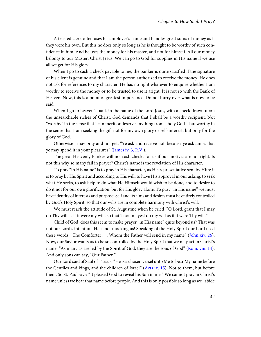A trusted clerk often uses his employer's name and handles great sums of money as if they were his own. But this he does only so long as he is thought to be worthy of such confidence in him. And he uses the money for his master, and not for himself. All our money belongs to our Master, Christ Jesus. We can go to God for supplies in His name if we use all we get for His glory.

When I go to cash a check payable to me, the banker is quite satisfied if the signature of his client is genuine and that I am the person authorized to receive the money. He does not ask for references to my character. He has no right whatever to enquire whether I am worthy to receive the money or to be trusted to use it aright. It is not so with the Bank of Heaven. Now, this is a point of greatest importance. Do not hurry over what is now to be said.

When I go to heaven's bank in the name of the Lord Jesus, with a check drawn upon the unsearchable riches of Christ, God demands that I shall be a worthy recipient. Not "worthy" in the sense that I can merit or deserve anything from a holy God—but worthy in the sense that I am seeking the gift not for my own glory or self-interest, but only for the glory of God.

Otherwise I may pray and not get. "Ye ask and receive not, because ye ask amiss that ye may spend it in your pleasures" [\(James iv. 3, R.V.\)](http://www.ccel.org/study/Bible:Jas.4.3).

The great Heavenly Banker will not cash checks for us if our motives are not right. Is not this why so many fail in prayer? Christ's name is the revelation of His character.

To pray "in His name" is to pray in His character, as His representative sent by Him: it is to pray by His Spirit and according to His will; to have His approval in our asking, to seek what He seeks, to ask help to do what He Himself would wish to be done, and to desire to do it not for our own glorification, but for His glory alone. To pray "in His name" we must have identity of interests and purpose. Self and its aims and desires must be entirely controlled by God's Holy Spirit, so that our wills are in complete harmony with Christ's will.

We must reach the attitude of St. Augustine when he cried, "O Lord, grant that I may do Thy will as if it were my will, so that Thou mayest do my will as if it were Thy will."

Child of God, does this seem to make prayer "in His name" quite beyond us? That was not our Lord's intention. He is not mocking us! Speaking of the Holy Spirit our Lord used these words: "The Comforter . . . Whom the Father will send in my name" [\(John xiv. 26\)](http://www.ccel.org/study/Bible:John.14.26). Now, our Savior wants us to be so controlled by the Holy Spirit that we may act in Christ's name. "As many as are led by the Spirit of God, they are the sons of God" [\(Rom. viii. 14\)](http://www.ccel.org/study/Bible:Rom.8.14). And only sons can say, "Our Father."

Our Lord said of Saul of Tarsus: "He is a chosen vessel unto Me to bear My name before the Gentiles and kings, and the children of Israel" ([Acts ix. 15\)](http://www.ccel.org/study/Bible:Acts.9.15). Not to them, but before them. So St. Paul says: "It pleased God to reveal his Son in me." We cannot pray in Christ's name unless we bear that name before people. And this is only possible so long as we "abide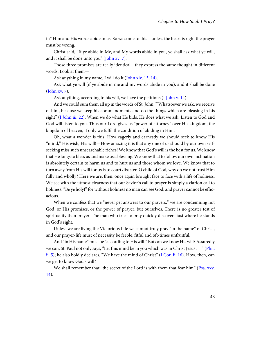in" Him and His words abide in us. So we come to this—unless the heart is right the prayer must be wrong.

Christ said, "If ye abide in Me, and My words abide in you, ye shall ask what ye will, and it shall be done unto you" ([John xv. 7\)](http://www.ccel.org/study/Bible:John.15.7).

Those three promises are really identical—they express the same thought in different words. Look at them—

Ask anything in my name, I will do it [\(John xiv. 13, 14](http://www.ccel.org/study/Bible:John.14.13-John.14.14)).

Ask what ye will (if ye abide in me and my words abide in you), and it shall be done ([John xv. 7\)](http://www.ccel.org/study/Bible:John.15.7).

Ask anything, according to his will, we have the petitions [\(I John v. 14\)](http://www.ccel.org/study/Bible:1John.5.14).

And we could sum them all up in the words of St. John, "'Whatsoever we ask, we receive of him, because we keep his commandments and do the things which are pleasing in his sight" [\(I John iii. 22](http://www.ccel.org/study/Bible:1John.3.22)). When we do what He bids, He does what we ask! Listen to God and God will listen to you. Thus our Lord gives us "power of attorney" over His kingdom, the kingdom of heaven, if only we fulfil the condition of abiding in Him.

Oh, what a wonder is this! How eagerly and earnestly we should seek to know His "mind," His wish, His will!—How amazing it is that any one of us should by our own selfseeking miss such unsearchable riches! We know that God's will is the best for us. We know that He longs to bless us and make us a blessing. We know that to follow our own inclination is absolutely certain to harm us and to hurt us and those whom we love. We know that to turn away from His will for us is to court disaster. O child of God, why do we not trust Him fully and wholly? Here we are, then, once again brought face to face with a life of holiness. We see with the utmost clearness that our Savior's call to prayer is simply a clarion call to holiness. "Be ye holy!" for without holiness no man can see God, and prayer cannot be efficacious.

When we confess that we "never get answers to our prayers," we are condemning not God, or His promises, or the power of prayer, but ourselves. There is no greater test of spirituality than prayer. The man who tries to pray quickly discovers just where he stands in God's sight.

Unless we are living the Victorious Life we cannot truly pray "in the name" of Christ, and our prayer-life must of necessity be feeble, fitful and oft-times unfruitful.

And "in His name" must be "according to His will." But can we know His will? Assuredly we can. St. Paul not only says, "Let this mind be in you which was in Christ Jesus . . ." ([Phil.](http://www.ccel.org/study/Bible:Phil.2.5) [ii. 5](http://www.ccel.org/study/Bible:Phil.2.5)); he also boldly declares, "We have the mind of Christ" ([I Cor. ii. 16](http://www.ccel.org/study/Bible:1Cor.2.16)). How, then, can we get to know God's will?

We shall remember that "the secret of the Lord is with them that fear him" ([Psa. xxv.](http://www.ccel.org/study/Bible:Ps.25.14) [14\)](http://www.ccel.org/study/Bible:Ps.25.14).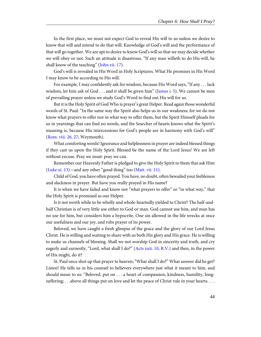In the first place, we must not expect God to reveal His will to us unless we desire to know that will and intend to do that will. Knowledge of God's will and the performance of that will go together. We are apt to desire to know God's will so that we may decide whether we will obey or not. Such an attitude is disastrous. "If any man willeth to do His will, he shall know of the teaching" ([John vii. 17](http://www.ccel.org/study/Bible:John.7.17)).

God's will is revealed in His Word in Holy Scriptures. What He promises in His Word I may know to be according to His will.

For example, I may confidently ask for wisdom, because His Word says, "If any . . . lack wisdom, let him ask of God . . . and it shall be given him" [\(James i. 5\)](http://www.ccel.org/study/Bible:Jas.1.5). We cannot be men of prevailing prayer unless we study God's Word to find out His will for us.

But it is the Holy Spirit of God Who is prayer's great Helper. Read again those wonderful words of St. Paul: "In the same way the Spirit also helps us in our weakness; for we do not know what prayers to offer nor in what way to offer them, but the Spirit Himself pleads for us in yearnings that can find no words, and the Searcher of hearts knows what the Spirit's meaning is, because His intercessions for God's people are in harmony with God's will" ([Rom. viii. 26, 27](http://www.ccel.org/study/Bible:Rom.8.26-Rom.8.27); Weymouth).

What comforting words! Ignorance and helplessness in prayer are indeed blessed things if they cast us upon the Holy Spirit. Blessed be the name of the Lord Jesus! We are left without excuse. Pray we must: pray we can.

Remember our Heavenly Father is pledged to give the Holy Spirit to them that ask Him ([Luke xi. 13\)](http://www.ccel.org/study/Bible:Luke.11.13)—and any other "good thing" too ([Matt. vii. 11\)](http://www.ccel.org/study/Bible:Matt.7.11).

Child of God, you have often prayed. You have, no doubt, often bewailed your feebleness and slackness in prayer. But have you really prayed in His name?

It is when we have failed and know not "what prayers to offer" or "in what way," that the Holy Spirit is promised as our Helper.

Is it not worth while to be wholly and whole-heartedly yielded to Christ? The half-andhalf Christian is of very little use either to God or man. God cannot use him, and man has no use for him, but considers him a hypocrite. One sin allowed in the life wrecks at once our usefulness and our joy, and robs prayer of its power.

Beloved, we have caught a fresh glimpse of the grace and the glory of our Lord Jesus Christ. He is willing and waiting to share with us both His glory and His grace. He is willing to make us channels of blessing. Shall we not worship God in sincerity and truth, and cry eagerly and earnestly, "Lord, what shall I do?" ([Acts xxii. 10, R.V.\)](http://www.ccel.org/study/Bible:Acts.22.10) and then, in the power of His might, do it?

St. Paul once shot up that prayer to heaven; "What shall I do?" What answer did he get? Listen! He tells us in his counsel to believers everywhere just what it meant to him, and should mean to us: "Beloved, put on . . . a heart of compassion, kindness, humility, longsuffering; . . .above all things put on love and let the peace of Christ rule in your hearts. . . .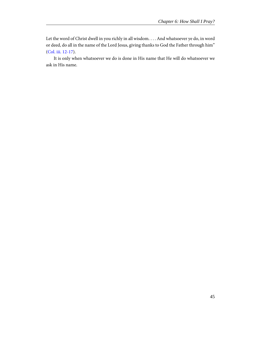Let the word of Christ dwell in you richly in all wisdom. . . . And whatsoever ye do, in word or deed, do all in the name of the Lord Jesus, giving thanks to God the Father through him" ([Col. iii. 12-17](http://www.ccel.org/study/Bible:Col.3.12-Col.3.17)).

It is only when whatsoever we do is done in His name that He will do whatsoever we ask in His name.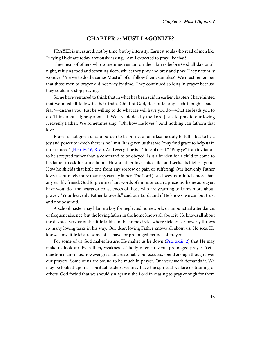# **CHAPTER 7: MUST I AGONIZE?**

PRAYER is measured, not by time, but by intensity. Earnest souls who read of men like Praying Hyde are today anxiously asking, "Am I expected to pray like that?"

They hear of others who sometimes remain on their knees before God all day or all night, refusing food and scorning sleep, whilst they pray and pray and pray. They naturally wonder, "Are we to do the same? Must all of us follow their examples?" We must remember that those men of prayer did not pray by time. They continued so long in prayer because they could not stop praying.

Some have ventured to think that in what has been said in earlier chapters I have hinted that we must all follow in their train. Child of God, do not let any such thought—such fear?—distress you. Just be willing to do what He will have you do—what He leads you to do. Think about it; pray about it. We are bidden by the Lord Jesus to pray to our loving Heavenly Father. We sometimes sing, "Oh, how He loves!" And nothing can fathom that love.

Prayer is not given us as a burden to be borne, or an irksome duty to fulfil, but to be a joy and power to which there is no limit. It is given us that we "may find grace to help us in time of need" [\(Heb. iv. 16, R.V.](http://www.ccel.org/study/Bible:Heb.4.16)). And every time is a "time of need." "Pray ye" is an invitation to be accepted rather than a command to be obeyed. Is it a burden for a child to come to his father to ask for some boon? How a father loves his child, and seeks its highest good! How he shields that little one from any sorrow or pain or suffering! Our heavenly Father loves us infinitely more than any earthly father. The Lord Jesus loves us infinitely more than any earthly friend. God forgive me if any words of mine, on such a precious theme as prayer, have wounded the hearts or consciences of those who are yearning to know more about prayer. "Your heavenly Father knoweth," said our Lord: and if He knows, we can but trust and not be afraid.

A schoolmaster may blame a boy for neglected homework, or unpunctual attendance, or frequent absence; but the loving father in the home knows all about it. He knows all about the devoted service of the little laddie in the home circle, where sickness or poverty throws so many loving tasks in his way. Our dear, loving Father knows all about us. He sees. He knows how little leisure some of us have for prolonged periods of prayer.

For some of us God makes leisure. He makes us lie down [\(Psa. xxiii. 2](http://www.ccel.org/study/Bible:Ps.23.2)) that He may make us look up. Even then, weakness of body often prevents prolonged prayer. Yet I question if any of us, however great and reasonable our excuses, spend enough thought over our prayers. Some of us are bound to be much in prayer. Our very work demands it. We may be looked upon as spiritual leaders; we may have the spiritual welfare or training of others. God forbid that we should sin against the Lord in ceasing to pray enough for them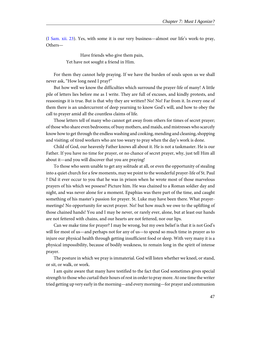([I Sam. xii. 23\)](http://www.ccel.org/study/Bible:1Sam.12.23). Yes, with some it is our very business—almost our life's work-to pray, Others—

> Have friends who give them pain, Yet have not sought a friend in Him.

For them they cannot help praying. If we have the burden of souls upon us we shall never ask, "How long need I pray?"

But how well we know the difficulties which surround the prayer-life of many! A little pile of letters lies before me as I write. They are full of excuses, and kindly protests, and reasonings it is true. But is that why they are written? No! No! Far from it. In every one of them there is an undercurrent of deep yearning to know God's will, and how to obey the call to prayer amid all the countless claims of life.

Those letters tell of many who cannot get away from others for times of secret prayer; of those who share even bedrooms; of busy mothers, and maids, and mistresses who scarcely know how to get through the endless washing and cooking, mending and cleaning, shopping and visiting; of tired workers who are too weary to pray when the day's work is done.

Child of God, our heavenly Father knows all about it. He is not a taskmaster. He is our Father. If you have no time for prayer, or no chance of secret prayer, why, just tell Him all about it—and you will discover that you are praying!

To those who seem unable to get any solitude at all, or even the opportunity of stealing into a quiet church for a few moments, may we point to the wonderful prayer-life of St. Paul ? Did it ever occur to you that he was in prison when he wrote most of those marvelous prayers of his which we possess? Picture him. He was chained to a Roman soldier day and night, and was never alone for a moment. Epaphias was there part of the time, and caught something of his master's passion for prayer. St. Luke may have been there. What prayermeetings! No opportunity for secret prayer. No! but how much we owe to the uplifting of those chained hands! You and I may be never, or rarely ever, alone, but at least our hands are not fettered with chains, and our hearts are not fettered, nor our lips.

Can we make time for prayer? I may be wrong, but my own belief is that it is not God's will for most of us—and perhaps not for any of us—to spend so much time in prayer as to injure our physical health through getting insufficient food or sleep. With very many it is a physical impossibility, because of bodily weakness, to remain long in the spirit of intense prayer.

The posture in which we pray is immaterial. God will listen whether we kneel, or stand, or sit, or walk, or work.

I am quite aware that many have testified to the fact that God sometimes gives special strength to those who curtail their hours of rest in order to pray more. At one time the writer tried getting up very early in the morning—and every morning—for prayer and communion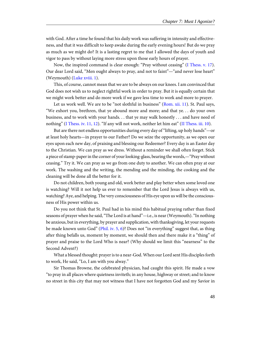with God. After a time he found that his daily work was suffering in intensity and effectiveness, and that it was difficult to keep awake during the early evening hours! But do we pray as much as we might do? It is a lasting regret to me that I allowed the days of youth and vigor to pass by without laying more stress upon those early hours of prayer.

Now, the inspired command is clear enough: "Pray without ceasing" ([I Thess. v. 17\)](http://www.ccel.org/study/Bible:1Thess.5.17). Our dear Lord said, "Men ought always to pray, and not to faint"—"and never lose heart" (Weymouth) [\(Luke xviii. 1\)](http://www.ccel.org/study/Bible:Luke.18.1).

This, of course, cannot mean that we are to be always on our knees. I am convinced that God does not wish us to neglect rightful work in order to pray. But it is equally certain that we might work better and do more work if we gave less time to work and more to prayer.

Let us work well. We are to be "not slothful in business" ([Rom. xii. 11\)](http://www.ccel.org/study/Bible:Rom.12.11). St. Paul says, "We exhort you, brethren, that ye abound more and more; and that ye. . . do your own business, and to work with your hands. . . that ye may walk honestly . . . and have need of nothing" ([I Thess. iv. 11, 12\)](http://www.ccel.org/study/Bible:1Thess.4.11-1Thess.4.12). "If any will not work, neither let him eat" ([II Thess. iii. 10](http://www.ccel.org/study/Bible:2Thess.3.10)).

But are there not endless opportunities during every day of "lifting, up holy hands"—or at least holy hearts—in prayer to our Father? Do we seize the opportunity, as we open our eyes upon each new day, of praising and blessing our Redeemer? Every day is an Easter day to the Christian. We can pray as we dress. Without a reminder we shall often forget. Stick a piece of stamp-paper in the corner of your looking-glass, bearing the words,—"Pray without ceasing." Try it. We can pray as we go from one duty to another. We can often pray at our work. The washing and the writing, the mending and the minding, the cooking and the cleaning will be done all the better for it.

Do not children, both young and old, work better and play better when some loved one is watching? Will it not help us ever to remember that the Lord Jesus is always with us, watching? Aye, and helping. The very consciousness of His eye upon us will be the consciousness of His power within us.

Do you not think that St. Paul had in his mind this habitual praying rather than fixed seasons of prayer when he said, "The Lord is at hand"—i.e., is near (Weymouth). "In nothing be anxious, but in everything, by prayer and supplication, with thanksgiving, let your requests be made known unto God" [\(Phil. iv. 5, 6\)](http://www.ccel.org/study/Bible:Phil.4.5-Phil.4.6)? Does not "in everything" suggest that, as thing after thing befalls us, moment by moment, we should then and there make it a "thing" of prayer and praise to the Lord Who is near? (Why should we limit this "nearness" to the Second Advent?)

What a blessed thought: prayer is to a near-God. When our Lord sent His disciples forth to work, He said, "Lo, I am with you alway."

Sir Thomas Browne, the celebrated physician, had caught this spirit. He made a vow "to pray in all places where quietness inviteth; in any house, highway or street; and to know no street in this city that may not witness that I have not forgotten God and my Savior in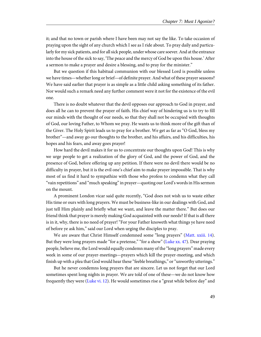it; and that no town or parish where I have been may not say the like. To take occasion of praying upon the sight of any church which I see as I ride about. To pray daily and particularly for my sick patients, and for all sick people, under whose care soever. And at the entrance into the house of the sick to say, 'The peace and the mercy of God be upon this house.' After a sermon to make a prayer and desire a blessing, and to pray for the minister."

But we question if this habitual communion with our blessed Lord is possible unless we have times—whether long or brief—of definite prayer. And what of these prayer seasons? We have said earlier that prayer is as simple as a little child asking something of its father. Nor would such a remark need any further comment were it not for the existence of the evil one.

There is no doubt whatever that the devil opposes our approach to God in prayer, and does all he can to prevent the prayer of faith. His chief way of hindering us is to try to fill our minds with the thought of our needs, so that they shall not be occupied with thoughts of God, our loving Father, to Whom we pray. He wants us to think more of the gift than of the Giver. The Holy Spirit leads us to pray for a brother. We get as far as "O God, bless my brother"—and away go our thoughts to the brother, and his affairs, and his difficulties, his hopes and his fears, and away goes prayer!

How hard the devil makes it for us to concentrate our thoughts upon God! This is why we urge people to get a realization of the glory of God, and the power of God, and the presence of God, before offering up any petition. If there were no devil there would be no difficulty in prayer, but it is the evil one's chief aim to make prayer impossible. That is why most of us find it hard to sympathize with those who profess to condemn what they call "vain repetitions" and "much speaking" in prayer—quoting our Lord's words in His sermon on the mount.

A prominent London vicar said quite recently, "God does not wish us to waste either His time or ours with long prayers. We must be business-like in our dealings with God, and just tell Him plainly and briefly what we want, and leave the matter there." But does our friend think that prayer is merely making God acquainted with our needs? If that is all there is in it, why, there is no need of prayer! "For your Father knoweth what things ye have need of before ye ask him," said our Lord when urging the disciples to pray.

We are aware that Christ Himself condemned some "long prayers" ([Matt. xxiii. 14\)](http://www.ccel.org/study/Bible:Matt.23.14). But they were long prayers made "for a pretense," "for a show" ([Luke xx. 47\)](http://www.ccel.org/study/Bible:Luke.20.47). Dear praying people, believe me, the Lord would equally condemn many of the "long prayers" made every week in some of our prayer-meetings—prayers which kill the prayer-meeting, and which finish up with a plea that God would hear these "feeble breathings," or "unworthy utterings."

But he never condemns long prayers that are sincere. Let us not forget that our Lord sometimes spent long nights in prayer. We are told of one of these—we do not know how frequently they were ([Luke vi. 12](http://www.ccel.org/study/Bible:Luke.6.12)). He would sometimes rise a "great while before day" and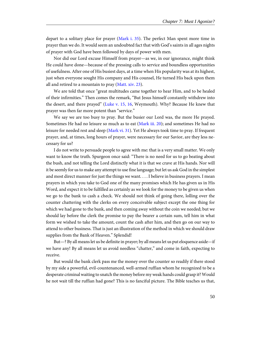depart to a solitary place for prayer [\(Mark i. 35\)](http://www.ccel.org/study/Bible:Mark.1.35). The perfect Man spent more time in prayer than we do. It would seem an undoubted fact that with God's saints in all ages nights of prayer with God have been followed by days of power with men.

Nor did our Lord excuse Himself from prayer—as we, in our ignorance, might think He could have done—because of the pressing calls to service and boundless opportunities of usefulness. After one of His busiest days, at a time when His popularity was at its highest, just when everyone sought His company and His counsel, He turned His back upon them all and retired to a mountain to pray ([Matt. xiv. 23\)](http://www.ccel.org/study/Bible:Matt.14.23).

We are told that once "great multitudes came together to hear Him, and to be healed of their infirmities." Then comes the remark, "But Jesus himself constantly withdrew into the desert, and there prayed" ([Luke v. 15, 16](http://www.ccel.org/study/Bible:Luke.5.15-Luke.5.16), Weymouth). Why? Because He knew that prayer was then far more potent than "service."

We say we are too busy to pray. But the busier our Lord was, the more He prayed. Sometimes He had no leisure so much as to eat ([Mark iii. 20\)](http://www.ccel.org/study/Bible:Mark.3.20); and sometimes He had no leisure for needed rest and sleep [\(Mark vi. 31\)](http://www.ccel.org/study/Bible:Mark.6.31). Yet He always took time to pray. If frequent prayer, and, at times, long hours of prayer, were necessary for our Savior, are they less necessary for us?

I do not write to persuade people to agree with me: that is a very small matter. We only want to know the truth. Spurgeon once said: "There is no need for us to go beating about the bush, and not telling the Lord distinctly what it is that we crave at His hands. Nor will it be seemly for us to make any attempt to use fine language; but let us ask God in the simplest and most direct manner for just the things we want. . . . I believe in business prayers. I mean prayers in which you take to God one of the many promises which He has given us in His Word, and expect it to be fulfilled as certainly as we look for the money to be given us when we go to the bank to cash a check. We should not think of going there, lolling over the counter chattering with the clerks on every conceivable subject except the one thing for which we had gone to the bank, and then coming away without the coin we needed; but we should lay before the clerk the promise to pay the bearer a certain sum, tell him in what form we wished to take the amount, count the cash after him, and then go on our way to attend to other business. That is just an illustration of the method in which we should draw supplies from the Bank of Heaven." Splendid!

But—? By all means let us be definite in prayer; by all means let us put eloquence aside—if we have any! By all means let us avoid needless "chatter," and come in faith, expecting to receive.

But would the bank clerk pass me the money over the counter so readily if there stood by my side a powerful, evil-countenanced, well-armed ruffian whom he recognized to be a desperate criminal waiting to snatch the money before my weak hands could grasp it? Would he not wait till the ruffian had gone? This is no fanciful picture. The Bible teaches us that,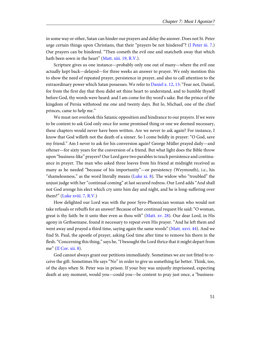in some way or other, Satan can hinder our prayers and delay the answer. Does not St. Peter urge certain things upon Christians, that their "prayers be not hindered"? ([I Peter iii. 7.](http://www.ccel.org/study/Bible:1Pet.3.7)) Our prayers can be hindered. "Then cometh the evil one and snatcheth away that which hath been sown in the heart" ([Matt. xiii. 19, R.V.\)](http://www.ccel.org/study/Bible:Matt.13.19).

Scripture gives us one instance—probably only one out of many—where the evil one actually kept back—delayed—for three weeks an answer to prayer. We only mention this to show the need of repeated prayer, persistence in prayer, and also to call attention to the extraordinary power which Satan possesses. We refer to [Daniel x. 12, 13:](http://www.ccel.org/study/Bible:Dan.10.12-Dan.10.13) "Fear not, Daniel, for from the first day that thou didst set thine heart to understand, and to humble thyself before God, thy words were heard: and I am come for thy word's sake. But the prince of the kingdom of Persia withstood me one and twenty days. But lo, Michael, one of the chief princes, came to help me."

We must not overlook this Satanic opposition and hindrance to our prayers. If we were to be content to ask God only once for some promised thing or one we deemed necessary, these chapters would never have been written. Are we never to ask again? For instance, I know that God willeth not the death of a sinner. So I come boldly in prayer: "O God, save my friend." Am I never to ask for his conversion again? George Müller prayed daily—and oftener—for sixty years for the conversion of a friend. But what light does the Bible throw upon "business-like" prayers? Our Lord gave two parables to teach persistence and continuance in prayer. The man who asked three loaves from his friend at midnight received as many as he needed "because of his importunity"—or persistency (Weymouth), i.e., his "shamelessness," as the word literally means [\(Luke xi. 8](http://www.ccel.org/study/Bible:Luke.11.8)). The widow who "troubled" the unjust judge with her "continual coming" at last secured redress. Our Lord adds "And shall not God avenge his elect which cry unto him day and night, and he is long-suffering over them?" ([Luke xviii. 7, R.V.](http://www.ccel.org/study/Bible:Luke.18.7))

How delighted our Lord was with the poor Syro-Phoenician woman who would not take refusals or rebuffs for an answer! Because of her continual request He said: "O woman, great is thy faith: be it unto thee even as thou wilt" ([Matt. xv. 28](http://www.ccel.org/study/Bible:Matt.15.28)). Our dear Lord, in His agony in Gethsemane, found it necessary to repeat even His prayer. "And he left them and went away and prayed a third time, saying again the same words" ([Matt. xxvi. 44](http://www.ccel.org/study/Bible:Matt.26.44)). And we find St. Paul, the apostle of prayer, asking God time after time to remove his thorn in the flesh. "Concerning this thing," says he, "I besought the Lord thrice that it might depart from me" [\(II Cor. xii. 8\)](http://www.ccel.org/study/Bible:2Cor.12.8).

God cannot always grant our petitions immediately. Sometimes we are not fitted to receive the gift. Sometimes He says "No" in order to give us something far better. Think, too, of the days when St. Peter was in prison. If your boy was unjustly imprisoned, expecting death at any moment, would you—could you—be content to pray just once, a "business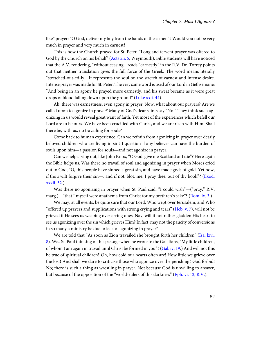like" prayer: "O God, deliver my boy from the hands of these men"? Would you not be very much in prayer and very much in earnest?

This is how the Church prayed for St. Peter. "Long and fervent prayer was offered to God by the Church on his behalf" [\(Acts xii. 5](http://www.ccel.org/study/Bible:Acts.12.5), Weymouth). Bible students will have noticed that the A.V. rendering, "without ceasing," reads "earnestly" in the R.V. Dr. Torrey points out that neither translation gives the full force of the Greek. The word means literally "stretched-out-ed-ly." It represents the soul on the stretch of earnest and intense desire. Intense prayer was made for St. Peter. The very same word is used of our Lord in Gethsemane: "And being in an agony he prayed more earnestly, and his sweat became as it were great drops of blood falling down upon the ground" [\(Luke xxii. 44](http://www.ccel.org/study/Bible:Luke.22.44)).

Ah! there was earnestness, even agony in prayer. Now, what about our prayers? Are we called upon to agonize in prayer? Many of God's dear saints say "No!" They think such agonizing in us would reveal great want of faith. Yet most of the experiences which befell our Lord are to be ours. We have been crucified with Christ, and we are risen with Him. Shall there be, with us, no travailing for souls?

Come back to human experience. Can we refrain from agonizing in prayer over dearly beloved children who are living in sin? I question if any believer can have the burden of souls upon him—a passion for souls—and not agonize in prayer.

Can we help crying out, like John Knox, "O God, give me Scotland or I die"? Here again the Bible helps us. Was there no travail of soul and agonizing in prayer when Moses cried out to God, "O, this people have sinned a great sin, and have made gods of gold. Yet now, if thou wilt forgive their sin—; and if not, blot, me, I pray thee, out of thy book"? ([Exod.](http://www.ccel.org/study/Bible:Exod.32.32) [xxxii. 32](http://www.ccel.org/study/Bible:Exod.32.32).)

Was there no agonizing in prayer when St. Paul said, "I could wish"—("pray," R.V. marg.)—"that I myself were anathema from Christ for my brethren's sake"? [\(Rom. ix. 3](http://www.ccel.org/study/Bible:Rom.9.3).)

We may, at all events, be quite sure that our Lord, Who wept over Jerusalem, and Who "offered up prayers and supplications with strong crying and tears" ([Heb. v. 7\)](http://www.ccel.org/study/Bible:Heb.5.7), will not be grieved if He sees us weeping over erring ones. Nay, will it not rather gladden His heart to see us agonizing over the sin which grieves Him? In fact, may not the paucity of conversions in so many a ministry be due to lack of agonizing in prayer?

We are told that "As soon as Zion travailed she brought forth her children" ([Isa. lxvi.](http://www.ccel.org/study/Bible:Isa.66.8) [8](http://www.ccel.org/study/Bible:Isa.66.8)). Was St. Paul thinking of this passage when he wrote to the Galatians, "My little children, of whom I am again in travail until Christ be formed in you"? [\(Gal. iv. 19.](http://www.ccel.org/study/Bible:Gal.4.19)) And will not this be true of spiritual children? Oh, how cold our hearts often are! How little we grieve over the lost! And shall we dare to criticise those who agonize over the perishing? God forbid! No; there is such a thing as wrestling in prayer. Not because God is unwilling to answer, but because of the opposition of the "world-rulers of this darkness" ([Eph. vi. 12, R.V.\)](http://www.ccel.org/study/Bible:Eph.6.12).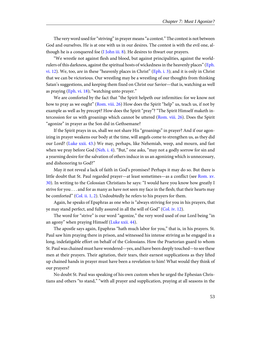The very word used for "striving" in prayer means "a contest." The contest is not between God and ourselves. He is at one with us in our desires. The contest is with the evil one, although he is a conquered foe [\(I John iii. 8](http://www.ccel.org/study/Bible:1John.3.8)). He desires to thwart our prayers.

"We wrestle not against flesh and blood, but against principalities, against the worldrulers of this darkness, against the spiritual hosts of wickedness in the heavenly places" ([Eph.](http://www.ccel.org/study/Bible:Eph.6.12) [vi. 12\)](http://www.ccel.org/study/Bible:Eph.6.12). We, too, are in these "heavenly places in Christ" ([Eph. i. 3\)](http://www.ccel.org/study/Bible:Eph.1.3); and it is only in Christ that we can be victorious. Our wrestling may be a wrestling of our thoughts from thinking Satan's suggestions, and keeping them fixed on Christ our Savior—that is, watching as well as praying  $(Eph. vi. 18)$  $(Eph. vi. 18)$ ; "watching unto prayer."

We are comforted by the fact that "the Spirit helpeth our infirmities: for we know not how to pray as we ought" ([Rom. viii. 26](http://www.ccel.org/study/Bible:Rom.8.26)) How does the Spirit "help" us, teach us, if not by example as well as by precept? How does the Spirit "pray"? "The Spirit Himself maketh intercession for us with groanings which cannot be uttered [\(Rom. viii. 26\)](http://www.ccel.org/study/Bible:Rom.8.26). Does the Spirit "agonize" in prayer as the Son did in Gethsemane?

If the Spirit prays in us, shall we not share His "groanings" in prayer? And if our agonizing in prayer weakens our body at the time, will angels come to strengthen us, as they did our Lord? ([Luke xxii. 43.](http://www.ccel.org/study/Bible:Luke.22.43)) We may, perhaps, like Nehemiah, weep, and mourn, and fast when we pray before God ([Neh. i. 4\)](http://www.ccel.org/study/Bible:Neh.1.4). "But," one asks, "may not a godly sorrow for sin and a yearning desire for the salvation of others induce in us an agonizing which is unnecessary, and dishonoring to God?"

May it not reveal a lack of faith in God's promises? Perhaps it may do so. But there is little doubt that St. Paul regarded prayer—at least sometimes—as a conflict (see [Rom. xv.](http://www.ccel.org/study/Bible:Rom.15.30) [30\)](http://www.ccel.org/study/Bible:Rom.15.30). In writing to the Colossian Christians he says: "I would have you know how greatly I strive for you . . . and for as many as have not seen my face in the flesh; that their hearts may be comforted" ([Col. ii. 1, 2\)](http://www.ccel.org/study/Bible:Col.2.1-Col.2.2). Undoubtedly he refers to his prayers for them.

Again, he speaks of Epaphras as one who is "always striving for you in his prayers, that ye may stand perfect, and fully assured in all the will of God" [\(Col. iv. 12\)](http://www.ccel.org/study/Bible:Col.4.12).

The word for "strive" is our word "agonize," the very word used of our Lord being "in an agony" when praying Himself [\(Luke xxii. 44\)](http://www.ccel.org/study/Bible:Luke.22.44).

The apostle says again, Epaphras "hath much labor for you," that is, in his prayers. St. Paul saw him praying there in prison, and witnessed his intense striving as he engaged in a long, indefatigable effort on behalf of the Colossians. How the Praetorian guard to whom St. Paul was chained must have wondered—yes, and have been deeply touched—to see these men at their prayers. Their agitation, their tears, their earnest supplications as they lifted up chained hands in prayer must have been a revelation to him! What would they think of our prayers?

No doubt St. Paul was speaking of his own custom when he urged the Ephesian Christians and others "to stand," "with all prayer and supplication, praying at all seasons in the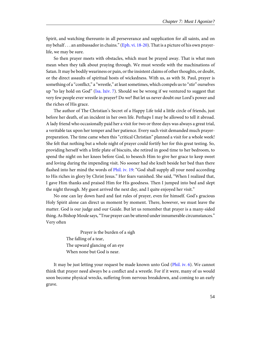Spirit, and watching thereunto in all perseverance and supplication for all saints, and on my behalf . . . an ambassador in chains." [\(Eph. vi. 18-20\)](http://www.ccel.org/study/Bible:Eph.6.18-Eph.6.20). That is a picture of his own prayerlife, we may be sure.

So then prayer meets with obstacles, which must be prayed away. That is what men mean when they talk about praying through. We must wrestle with the machinations of Satan. It may be bodily weariness or pain, or the insistent claims of other thoughts, or doubt, or the direct assaults of spiritual hosts of wickedness. With us, as with St. Paul, prayer is something of a "conflict," a "wrestle," at least sometimes, which compels us to "stir" ourselves up "to lay hold on God" [\(Isa. lxiv. 7](http://www.ccel.org/study/Bible:Isa.64.7)). Should we be wrong if we ventured to suggest that very few people ever wrestle in prayer? Do we? But let us never doubt our Lord's power and the riches of His grace.

The author of The Christian's Secret of a Happy Life told a little circle of friends, just before her death, of an incident in her own life. Perhaps I may be allowed to tell it abroad. A lady friend who occasionally paid her a visit for two or three days was always a great trial, a veritable tax upon her temper and her patience. Every such visit demanded much prayerpreparation. The time came when this "critical Christian" planned a visit for a whole week! She felt that nothing but a whole night of prayer could fortify her for this great testing. So, providing herself with a little plate of biscuits, she retired in good time to her bedroom, to spend the night on her knees before God, to beseech Him to give her grace to keep sweet and loving during the impending visit. No sooner had she knelt beside her bed than there flashed into her mind the words of [Phil. iv. 19](http://www.ccel.org/study/Bible:Phil.4.19): "God shall supply all your need according to His riches in glory by Christ Jesus." Her fears vanished. She said, "When I realized that, I gave Him thanks and praised Him for His goodness. Then I jumped into bed and slept the night through. My guest arrived the next day, and I quite enjoyed her visit."

No one can lay down hard and fast rules of prayer, even for himself. God's gracious Holy Spirit alone can direct us moment by moment. There, however, we must leave the matter. God is our judge and our Guide. But let us remember that prayer is a many-sided thing. As Bishop Moule says, "True prayer can be uttered under innumerable circumstances." Very often

> Prayer is the burden of a sigh The falling of a tear, The upward glancing of an eye When none but God is near.

It may be just letting your request be made known unto God ([Phil. iv. 6\)](http://www.ccel.org/study/Bible:Phil.4.6). We cannot think that prayer need always be a conflict and a wrestle. For if it were, many of us would soon become physical wrecks, suffering from nervous breakdown, and coming to an early grave.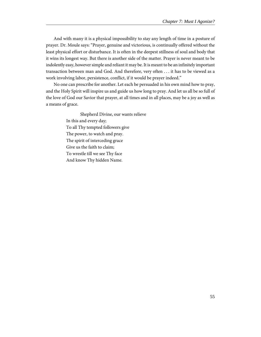And with many it is a physical impossibility to stay any length of time in a posture of prayer. Dr. Moule says: "Prayer, genuine and victorious, is continually offered without the least physical effort or disturbance. It is often in the deepest stillness of soul and body that it wins its longest way. But there is another side of the matter. Prayer is never meant to be indolently easy, however simple and reliant it may be. It is meant to be an infinitely important transaction between man and God. And therefore, very often . . . it has to be viewed as a work involving labor, persistence, conflict, if it would be prayer indeed."

No one can prescribe for another. Let each be persuaded in his own mind how to pray, and the Holy Spirit will inspire us and guide us how long to pray. And let us all be so full of the love of God our Savior that prayer, at all times and in all places, may be a joy as well as a means of grace.

> Shepherd Divine, our wants relieve In this and every day; To all Thy tempted followers give The power, to watch and pray. The spirit of interceding grace Give us the faith to claim; To wrestle till we see Thy face And know Thy hidden Name.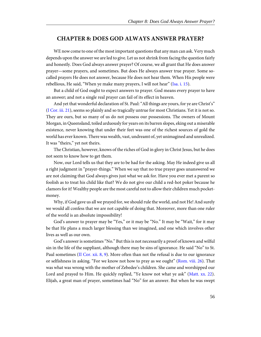### **CHAPTER 8: DOES GOD ALWAYS ANSWER PRAYER?**

WE now come to one of the most important questions that any man can ask. Very much depends upon the answer we are led to give. Let us not shrink from facing the question fairly and honestly. Does God always answer prayer? Of course, we all grant that He does answer prayer—some prayers, and sometimes. But does He always answer true prayer. Some socalled prayers He does not answer, because He does not hear them. When His people were rebellious, He said, "When ye make many prayers, I will not hear" [\(Isa. i. 15\)](http://www.ccel.org/study/Bible:Isa.1.15).

But a child of God ought to expect answers to prayer. God means every prayer to have an answer; and not a single real prayer can fail of its effect in heaven.

And yet that wonderful declaration of St. Paul: "All things are yours, for ye are Christ's" ([I Cor. iii. 21\)](http://www.ccel.org/study/Bible:1Cor.3.21), seems so plainly and so tragically untrue for most Christians. Yet it is not so. They are ours, but so many of us do not possess our possessions. The owners of Mount Morgan, in Queensland, toiled arduously for years on its barren slopes, eking out a miserable existence, never knowing that under their feet was one of the richest sources of gold the world has ever known. There was wealth, vast, undreamt of, yet unimagined and unrealized. It was "theirs," yet not theirs.

The Christian, however, knows of the riches of God in glory in Christ Jesus, but he does not seem to know how to get them.

Now, our Lord tells us that they are to be had for the asking. May He indeed give us all a right judgment in "prayer-things." When we say that no true prayer goes unanswered we are not claiming that God always gives just what we ask for. Have you ever met a parent so foolish as to treat his child like that? We do not give our child a red-hot poker because he clamors for it! Wealthy people are the most careful not to allow their children much pocketmoney.

Why, if God gave us all we prayed for, we should rule the world, and not He! And surely we would all confess that we are not capable of doing that. Moreover, more than one ruler of the world is an absolute impossibility!

God's answer to prayer may be "Yes," or it may be "No." It may be "Wait," for it may be that He plans a much larger blessing than we imagined, and one which involves other lives as well as our own.

God's answer is sometimes "No." But this is not necessarily a proof of known and wilful sin in the life of the suppliant, although there may be sins of ignorance. He said "No" to St. Paul sometimes [\(II Cor. xii. 8, 9](http://www.ccel.org/study/Bible:2Cor.12.8-2Cor.12.9)). More often than not the refusal is due to our ignorance or selfishness in asking. "For we know not how to pray as we ought" ([Rom. viii. 26](http://www.ccel.org/study/Bible:Rom.8.26)). That was what was wrong with the mother of Zebedee's children. She came and worshipped our Lord and prayed to Him. He quickly replied, "Ye know not what ye ask" ([Matt. xx. 22\)](http://www.ccel.org/study/Bible:Matt.20.22). Elijah, a great man of prayer, sometimes had "No" for an answer. But when he was swept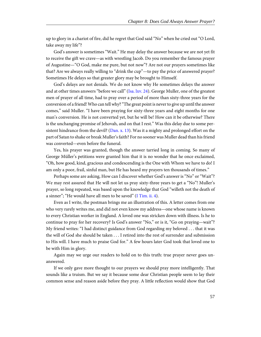up to glory in a chariot of fire, did he regret that God said "No" when he cried out "O Lord, take away my life"?

God's answer is sometimes "Wait." He may delay the answer because we are not yet fit to receive the gift we crave—as with wrestling Jacob. Do you remember the famous prayer of Augustine—"O God, make me pure, but not now"? Are not our prayers sometimes like that? Are we always really willing to "drink the cup"—to pay the price of answered prayer? Sometimes He delays so that greater glory may be brought to Himself.

God's delays are not denials. We do not know why He sometimes delays the answer and at other times answers "before we call" [\(Isa. lxv. 24\)](http://www.ccel.org/study/Bible:Isa.65.24). George Muller, one of the greatest men of prayer of all time, had to pray over a period of more than sixty-three years for the conversion of a friend! Who can tell why? "The great point is never to give up until the answer comes," said Muller. "I have been praying for sixty-three years and eight months for one man's conversion. He is not converted yet, but he will be! How can it be otherwise? There is the unchanging promise of Jehovah, and on that I rest." Was this delay due to some per-sistent hindrance from the devil? [\(Dan. x. 13\)](http://www.ccel.org/study/Bible:Dan.10.13). Was it a mighty and prolonged effort on the part of Satan to shake or break Muller's faith? For no sooner was Muller dead than his friend was converted—even before the funeral.

Yes, his prayer was granted, though the answer tarried long in coming. So many of George Müller's petitions were granted him that it is no wonder that he once exclaimed, "Oh, how good, kind, gracious and condescending is the One with Whom we have to do! I am only a poor, frail, sinful man, but He has heard my prayers ten thousands of times."

Perhaps some are asking, How can I discover whether God's answer is "No" or "Wait"? We may rest assured that He will not let us pray sixty-three years to get a "No"! Muller's prayer, so long repeated, was based upon the knowledge that God "willeth not the death of a sinner"; "He would have all men to be saved" [\(I Tim. ii. 4](http://www.ccel.org/study/Bible:1Tim.2.4)).

Even as I write, the postman brings me an illustration of this. A letter comes from one who very rarely writes me, and did not even know my address—one whose name is known to every Christian worker in England. A loved one was stricken down with illness. Is he to continue to pray for her recovery? Is God's answer "No," or is it, "Go on praying—wait"? My friend writes: "I had distinct guidance from God regarding my beloved . . . that it was the will of God she should be taken . . . I retired into the rest of surrender and submission to His will. I have much to praise God for." A few hours later God took that loved one to be with Him in glory.

Again may we urge our readers to hold on to this truth: true prayer never goes unanswered.

If we only gave more thought to our prayers we should pray more intelligently. That sounds like a truism. But we say it because some dear Christian people seem to lay their common sense and reason aside before they pray. A little reflection would show that God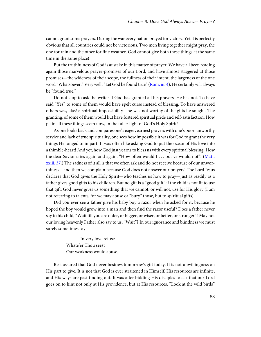cannot grant some prayers. During the war every nation prayed for victory. Yet it is perfectly obvious that all countries could not be victorious. Two men living together might pray, the one for rain and the other for fine weather. God cannot give both these things at the same time in the same place!

But the truthfulness of God is at stake in this matter of prayer. We have all been reading again those marvelous prayer-promises of our Lord, and have almost staggered at those promises—the wideness of their scope, the fullness of their intent, the largeness of the one word "Whatsoever." Very well! "Let God be found true" ([Rom. iii. 4](http://www.ccel.org/study/Bible:Rom.3.4)). He certainly will always be "found true."

Do not stop to ask the writer if God has granted all his prayers. He has not. To have said "Yes" to some of them would have spelt curse instead of blessing. To have answered others was, alas! a spiritual impossibility—he was not worthy of the gifts he sought. The granting, of some of them would but have fostered spiritual pride and self-satisfaction. How plain all these things seem now, in the fuller light of God's Holy Spirit!

As one looks back and compares one's eager, earnest prayers with one's poor, unworthy service and lack of true spirituality, one sees how impossible it was for God to grant the very things He longed to impart! It was often like asking God to put the ocean of His love into a thimble-heart! And yet, how God just yearns to bless us with every spiritual blessing! How the dear Savior cries again and again, "How often would I . . . but ye would not"! [\(Matt.](http://www.ccel.org/study/Bible:Matt.23.37) [xxiii. 37](http://www.ccel.org/study/Bible:Matt.23.37).) The sadness of it all is that we often ask and do not receive because of our unworthiness—and then we complain because God does not answer our prayers! The Lord Jesus declares that God gives the Holy Spirit—who teaches us how to pray—just as readily as a father gives good gifts to his children. But no gift is a "good gift" if the child is not fit to use that gift. God never gives us something that we cannot, or will not, use for His glory (I am not referring to talents, for we may abuse or "bury" those, but to spiritual gifts).

Did you ever see a father give his baby boy a razor when he asked for it, because he hoped the boy would grow into a man and then find the razor useful? Does a father never say to his child, "Wait till you are older, or bigger, or wiser, or better, or stronger"? May not our loving heavenly Father also say to us, "Wait"? In our ignorance and blindness we must surely sometimes say,

> In very love refuse Whate'er Thou seest Our weakness would abuse.

Rest assured that God never bestows tomorrow's gift today. It is not unwillingness on His part to give. It is not that God is ever straitened in Himself. His resources are infinite, and His ways are past finding out. It was after bidding His disciples to ask that our Lord goes on to hint not only at His providence, but at His resources. "Look at the wild birds"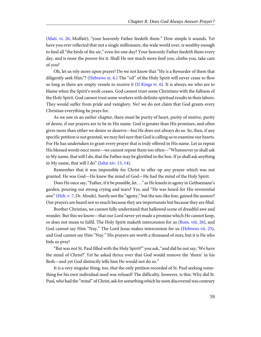([Matt. vi. 26,](http://www.ccel.org/study/Bible:Matt.6.26) Moffatt); "your heavenly Father feedeth them." How simple it sounds. Yet have you ever reflected that not a single millionaire, the wide world over, is wealthy enough to feed all "the birds of the air," even for one day? Your heavenly Father feedeth them every day, and is none the poorer for it. Shall He not much more feed you, clothe you, take care of you?

Oh, let us rely more upon prayer! Do we not know that "He is a Rewarder of them that diligently seek Him"? [\(Hebrews xi. 6.](http://www.ccel.org/study/Bible:Heb.11.6)) The "oil" of the Holy Spirit will never cease to flow so long as there are empty vessels to receive it ([II Kings iv. 6\)](http://www.ccel.org/study/Bible:2Kgs.4.6). It is always we who are to blame when the Spirit's work ceases. God cannot trust some Christians with the fullness of the Holy Spirit. God cannot trust some workers with definite spiritual results in their labors. They would suffer from pride and vainglory. No! we do not claim that God grants every Christian everything he prays for.

As we saw in an earlier chapter, there must be purity of heart, purity of motive, purity of desire, if our prayers are to be in His name. God is greater than His promises, and often gives more than either we desire or deserve—but He does not always do so. So, then, if any specific petition is not granted, we may feel sure that God is calling us to examine our hearts. For He has undertaken to grant every prayer that is truly offered in His name. Let us repeat His blessed words once more—we cannot repeat them too often—"Whatsoever ye shall ask in My name, that will I do, that the Father may be glorified in the Son. If ye shall ask anything in My name, that will I do" [\(John xiv. 13, 14](http://www.ccel.org/study/Bible:John.14.13-John.14.14)).

Remember that it was impossible for Christ to offer up any prayer which was not granted. He was God—He knew the mind of God—He had the mind of the Holy Spirit.

Does He once say, "Father, if it be possible, let. . ." as He kneels in agony in Gethsemane's garden, pouring out strong crying and tears? Yes, and "He was heard for His reverential awe" [\(Heb. v. 7,](http://www.ccel.org/study/Bible:Heb.5.7) Dr. Moule). Surely not the "agony," but the son-like fear, gained the answer? Our prayers are heard not so much because they are importunate but because they are filial.

Brother Christian, we cannot fully understand that hallowed scene of dreadful awe and wonder. But this we know—that our Lord never yet made a promise which He cannot keep, or does not mean to fulfil. The Holy Spirit maketh intercession for us ([Rom. viii. 26](http://www.ccel.org/study/Bible:Rom.8.26)), and God cannot say Him "Nay." The Lord Jesus makes intercession for us [\(Hebrews vii. 25\)](http://www.ccel.org/study/Bible:Heb.7.25), and God cannot say Him "Nay." His prayers are worth a thousand of ours, but it is He who bids us pray!

"But was not St. Paul filled with the Holy Spirit?" you ask, "and did he not say, 'We have the mind of Christ?' Yet he asked thrice over that God would remove the 'thorn' in his flesh—and yet God distinctly tells him He would not do so."

It is a very singular thing, too, that the only petition recorded of St. Paul seeking something for his own individual need was refused! The difficulty, however, is this: Why did St. Paul, who had the "mind" of Christ, ask for something which he soon discovered was contrary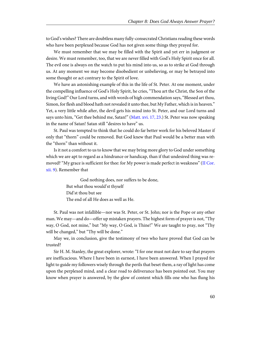to God's wishes? There are doubtless many fully-consecrated Christians reading these words who have been perplexed because God has not given some things they prayed for.

We must remember that we may be filled with the Spirit and yet err in judgment or desire. We must remember, too, that we are never filled with God's Holy Spirit once for all. The evil one is always on the watch to put his mind into us, so as to strike at God through us. At any moment we may become disobedient or unbelieving, or may be betrayed into some thought or act contrary to the Spirit of love.

We have an astonishing example of this in the life of St. Peter. At one moment, under the compelling influence of God's Holy Spirit, he cries, "Thou art the Christ, the Son of the living God!" Our Lord turns, and with words of high commendation says, "Blessed art thou, Simon, for flesh and blood hath not revealed it unto thee, but My Father, which is in heaven." Yet, a very little while after, the devil gets his mind into St. Peter, and our Lord turns and says unto him, "Get thee behind me, Satan!" [\(Matt. xvi. 17, 23.](http://www.ccel.org/study/Bible:Matt.16.17 Bible:Matt.16.23)) St. Peter was now speaking in the name of Satan! Satan still "desires to have" us.

St. Paul was tempted to think that he could do far better work for his beloved Master if only that "thorn" could be removed. But God knew that Paul would be a better man with the "thorn" than without it.

Is it not a comfort to us to know that we may bring more glory to God under something which we are apt to regard as a hindrance or handicap, than if that undesired thing was removed? "My grace is sufficient for thee: for My power is made perfect in weakness" ([II Cor.](http://www.ccel.org/study/Bible:2Cor.12.9) [xii. 9](http://www.ccel.org/study/Bible:2Cor.12.9)). Remember that

> God nothing does, nor suffers to be done, But what thou would'st thyself Did'st thou but see The end of all He does as well as He.

St. Paul was not infallible—nor was St. Peter, or St. John; nor is the Pope or any other man. We may—and do—offer up mistaken prayers. The highest form of prayer is not, "Thy way, O God, not mine," but "My way, O God, is Thine!" We are taught to pray, not "Thy will be changed," but "Thy will be done."

May we, in conclusion, give the testimony of two who have proved that God can be trusted?

Sir H. M. Stanley, the great explorer, wrote: "I for one must not dare to say that prayers are inefficacious. Where I have been in earnest, I have been answered. When I prayed for light to guide my followers wisely through the perils that beset them, a ray of light has come upon the perplexed mind, and a clear road to deliverance has been pointed out. You may know when prayer is answered, by the glow of content which fills one who has flung his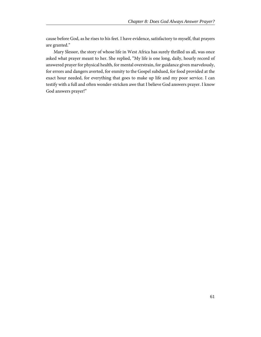cause before God, as he rises to his feet. I have evidence, satisfactory to myself, that prayers are granted."

Mary Slessor, the story of whose life in West Africa has surely thrilled us all, was once asked what prayer meant to her. She replied, "My life is one long, daily, hourly record of answered prayer for physical health, for mental overstrain, for guidance given marvelously, for errors and dangers averted, for enmity to the Gospel subdued, for food provided at the exact hour needed, for everything that goes to make up life and my poor service. I can testify with a full and often wonder-stricken awe that I believe God answers prayer. I know God answers prayer!"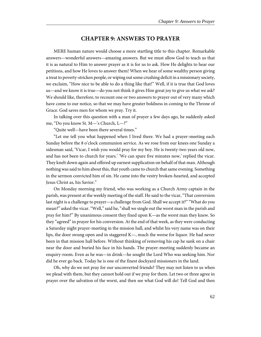# **CHAPTER 9: ANSWERS TO PRAYER**

MERE human nature would choose a more startling title to this chapter. Remarkable answers—wonderful answers—amazing answers. But we must allow God to teach us that it is as natural to Him to answer prayer as it is for us to ask. How He delights to hear our petitions, and how He loves to answer them! When we hear of some wealthy person giving a treat to poverty-stricken people, or wiping out some crushing deficit in a missionary society, we exclaim, "How nice to be able to do a thing like that!" Well, if it is true that God loves us—and we know it is true—do you not think it gives Him great joy to give us what we ask? We should like, therefore, to recount one or two answers to prayer out of very many which have come to our notice, so that we may have greater boldness in coming to the Throne of Grace. God saves men for whom we pray. Try it.

In talking over this question with a man of prayer a few days ago, he suddenly asked me, "Do you know St. M—'s Church, L—?"

"Quite well—have been there several times."

"Let me tell you what happened when I lived there. We had a prayer-meeting each Sunday before the 8 o'clock communion service. As we rose from our knees one Sunday a sidesman said, 'Vicar, I wish you would pray for my boy. He is twenty-two years old now, and has not been to church for years.' 'We can spare five minutes now,' replied the vicar. They knelt down again and offered up earnest supplication on behalf of that man. Although nothing was said to him about this, that youth came to church that same evening. Something in the sermon convicted him of sin. He came into the vestry broken-hearted, and accepted Jesus Christ as, his Savior."

On Monday morning my friend, who was working as a Church Army captain in the parish, was present at the weekly meeting of the staff. He said to the vicar, "That conversion last night is a challenge to prayer—a challenge from God. Shall we accept it?" "What do you mean?" asked the vicar. "Well," said he, "shall we single out the worst man in the parish and pray for him?" By unanimous consent they fixed upon K—as the worst man they knew. So they "agreed" in prayer for his conversion. At the end of that week, as they were conducting a Saturday night prayer-meeting in the mission hall, and whilst his very name was on their lips, the door swung open and in staggered K—, much the worse for liquor. He had never been in that mission hall before. Without thinking of removing his cap he sank on a chair near the door and buried his face in his hands. The prayer-meeting suddenly became an enquiry-room. Even as he was—in drink—he sought the Lord Who was seeking him. Nor did he ever go back. Today he is one of the finest dockyard missioners in the land.

Oh, why do we not pray for our unconverted friends? They may not listen to us when we plead with them, but they cannot hold out if we pray for them. Let two or three agree in prayer over the salvation of the worst, and then see what God will do! Tell God and then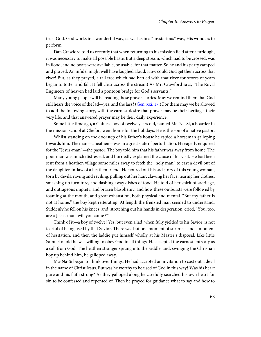trust God. God works in a wonderful way, as well as in a "mysterious" way, His wonders to perform.

Dan Crawford told us recently that when returning to his mission field after a furlough, it was necessary to make all possible haste. But a deep stream, which had to be crossed, was in flood, and no boats were available, or usable, for that matter. So he and his party camped and prayed. An infidel might well have laughed aloud. How could God get them across that river! But, as they prayed, a tall tree which had battled with that river for scores of years began to totter and fall. It fell clear across the stream! As Mr. Crawford says, "The Royal Engineers of heaven had laid a pontoon bridge for God's servants."

Many young people will be reading these prayer-stories. May we remind them that God still hears the voice of the lad—yes, and the lass? ([Gen. xxi. 17](http://www.ccel.org/study/Bible:Gen.21.17).) For them may we be allowed to add the following story, with the earnest desire that prayer may be their heritage, their very life; and that answered prayer may be their daily experience.

Some little time ago, a Chinese boy of twelve years old, named Ma-Na-Si, a boarder in the mission school at Chefoo, went home for the holidays. He is the son of a native pastor.

Whilst standing on the doorstep of his father's house he espied a horseman galloping towards him. The man—a heathen—was in a great state of perturbation. He eagerly enquired for the "Jesus-man"—the pastor. The boy told him that his father was away from home. The poor man was much distressed, and hurriedly explained the cause of his visit. He had been sent from a heathen village some miles away to fetch the "holy man" to cast a devil out of the daughter-in-law of a heathen friend. He poured out his sad story of this young woman, torn by devils, raving and reviling, pulling out her hair, clawing her face, tearing her clothes, smashing up furniture, and dashing away dishes of food. He told of her spirit of sacrilege, and outrageous impiety, and brazen blasphemy, and how these outbursts were followed by foaming at the mouth, and great exhaustion, both physical and mental. "But my father is not at home," the boy kept reiterating. At length the frenzied man seemed to understand. Suddenly he fell on his knees, and, stretching out his hands in desperation, cried, "You, too, are a Jesus-man; will you come ?"

Think of it—a boy of twelve! Yes, but even a lad, when fully yielded to his Savior, is not fearful of being used by that Savior. There was but one moment of surprise, and a moment of hesitation, and then the laddie put himself wholly at his Master's disposal. Like little Samuel of old he was willing to obey God in all things. He accepted the earnest entreaty as a call from God. The heathen stranger sprang into the saddle, and, swinging the Christian boy up behind him, he galloped away.

Ma-Na-Si began to think over things. He had accepted an invitation to cast out a devil in the name of Christ Jesus. But was he worthy to be used of God in this way? Was his heart pure and his faith strong? As they galloped along he carefully searched his own heart for sin to be confessed and repented of. Then he prayed for guidance what to say and how to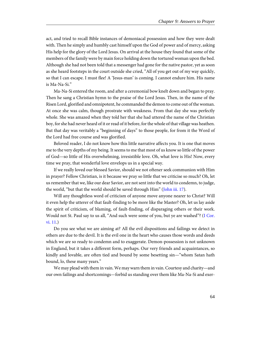act, and tried to recall Bible instances of demoniacal possession and how they were dealt with. Then he simply and humbly cast himself upon the God of power and of mercy, asking His help for the glory of the Lord Jesus. On arrival at the house they found that some of the members of the family were by main force holding down the tortured woman upon the bed. Although she had not been told that a messenger had gone for the native pastor, yet as soon as she heard footsteps in the court outside she cried, "All of you get out of my way quickly, so that I can escape. I must flee! A 'Jesus-man' is coming. I cannot endure him. His name is Ma-Na-Si."

Ma-Na-Si entered the room, and after a ceremonial bow knelt down and began to pray. Then he sang a Christian hymn to the praise of the Lord Jesus. Then, in the name of the Risen Lord, glorified and omnipotent, he commanded the demon to come out of the woman. At once she was calm, though prostrate with weakness. From that day she was perfectly whole. She was amazed when they told her that she had uttered the name of the Christian boy, for she had never heard of it or read of it before, for the whole of that village was heathen. But that day was veritably a "beginning of days" to those people, for from it the Word of the Lord had free course and was glorified.

Beloved reader, I do not know how this little narrative affects you. It is one that moves me to the very depths of my being. It seems to me that most of us know so little of the power of God—so little of His overwhelming, irresistible love. Oh, what love is His! Now, every time we pray, that wonderful love envelops us in a special way.

If we really loved our blessed Savior, should we not oftener seek communion with Him in prayer? Fellow Christian, is it because we pray so little that we criticise so much? Oh, let us remember that we, like our dear Savior, are not sent into the world to condemn, to judge, the world, "but that the world should be saved through Him" [\(John iii. 17](http://www.ccel.org/study/Bible:John.3.17)).

Will any thoughtless word of criticism of anyone move anyone nearer to Christ? Will it even help the utterer of that fault-finding to be more like the Master? Oh, let us lay aside the spirit of criticism, of blaming, of fault-finding, of disparaging others or their work. Would not St. Paul say to us all, "And such were some of you, but ye are washed"? [\(I Cor.](http://www.ccel.org/study/Bible:1Cor.6.11) [vi. 11.](http://www.ccel.org/study/Bible:1Cor.6.11))

Do you see what we are aiming at? All the evil dispositions and failings we detect in others are due to the devil. It is the evil one in the heart who causes those words and deeds which we are so ready to condemn and to exaggerate. Demon-possession is not unknown in England, but it takes a different form, perhaps. Our very friends and acquaintances, so kindly and lovable, are often tied and bound by some besetting sin—"whom Satan hath bound, lo, these many years."

We may plead with them in vain. We may warn them in vain. Courtesy and charity—and our own failings and shortcomings—forbid us standing over them like Ma-Na-Si and exer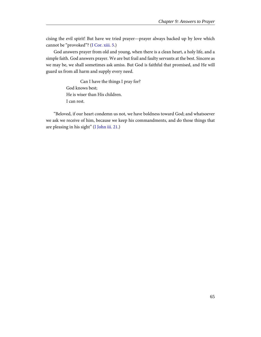cising the evil spirit! But have we tried prayer—prayer always backed up by love which cannot be "provoked"? [\(I Cor. xiii. 5.](http://www.ccel.org/study/Bible:1Cor.13.5))

God answers prayer from old and young, when there is a clean heart, a holy life, and a simple faith. God answers prayer. We are but frail and faulty servants at the best. Sincere as we may be, we shall sometimes ask amiss. But God is faithful that promised, and He will guard us from all harm and supply every need.

> Can I have the things I pray for? God knows best; He is wiser than His children. I can rest.

"Beloved, if our heart condemn us not, we have boldness toward God; and whatsoever we ask we receive of him, because we keep his commandments, and do those things that are pleasing in his sight" ([I John iii. 21.](http://www.ccel.org/study/Bible:1John.3.21))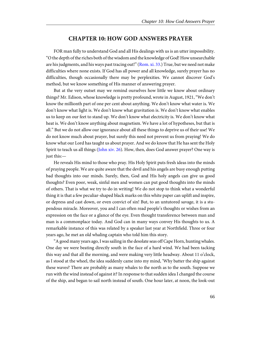#### **CHAPTER 10: HOW GOD ANSWERS PRAYER**

FOR man fully to understand God and all His dealings with us is an utter impossibility. "O the depth of the riches both of the wisdom and the knowledge of God! How unsearchable are his judgments, and his ways past tracing out!" [\(Rom. xi. 33.](http://www.ccel.org/study/Bible:Rom.11.33)) True, but we need not make difficulties where none exists. If God has all power and all knowledge, surely prayer has no difficulties, though occasionally there may be perplexities. We cannot discover God's method, but we know something of His manner of answering prayer.

But at the very outset may we remind ourselves how little we know about ordinary things? Mr. Edison, whose knowledge is pretty profound, wrote in August, 1921, "We don't know the millionth part of one per cent about anything. We don't know what water is. We don't know what light is. We don't know what gravitation is. We don't know what enables us to keep on our feet to stand up. We don't know what electricity is. We don't know what heat is. We don't know anything about magnetism. We have a lot of hypotheses, but that is all." But we do not allow our ignorance about all these things to deprive us of their use! We do not know much about prayer, but surely this need not prevent us from praying! We do know what our Lord has taught us about prayer. And we do know that He has sent the Holy Spirit to teach us all things ([John xiv. 26\)](http://www.ccel.org/study/Bible:John.14.26). How, then, does God answer prayer? One way is just this:—

He reveals His mind to those who pray. His Holy Spirit puts fresh ideas into the minds of praying people. We are quite aware that the devil and his angels are busy enough putting bad thoughts into our minds. Surely, then, God and His holy angels can give us good thoughts? Even poor, weak, sinful men and women can put good thoughts into the minds of others. That is what we try to do in writing! We do not stop to think what a wonderful thing it is that a few peculiar-shaped black marks on this white paper can uplift and inspire, or depress and cast down, or even convict of sin! But, to an untutored savage, it is a stupendous miracle. Moreover, you and I can often read people's thoughts or wishes from an expression on the face or a glance of the eye. Even thought transference between man and man is a commonplace today. And God can in many ways convey His thoughts to us. A remarkable instance of this was related by a speaker last year at Northfield. Three or four years ago, he met an old whaling captain who told him this story.

"A good many years ago, I was sailing in the desolate seas off Cape Horn, hunting whales. One day we were beating directly south in the face of a hard wind. We had been tacking this way and that all the morning, and were making very little headway. About 11 o'clock, as I stood at the wheel, the idea suddenly came into my mind, 'Why batter the ship against these waves? There are probably as many whales to the north as to the south. Suppose we run with the wind instead of against it? In response to that sudden idea I changed the course of the ship, and began to sail north instead of south. One hour later, at noon, the look-out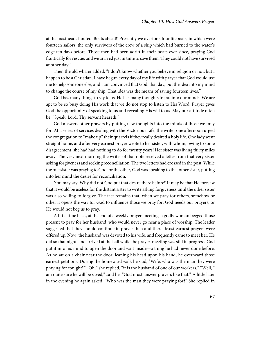at the masthead shouted 'Boats ahead!' Presently we overtook four lifeboats, in which were fourteen sailors, the only survivors of the crew of a ship which had burned to the water's edge ten days before. Those men had been adrift in their boats ever since, praying God frantically for rescue; and we arrived just in time to save them. They could not have survived another day."

Then the old whaler added, "I don't know whether you believe in religion or not, but I happen to be a Christian. I have begun every day of my life with prayer that God would use me to help someone else, and I am convinced that God, that day, put the idea into my mind to change the course of my ship. That idea was the means of saving fourteen lives."

God has many things to say to us. He has many thoughts to put into our minds. We are apt to be so busy doing His work that we do not stop to listen to His Word. Prayer gives God the opportunity of speaking to us and revealing His will to us. May our attitude often be: "Speak, Lord, Thy servant heareth."

God answers other prayers by putting new thoughts into the minds of those we pray for. At a series of services dealing with the Victorious Life, the writer one afternoon urged the congregation to "make up" their quarrels if they really desired a holy life. One lady went straight home, and after very earnest prayer wrote to her sister, with whom, owing to some disagreement, she had had nothing to do for twenty years! Her sister was living thirty miles away. The very next morning the writer of that note received a letter from that very sister asking forgiveness and seeking reconciliation. The two letters had crossed in the post. While the one sister was praying to God for the other, God was speaking to that other sister, putting into her mind the desire for reconciliation.

You may say, Why did not God put that desire there before? It may be that He foresaw that it would be useless for the distant sister to write asking forgiveness until the other sister was also willing to forgive. The fact remains that, when we pray for others, somehow or other it opens the way for God to influence those we pray for. God needs our prayers, or He would not beg us to pray.

A little time back, at the end of a weekly prayer-meeting, a godly woman begged those present to pray for her husband, who would never go near a place of worship. The leader suggested that they should continue in prayer then and there. Most earnest prayers were offered up. Now, the husband was devoted to his wife, and frequently came to meet her. He did so that night, and arrived at the hall while the prayer-meeting was still in progress. God put it into his mind to open the door and wait inside—a thing he had never done before. As he sat on a chair near the door, leaning his head upon his hand, he overheard those earnest petitions. During the homeward walk he said, "Wife, who was the man they were praying for tonight?" "Oh," she replied, "it is the husband of one of our workers." "Well, I am quite sure he will be saved," said he; "God must answer prayers like that." A little later in the evening he again asked, "Who was the man they were praying for?" She replied in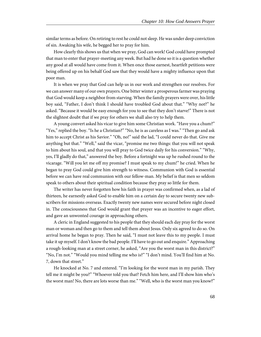similar terms as before. On retiring to rest he could not sleep. He was under deep conviction of sin. Awaking his wife, he begged her to pray for him.

How clearly this shows us that when we pray, God can work! God could have prompted that man to enter that prayer-meeting any week. But had he done so it is a question whether any good at all would have come from it. When once those earnest, heartfelt petitions were being offered up on his behalf God saw that they would have a mighty influence upon that poor man.

It is when we pray that God can help us in our work and strengthen our resolves. For we can answer many of our own prayers. One bitter winter a prosperous farmer was praying that God would keep a neighbor from starving. When the family prayers were over, his little boy said, "Father, I don't think I should have troubled God about that." "Why not?" he asked. "Because it would be easy enough for you to see that they don't starve!" There is not the slightest doubt that if we pray for others we shall also try to help them.

A young convert asked his vicar to give him some Christian work. "Have you a chum?" "Yes," replied the boy. "Is he a Christian?" "No, he is as careless as I was." "Then go and ask him to accept Christ as his Savior." "Oh, no!" said the lad, "I could never do that. Give me anything but that." "Well," said the vicar, "promise me two things: that you will not speak to him about his soul, and that you will pray to God twice daily for his conversion." "Why, yes, I'll gladly do that," answered the boy. Before a fortnight was up he rushed round to the vicarage. "Will you let me off my promise? I must speak to my chum!" he cried. When he began to pray God could give him strength to witness. Communion with God is essential before we can have real communion with our fellow-man. My belief is that men so seldom speak to others about their spiritual condition because they pray so little for them.

The writer has never forgotten how his faith in prayer was confirmed when, as a lad of thirteen, he earnestly asked God to enable him on a certain day to secure twenty new subscribers for missions overseas. Exactly twenty new names were secured before night closed in. The consciousness that God would grant that prayer was an incentive to eager effort, and gave an unwonted courage in approaching others.

A cleric in England suggested to his people that they should each day pray for the worst man or woman and then go to them and tell them about Jesus. Only six agreed to do so. On arrival home he began to pray. Then he said, "I must not leave this to my people. I must take it up myself. I don't know the bad people. I'll have to go out and enquire." Approaching a rough-looking man at a street corner, he asked, "Are you the worst man in this district?" "No, I'm not." "Would you mind telling me who is?" "I don't mind. You'll find him at No. 7, down that street."

He knocked at No. 7 and entered. "I'm looking for the worst man in my parish. They tell me it might be you?" "Whoever told you that? Fetch him here, and I'll show him who's the worst man! No, there are lots worse than me." "Well, who is the worst man you know?"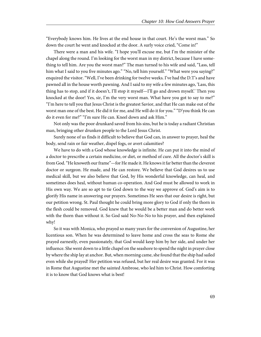"Everybody knows him. He lives at the end house in that court. He's the worst man." So down the court he went and knocked at the door. A surly voice cried, "Come in!"

There were a man and his wife. "I hope you'll excuse me, but I'm the minister of the chapel along the round. I'm looking for the worst man in my district, because I have something to tell him. Are you the worst man?" The man turned to his wife and said, "Lass, tell him what I said to you five minutes ago." "No, tell him yourself." "What were you saying?" enquired the visitor. "Well, I've been drinking for twelve weeks. I've had the D.T's and have pawned all in the house worth pawning. And I said to my wife a few minutes ago, 'Lass, this thing has to stop, and if it doesn't, I'll stop it myself—I'll go and drown myself.' Then you knocked at the door! Yes, sir, I'm the very worst man. What have you got to say to me?" "I'm here to tell you that Jesus Christ is the greatest Savior, and that He can make out of the worst man one of the best. He did it for me, and He will do it for you." "D'you think He can do it even for me?" "I'm sure He can. Kneel down and ask Him."

Not only was the poor drunkard saved from his sins, but he is today a radiant Christian man, bringing other drunken people to the Lord Jesus Christ.

Surely none of us finds it difficult to believe that God can, in answer to prayer, heal the body, send rain or fair weather, dispel fogs, or avert calamities?

We have to do with a God whose knowledge is infinite. He can put it into the mind of a doctor to prescribe a certain medicine, or diet, or method of cure. All the doctor's skill is from God. "He knoweth our frame"—for He made it. He knows it far better than the cleverest doctor or surgeon. He made, and He can restore. We believe that God desires us to use medical skill, but we also believe that God, by His wonderful knowledge, can heal, and sometimes does heal, without human co-operation. And God must be allowed to work in His own way. We are so apt to tie God down to the way we approve of. God's aim is to glorify His name in answering our prayers. Sometimes He sees that our desire is right, but our petition wrong. St. Paul thought he could bring more glory to God if only the thorn in the flesh could be removed. God knew that he would be a better man and do better work with the thorn than without it. So God said No-No-No to his prayer, and then explained why!

So it was with Monica, who prayed so many years for the conversion of Augustine, her licentious son. When he was determined to leave home and cross the seas to Rome she prayed earnestly, even passionately, that God would keep him by her side, and under her influence. She went down to a little chapel on the seashore to spend the night in prayer close by where the ship lay at anchor. But, when morning came, she found that the ship had sailed even while she prayed! Her petition was refused, but her real desire was granted. For it was in Rome that Augustine met the sainted Ambrose, who led him to Christ. How comforting it is to know that God knows what is best!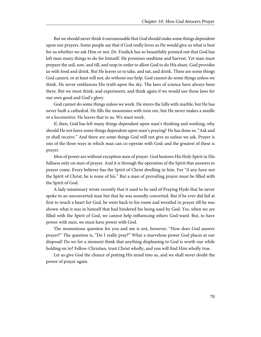But we should never think it unreasonable that God should make some things dependent upon our prayers. Some people say that if God really loves us He would give us what is best for us whether we ask Him or not. Dr. Fosdick has so beautifully pointed out that God has left man many things to do for himself. He promises seedtime and harvest. Yet man must prepare the soil, sow, and till, and reap in order to allow God to do His share. God provides us with food and drink. But He leaves us to take, and eat, and drink. There are some things God cannot, or at least will not, do without our help. God cannot do some things unless we think. He never emblazons His truth upon the sky. The laws of science have always been there. But we must think, and experiment, and think again if we would use those laws for our own good and God's glory.

God cannot do some things unless we work. He stores the hills with marble, but He has never built a cathedral. He fills the mountains with iron ore, but He never makes a needle or a locomotive. He leaves that to us. We must work.

If, then, God has left many things dependent upon man's thinking and working, why should He not leave some things dependent upon man's praying? He has done so. "Ask and ye shall receive." And there are some things God will not give us unless we ask. Prayer is one of the three ways in which man can co-operate with God; and the greatest of these is prayer.

Men of power are without exception men of prayer. God bestows His Holy Spirit in His fullness only on men of prayer. And it is through the operation of the Spirit that answers to prayer come. Every believer has the Spirit of Christ dwelling in him. For "if any have not the Spirit of Christ, he is none of his." But a man of prevailing prayer must be filled with the Spirit of God.

A lady missionary wrote recently that it used to be said of Praying Hyde that he never spoke to an unconverted man but that he was soundly converted. But if he ever did fail at first to touch a heart for God, he went back to his room and wrestled in prayer till he was shown what it was in himself that had hindered his being used by God. Yes, when we are filled with the Spirit of God, we cannot help influencing others God-ward. But, to have power with men, we must have power with God.

The momentous question for you and me is not, however, "How does God answer prayer?" The question is, "Do I really pray?" What a marvelous power God places at our disposal! Do we for a moment think that anything displeasing to God is worth our while holding on to? Fellow-Christian, trust Christ wholly, and you will find Him wholly true.

Let us give God the chance of putting His mind into us, and we shall never doubt the power of prayer again.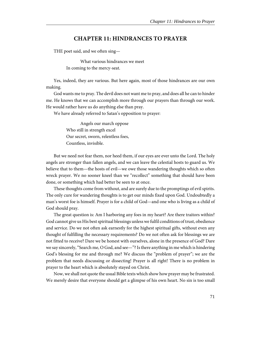## **CHAPTER 11: HINDRANCES TO PRAYER**

THE poet said, and we often sing—

What various hindrances we meet In coming to the mercy-seat.

Yes, indeed, they are various. But here again, most of those hindrances are our own making.

God wants me to pray. The devil does not want me to pray, and does all he can to hinder me. He knows that we can accomplish more through our prayers than through our work. He would rather have us do anything else than pray.

We have already referred to Satan's opposition to prayer:

Angels our march oppose Who still in strength excel Our secret, sworn, relentless foes, Countless, invisible.

But we need not fear them, nor heed them, if our eyes are ever unto the Lord. The holy angels are stronger than fallen angels, and we can leave the celestial hosts to guard us. We believe that to them—the hosts of evil—we owe those wandering thoughts which so often wreck prayer. We no sooner kneel than we "recollect" something that should have been done, or something which had better be seen to at once.

These thoughts come from without, and are surely due to the promptings of evil spirits. The only cure for wandering thoughts is to get our minds fixed upon God. Undoubtedly a man's worst foe is himself. Prayer is for a child of God—and one who is living as a child of God should pray.

The great question is: Am I harboring any foes in my heart? Are there traitors within? God cannot give us His best spiritual blessings unless we fulfil conditions of trust, obedience and service. Do we not often ask earnestly for the highest spiritual gifts, without even any thought of fulfilling the necessary requirements? Do we not often ask for blessings we are not fitted to receive? Dare we be honest with ourselves, alone in the presence of God? Dare we say sincerely, "Search me, O God, and see—"? Is there anything in me which is hindering God's blessing for me and through me? We discuss the "problem of prayer"; we are the problem that needs discussing or dissecting! Prayer is all right! There is no problem in prayer to the heart which is absolutely stayed on Christ.

Now, we shall not quote the usual Bible texts which show how prayer may be frustrated. We merely desire that everyone should get a glimpse of his own heart. No sin is too small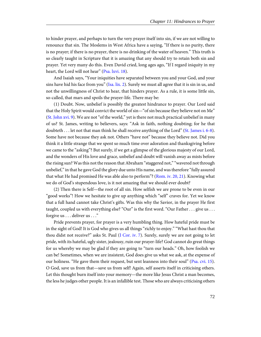to hinder prayer, and perhaps to turn the very prayer itself into sin, if we are not willing to renounce that sin. The Moslems in West Africa have a saying, "If there is no purity, there is no prayer; if there is no prayer, there is no drinking of the water of heaven." This truth is so clearly taught in Scripture that it is amazing that any should try to retain both sin and prayer. Yet very many do this. Even David cried, long ages ago, "If I regard iniquity in my heart, the Lord will not hear" [\(Psa. lxvi. 18\)](http://www.ccel.org/study/Bible:Ps.66.18).

<span id="page-75-2"></span><span id="page-75-0"></span>And Isaiah says, "Your iniquities have separated between you and your God, and your sins have hid his face from you" ([Isa. lix. 2\)](http://www.ccel.org/study/Bible:Isa.59.2). Surely we must all agree that it is sin in us, and not the unwillingness of Christ to hear, that hinders prayer. As a rule, it is some little sin, so-called, that mars and spoils the prayer-life. There may be:

<span id="page-75-6"></span><span id="page-75-3"></span>(1) Doubt. Now, unbelief is possibly the greatest hindrance to prayer. Our Lord said that the Holy Spirit would convict the world of sin—"of sin because they believe not on Me" ([St. John xvi. 9](http://www.ccel.org/study/Bible:John.16.9)). We are not "of the world," yet is there not much practical unbelief in many of us? St. James, writing to believers, says: "Ask in faith, nothing doubting; for he that doubteth . . . let not that man think he shall receive anything of the Lord" ([St. James i. 6-8\)](http://www.ccel.org/study/Bible:Jas.1.6-Jas.1.8). Some have not because they ask not. Others "have not" because they believe not. Did you think it a little strange that we spent so much time over adoration and thanksgiving before we came to the "asking"? But surely, if we get a glimpse of the glorious majesty of our Lord, and the wonders of His love and grace, unbelief and doubt will vanish away as mists before the rising sun? Was this not the reason that Abraham "staggered not," "wavered not through unbelief," in that he gave God the glory due unto His name, and was therefore "fully assured that what He had promised He was able also to perform"? ([Rom. iv. 20, 21\)](http://www.ccel.org/study/Bible:Rom.4.20-Rom.4.21). Knowing what we do of God's stupendous love, is it not amazing that we should ever doubt?

<span id="page-75-4"></span>(2) Then there is Self—the root of all sin. How selfish we are prone to be even in our "good works"! How we hesitate to give up anything which "self" craves for. Yet we know that a full hand cannot take Christ's gifts. Was this why the Savior, in the prayer He first taught, coupled us with everything else? "Our" is the first word. "Our Father . . . give us . . . forgive us . . . deliver us . . ."

<span id="page-75-5"></span><span id="page-75-1"></span>Pride prevents prayer, for prayer is a very humbling thing. How hateful pride must be in the sight of God! It is God who gives us all things "richly to enjoy." "What hast thou that thou didst not receive?" asks St. Paul ([I Cor. iv. 7\)](http://www.ccel.org/study/Bible:1Cor.4.7). Surely, surely we are not going to let pride, with its hateful, ugly sister, jealousy, ruin our prayer-life? God cannot do great things for us whereby we may be glad if they are going to "turn our heads." Oh, how foolish we can be! Sometimes, when we are insistent, God does give us what we ask, at the expense of our holiness. "He gave them their request, but sent leanness into their soul" ([Psa. cvi. 15\)](http://www.ccel.org/study/Bible:Ps.106.15). O God, save us from that—save us from self! Again, self asserts itself in criticising others. Let this thought burn itself into your memory—the more like Jesus Christ a man becomes, the less he judges other people. It is an infallible test. Those who are always criticising others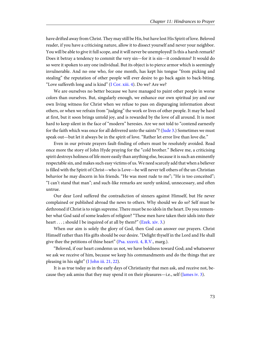have drifted away from Christ. They may still be His, but have lost His Spirit of love. Beloved reader, if you have a criticising nature, allow it to dissect yourself and never your neighbor. You will be able to give it full scope, and it will never be unemployed! Is this a harsh remark? Does it betray a tendency to commit the very sin—for it is sin—it condemns? It would do so were it spoken to any one individual. But its object is to pierce armor which is seemingly invulnerable. And no one who, for one month, has kept his tongue "from picking and stealing" the reputation of other people will ever desire to go back again to back-biting. "Love suffereth long and is kind" [\(I Cor. xiii. 4\)](http://www.ccel.org/study/Bible:1Cor.13.4). Do we? Are we?

<span id="page-76-5"></span><span id="page-76-2"></span>We are ourselves no better because we have managed to paint other people in worse colors than ourselves. But, singularly enough, we enhance our own spiritual joy and our own living witness for Christ when we refuse to pass on disparaging information about others, or when we refrain from "judging" the work or lives of other people. It may be hard at first, but it soon brings untold joy, and is rewarded by the love of all around. It is most hard to keep silent in the face of "modern" heresies. Are we not told to "contend earnestly for the faith which was once for all delivered unto the saints"? [\(Jude 3](http://www.ccel.org/study/Bible:Jude.1.3).) Sometimes we must speak out—but let it always be in the spirit of love. "Rather let error live than love die."

Even in our private prayers fault-finding of others must be resolutely avoided. Read once more the story of John Hyde praying for the "cold brother." Believe me, a criticising spirit destroys holiness of life more easily than anything else, because it is such an eminently respectable sin, and makes such easy victims of us. We need scarcely add that when a believer is filled with the Spirit of Christ—who is Love—he will never tell others of the un-Christian behavior he may discern in his friends. "He was most rude to me"; "He is too conceited"; "I can't stand that man"; and such-like remarks are surely unkind, unnecessary, and often untrue.

<span id="page-76-1"></span>Our dear Lord suffered the contradiction of sinners against Himself, but He never complained or published abroad the news to others. Why should we do so? Self must be dethroned if Christ is to reign supreme. There must be no idols in the heart. Do you remember what God said of some leaders of religion? "These men have taken their idols into their heart . . .; should I be inquired of at all by them?" [\(Ezek. xiv. 3.](http://www.ccel.org/study/Bible:Ezek.14.3))

<span id="page-76-4"></span><span id="page-76-0"></span>When our aim is solely the glory of God, then God can answer our prayers. Christ Himself rather than His gifts should be our desire. "Delight thyself in the Lord and He shall give thee the petitions of thine heart" ( $P$ sa. xxxvii. 4, R.V., marg.).

<span id="page-76-3"></span>"Beloved, if our heart condemn us not, we have boldness toward God; and whatsoever we ask we receive of him, because we keep his commandments and do the things that are pleasing in his sight" ([I John iii. 21, 22](http://www.ccel.org/study/Bible:1John.3.21-1John.3.22)).

It is as true today as in the early days of Christianity that men ask, and receive not, because they ask amiss that they may spend it on their pleasures—i.e., self ([James iv. 3\)](http://www.ccel.org/study/Bible:Jas.4.3).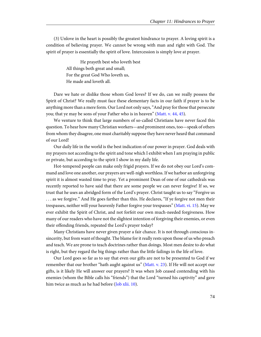(3) Unlove in the heart is possibly the greatest hindrance to prayer. A loving spirit is a condition of believing prayer. We cannot be wrong with man and right with God. The spirit of prayer is essentially the spirit of love. Intercession is simply love at prayer.

> He prayeth best who loveth best All things both great and small; For the great God Who loveth us, He made and loveth all.

<span id="page-77-2"></span>Dare we hate or dislike those whom God loves? If we do, can we really possess the Spirit of Christ? We really must face these elementary facts in our faith if prayer is to be anything more than a mere form. Our Lord not only says, "And pray for those that persecute you; that ye may be sons of your Father who is in heaven" ([Matt. v. 44, 45](http://www.ccel.org/study/Bible:Matt.5.44-Matt.5.45)).

We venture to think that large numbers of so-called Christians have never faced this question. To hear how many Christian workers—and prominent ones, too—speak of others from whom they disagree, one must charitably suppose they have never heard that command of our Lord!

Our daily life in the world is the best indication of our power in prayer. God deals with my prayers not according to the spirit and tone which I exhibit when I am praying in public or private, but according to the spirit I show in my daily life.

<span id="page-77-3"></span>Hot-tempered people can make only frigid prayers. If we do not obey our Lord's command and love one another, our prayers are well-nigh worthless. If we harbor an unforgiving spirit it is almost wasted time to pray. Yet a prominent Dean of one of our cathedrals was recently reported to have said that there are some people we can never forgive! If so, we trust that he uses an abridged form of the Lord's prayer. Christ taught us to say "Forgive us . . . as we forgive." And He goes farther than this. He declares, "If ye forgive not men their trespasses, neither will your heavenly Father forgive your trespasses" [\(Matt. vi. 15\)](http://www.ccel.org/study/Bible:Matt.6.15). May we ever exhibit the Spirit of Christ, and not forfeit our own much-needed forgiveness. How many of our readers who have not the slightest intention of forgiving their enemies, or even their offending friends, repeated the Lord's prayer today?

<span id="page-77-1"></span>Many Christians have never given prayer a fair chance. It is not through conscious insincerity, but from want of thought. The blame for it really rests upon those of us who preach and teach. We are prone to teach doctrines rather than doings. Most men desire to do what is right, but they regard the big things rather than the little failings in the life of love.

<span id="page-77-0"></span>Our Lord goes so far as to say that even our gifts are not to be presented to God if we remember that our brother "hath aught against us" ([Matt. v. 23](http://www.ccel.org/study/Bible:Matt.5.23)). If He will not accept our gifts, is it likely He will answer our prayers? It was when Job ceased contending with his enemies (whom the Bible calls his "friends") that the Lord "turned his captivity" and gave him twice as much as he had before ([Job xlii. 10\)](http://www.ccel.org/study/Bible:Job.42.10).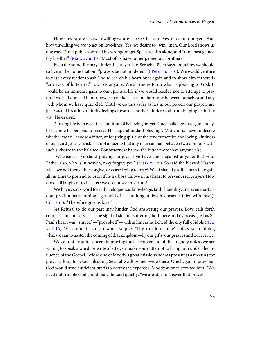<span id="page-78-0"></span>How slow we are—how unwilling we are—to see that our lives hinder our prayers! And how unwilling we are to act on love-lines. Yes, we desire to "win" men. Our Lord shows us one way. Don't publish abroad his wrongdoings. Speak to him alone, and "thou hast gained thy brother" ([Matt. xviii. 15\)](http://www.ccel.org/study/Bible:Matt.18.15). Most of us have rather pained our brothers!

<span id="page-78-4"></span>Even the home-life may hinder the prayer-life. See what Peter says about how we should so live in the home that our "prayers be not hindered" ([I Peter iii. 1-10](http://www.ccel.org/study/Bible:1Pet.3.1-1Pet.3.10)). We would venture to urge every reader to ask God to search his heart once again and to show him if there is "any root of bitterness" towards anyone. We all desire to do what is pleasing to God. It would be an immense gain to our spiritual life if we would resolve not to attempt to pray until we had done all in our power to make peace and harmony between ourselves and any with whom we have quarreled. Until we do this as far as lies in our power, our prayers are just wasted breath. Unkindly feelings towards another hinder God from helping us in the way He desires.

A loving life is an essential condition of believing prayer. God challenges us again, today, to become fit persons to receive His superabundant blessings. Many of us have to decide whether we will choose a bitter, unforgiving spirit, or the tender mercies and loving-kindness of our Lord Jesus Christ. Is it not amazing that any man can halt between two opinions with such a choice in the balance? For bitterness harms the bitter more than anyone else.

<span id="page-78-1"></span>"Whensoever ye stand praying, forgive if ye have aught against anyone; that your Father also, who is in heaven, may forgive you" [\(Mark xi. 25](http://www.ccel.org/study/Bible:Mark.11.25)). So said the blessed Master. Must we not then either forgive, or cease trying to pray? What shall it profit a man if he gain all his time to pretend to pray, if he harbors unlove in his heart to prevent real prayer? How the devil laughs at us because we do not see this truth!

<span id="page-78-3"></span>We have God's word for it that eloquence, knowledge, faith, liberality, and even martyrdom profit a man nothing—get hold of it—nothing, unless his heart is filled with love [\(I](http://www.ccel.org/study/Bible:1Cor.13) [Cor. xiii.\)](http://www.ccel.org/study/Bible:1Cor.13). "Therefore give us love."

<span id="page-78-2"></span>(4) Refusal to do our part may hinder God answering our prayers. Love calls forth compassion and service at the sight of sin and suffering, both here and overseas. Just as St. Paul's heart was "stirred"—"provoked"—within him as he beheld the city full of idols [\(Acts](http://www.ccel.org/study/Bible:Acts.17.16) [xvii. 16](http://www.ccel.org/study/Bible:Acts.17.16)). We cannot be sincere when we pray "Thy kingdom come" unless we are doing what we can to hasten the coming of that kingdom—by our gifts, our prayers and our service.

We cannot be quite sincere in praying for the conversion of the ungodly unless we are willing to speak a word, or write a letter, or make some attempt to bring him under the influence of the Gospel. Before one of Moody's great missions he was present at a meeting for prayer asking for God's blessing. Several wealthy men were there. One began to pray that God would send sufficient funds to defray the expenses. Moody at once stopped him. "We need not trouble God about that," he said quietly, "we are able to answer that prayer!"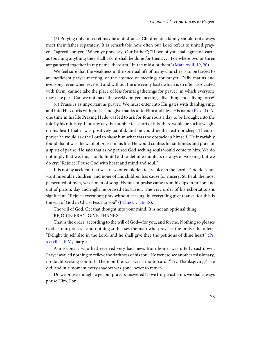(5) Praying only in secret may be a hindrance. Children of a family should not always meet their father separately. It is remarkable how often our Lord refers to united prayer—"agreed" prayer. "When ye pray, say, Our Father"; "If two of you shall agree on earth as touching anything they shall ask, it shall be done for them. . . . For where two or three are gathered together in my name, there am I in the midst of them" [\(Matt. xviii. 19, 20\)](http://www.ccel.org/study/Bible:Matt.18.19-Matt.18.20).

<span id="page-79-2"></span>We feel sure that the weakness in the spiritual life of many churches is to be traced to an inefficient prayer-meeting, or the absence of meetings for prayer. Daily matins and evensong, even when reverent and without the unseemly haste which is so often associated with them, cannot take the place of less formal gatherings for prayer, in which everyone may take part. Can we not make the weekly prayer-meeting a live thing and a living force?

<span id="page-79-1"></span>(6) Praise is as important as prayer. We must enter into His gates with thanksgiving, and into His courts with praise, and give thanks unto Him and bless His name (Ps.  $c$ . 4). At one time in his life Praying Hyde was led to ask for four souls a day to be brought into the fold by his ministry. If on any day the number fell short of this, there would be such a weight on his heart that it was positively painful, and he could neither eat nor sleep. Then. in prayer he would ask the Lord to show him what was the obstacle in himself. He invariably found that it was the want of praise in his life. He would confess his sinfulness and pray for a spirit of praise. He said that as he praised God seeking souls would come to him. We do not imply that we, too, should limit God to definite numbers or ways of working; but we do cry: "Rejoice! Praise God with heart and mind and soul."

<span id="page-79-3"></span>It is not by accident that we are so often bidden to "rejoice in the Lord." God does not want miserable children; and none of His children has cause for misery. St. Paul, the most persecuted of men, was a man of song. Hymns of praise came from his lips in prison and out of prison: day and night he praised His Savior. The very order of his exhortations is significant. "Rejoice evermore; pray without ceasing; in everything give thanks: for this is the will of God in Christ Jesus to you" [\(I Thess. v. 16-18\)](http://www.ccel.org/study/Bible:1Thess.5.16-1Thess.5.18).

<span id="page-79-0"></span>The will of God. Get that thought into your mind. It is not an optional thing. REJOICE: PRAY: GIVE THANKS

That is the order, according to the will of God—for you, and for me. Nothing so pleases God as our praises—and nothing so blesses the man who prays as the praises he offers! "Delight thyself also in the Lord; and he shall give thee the petitions of thine heart" [\(Ps.](http://www.ccel.org/study/Bible:Ps.37.4) [xxxvii. 4, R.V.](http://www.ccel.org/study/Bible:Ps.37.4), marg.).

A missionary who had received very bad news from home, was utterly cast down. Prayer availed nothing to relieve the darkness of his soul. He went to see another missionary, no doubt seeking comfort. There on the wall was a motto-card: "Try Thanksgiving!" He did; and in a moment every shadow was gone, never to return.

Do we praise enough to get our prayers answered? If we truly trust Him, we shall always praise Him. For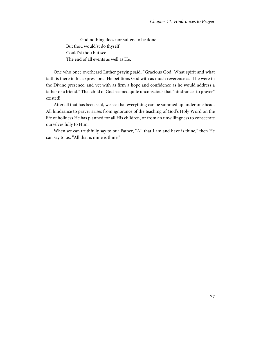God nothing does nor suffers to be done But thou would'st do thyself Could'st thou but see The end of all events as well as He.

One who once overheard Luther praying said, "Gracious God! What spirit and what faith is there in his expressions! He petitions God with as much reverence as if he were in the Divine presence, and yet with as firm a hope and confidence as he would address a father or a friend." That child of God seemed quite unconscious that "hindrances to prayer" existed!

After all that has been said, we see that everything can be summed up under one head. All hindrance to prayer arises from ignorance of the teaching of God's Holy Word on the life of holiness He has planned for all His children, or from an unwillingness to consecrate ourselves fully to Him.

When we can truthfully say to our Father, "All that I am and have is thine," then He can say to us, "All that is mine is thine."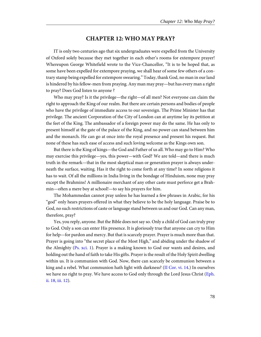## **CHAPTER 12: WHO MAY PRAY?**

IT is only two centuries ago that six undergraduates were expelled from the University of Oxford solely because they met together in each other's rooms for extempore prayer! Whereupon George Whitefield wrote to the Vice-Chancellor, "It is to be hoped that, as some have been expelled for extempore praying, we shall hear of some few others of a contrary stamp being expelled for extempore swearing." Today, thank God, no man in our land is hindered by his fellow-men from praying. Any man may pray—but has every man a right to pray? Does God listen to anyone ?

Who may pray? Is it the privilege—the right—of all men? Not everyone can claim the right to approach the King of our realm. But there are certain persons and bodies of people who have the privilege of immediate access to our sovereign. The Prime Minister has that privilege. The ancient Corporation of the City of London can at anytime lay its petition at the feet of the King. The ambassador of a foreign power may do the same. He has only to present himself at the gate of the palace of the King, and no power can stand between him and the monarch. He can go at once into the royal presence and present his request. But none of these has such ease of access and such loving welcome as the Kings own son.

But there is the King of kings—the God and Father of us all. Who may go to Him? Who may exercise this privilege—yes, this power—with God? We are told—and there is much truth in the remark—that in the most skeptical man or generation prayer is always underneath the surface, waiting. Has it the right to come forth at any time? In some religions it has to wait. Of all the millions in India living in the bondage of Hinduism, none may pray except the Brahmins! A millionaire merchant of any other caste must perforce get a Brahmin—often a mere boy at school!—to say his prayers for him.

The Mohammedan cannot pray unless he has learned a few phrases in Arabic, for his "god" only hears prayers offered in what they believe to be the holy language. Praise be to God, no such restrictions of caste or language stand between us and our God. Can any man, therefore, pray?

<span id="page-81-2"></span><span id="page-81-1"></span><span id="page-81-0"></span>Yes, you reply, anyone. But the Bible does not say so. Only a child of God can truly pray to God. Only a son can enter His presence. It is gloriously true that anyone can cry to Him for help—for pardon and mercy. But that is scarcely prayer. Prayer is much more than that. Prayer is going into "the secret place of the Most High," and abiding under the shadow of the Almighty [\(Ps. xci. 1\)](http://www.ccel.org/study/Bible:Ps.91.1). Prayer is a making known to God our wants and desires, and holding out the hand of faith to take His gifts. Prayer is the result of the Holy Spirit dwelling within us. It is communion with God. Now, there can scarcely be communion between a king and a rebel. What communion hath light with darkness? ([II Cor. vi. 14.](http://www.ccel.org/study/Bible:2Cor.6.14)) In ourselves we have no right to pray. We have access to God only through the Lord Jesus Christ ([Eph.](http://www.ccel.org/study/Bible:Eph.3.18 Bible:Eph.2.12) [ii. 18, iii. 12\)](http://www.ccel.org/study/Bible:Eph.3.18 Bible:Eph.2.12).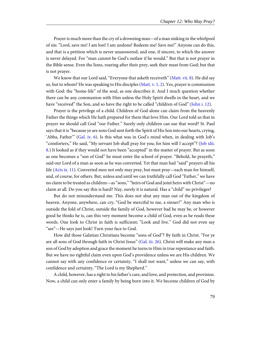Prayer is much more than the cry of a drowning man—of a man sinking in the whirlpool of sin: "Lord, save me! I am lost! I am undone! Redeem me! Save me!" Anyone can do this, and that is a petition which is never unanswered, and one, if sincere, to which the answer is never delayed. For "man cannot be God's outlaw if he would." But that is not prayer in the Bible sense. Even the lions, roaring after their prey, seek their meat from God; but that is not prayer.

<span id="page-82-3"></span><span id="page-82-2"></span><span id="page-82-1"></span>We know that our Lord said, "Everyone that asketh receiveth" [\(Matt. vii. 8\)](http://www.ccel.org/study/Bible:Matt.7.8). He did say so, but to whom? He was speaking to His disciples ([Matt. v. 1, 2](http://www.ccel.org/study/Bible:Matt.5.1-Matt.5.2)). Yes, prayer is communion with God: the "home-life" of the soul, as one describes it. And I much question whether there can be any communion with Him unless the Holy Spirit dwells in the heart, and we have "received" the Son, and so have the right to be called "children of God" ([John i. 12](http://www.ccel.org/study/Bible:John.1.12)).

<span id="page-82-6"></span><span id="page-82-4"></span><span id="page-82-0"></span>Prayer is the privilege of a child. Children of God alone can claim from the heavenly Father the things which He hath prepared for them that love Him. Our Lord told us that in prayer we should call God "our Father." Surely only children can use that word? St. Paul says that it is "because ye are sons God sent forth the Spirit of His Son into our hearts, crying, 'Abba, Father'" [\(Gal. iv. 6](http://www.ccel.org/study/Bible:Gal.4.6)). Is this what was in God's mind when, in dealing with Job's "comforters," He said, "My servant Job shall pray for you; for him will I accept"? [\(Job xlii.](http://www.ccel.org/study/Bible:Job.42.8) [8](http://www.ccel.org/study/Bible:Job.42.8).) It looked as if they would not have been "accepted" in the matter of prayer. But as soon as one becomes a "son of God" he must enter the school of prayer. "Behold, he prayeth," said our Lord of a man as soon as he was converted. Yet that man had "said" prayers all his life ([Acts ix. 11](http://www.ccel.org/study/Bible:Acts.9.11)). Converted men not only may pray, but must pray—each man for himself, and, of course, for others. But, unless and until we can truthfully call God "Father," we have no claim to be treated as children—as "sons," "heirs of God and joint heirs with Christ"—no claim at all. Do you say this is hard? Nay, surely it is natural. Has a "child" no privileges?

But do not misunderstand me. This does not shut any man out of the kingdom of heaven. Anyone, anywhere, can cry, "God be merciful to me, a sinner!" Any man who is outside the fold of Christ, outside the family of God, however bad he may be, or however good he thinks he is, can this very moment become a child of God, even as he reads these words. One look to Christ in faith is sufficient; "Look and live." God did not even say "see"—He says just look! Turn your face to God.

<span id="page-82-5"></span>How did those Galatian Christians become "sons of God"? By faith in Christ. "For ye are all sons of God through faith in Christ Jesus" ([Gal. iii. 26\)](http://www.ccel.org/study/Bible:Gal.3.26). Christ will make any man a son of God by adoption and grace the moment he turns to Him in true repentance and faith. But we have no rightful claim even upon God's providence unless we are His children. We cannot say with any confidence or certainty, "I shall not want," unless we can say, with confidence and certainty, "The Lord is my Shepherd."

A child, however, has a right to his father's care, and love, and protection, and provision. Now, a child can only enter a family by being born into it. We become children of God by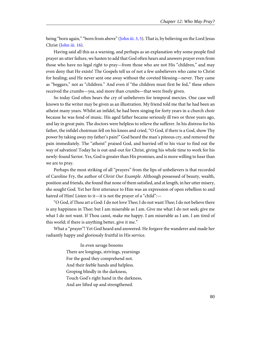<span id="page-83-1"></span><span id="page-83-0"></span>being "born again," "born from above" ([John iii. 3, 5\)](http://www.ccel.org/study/Bible:John.3.3 Bible:John.3.5). That is, by believing on the Lord Jesus Christ ([John iii. 16\)](http://www.ccel.org/study/Bible:John.3.16).

Having said all this as a warning, and perhaps as an explanation why some people find prayer an utter failure, we hasten to add that God often hears and answers prayer even from those who have no legal right to pray—from those who are not His "children," and may even deny that He exists! The Gospels tell us of not a few unbelievers who came to Christ for healing; and He never sent one away without the coveted blessing—never. They came as "beggars," not as "children." And even if "the children must first be fed," these others received the crumbs—yea, and more than crumbs—that were freely given.

So today God often hears the cry of unbelievers for temporal mercies. One case well known to the writer may be given as an illustration. My friend told me that he had been an atheist many years. Whilst an infidel, he had been singing for forty years in a church choir because he was fond of music. His aged father became seriously ill two or three years ago, and lay in great pain. The doctors were helpless to relieve the sufferer. In his distress for his father, the infidel choirman fell on his knees and cried, "O God, if there is a God, show Thy power by taking away my father's pain!" God heard the man's piteous cry, and removed the pain immediately. The "atheist" praised God, and hurried off to his vicar to find out the way of salvation! Today he is out-and-out for Christ, giving his whole time to work for his newly-found Savior. Yes, God is greater than His promises, and is more willing to hear than we are to pray.

Perhaps the most striking of all "prayers" from the lips of unbelievers is that recorded of Caroline Fry, the author of Christ Our Example. Although possessed of beauty, wealth, position and friends, she found that none of them satisfied, and at length, in her utter misery, she sought God. Yet her first utterance to Him was an expression of open rebellion to and hatred of Him! Listen to it—it is not the prayer of a "child":—

"O God, if Thou art a God: I do not love Thee; I do not want Thee; I do not believe there is any happiness in Thee: but I am miserable as I am. Give me what I do not seek; give me what I do not want. If Thou canst, make me happy. I am miserable as I am. I am tired of this world; if there is anything better, give it me."

What a "prayer"! Yet God heard and answered. He forgave the wanderer and made her radiantly happy and gloriously fruitful in His service.

> In even savage bosoms There are longings, strivings, yearnings For the good they comprehend not. And their feeble hands and helpless. Groping blindly in the darkness, Touch God's right hand in the darkness, And are lifted up and strengthened.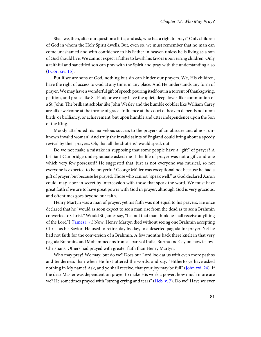Shall we, then, alter our question a little, and ask, who has a right to pray?" Only children of God in whom the Holy Spirit dwells. But, even so, we must remember that no man can come unashamed and with confidence to his Father in heaven unless he is living as a son of God should live. We cannot expect a father to lavish his favors upon erring children. Only a faithful and sanctified son can pray with the Spirit and pray with the understanding also ([I Cor. xiv. 15\)](http://www.ccel.org/study/Bible:1Cor.14.15).

<span id="page-84-1"></span>But if we are sons of God, nothing but sin can hinder our prayers. We, His children, have the right of access to God at any time, in any place. And He understands any form of prayer. We may have a wonderful gift of speech pouring itself out in a torrent of thanksgiving, petition, and praise like St. Paul; or we may have the quiet, deep, lover-like communion of a St. John. The brilliant scholar like John Wesley and the humble cobbler like William Carey are alike welcome at the throne of grace. Influence at the court of heaven depends not upon birth, or brilliancy, or achievement, but upon humble and utter independence upon the Son of the King.

Moody attributed his marvelous success to the prayers of an obscure and almost unknown invalid woman! And truly the invalid saints of England could bring about a speedy revival by their prayers. Oh, that all the shut-ins" would speak out!

Do we not make a mistake in supposing that some people have a "gift" of prayer? A brilliant Cambridge undergraduate asked me if the life of prayer was not a gift, and one which very few possessed? He suggested that, just as not everyone was musical, so not everyone is expected to be prayerful! George Müller was exceptional not because he had a gift of prayer, but because he prayed. Those who cannot "speak well," as God declared Aaron could, may labor in secret by intercession with those that speak the word. We must have great faith if we are to have great power with God in prayer, although God is very gracious, and oftentimes goes beyond our faith.

<span id="page-84-3"></span>Henry Martyn was a man of prayer, yet his faith was not equal to his prayers. He once declared that he "would as soon expect to see a man rise from the dead as to see a Brahmin converted to Christ." Would St. James say, "Let not that man think he shall receive anything of the Lord"? ([James i. 7.](http://www.ccel.org/study/Bible:Jas.1.7)) Now, Henry Martyn died without seeing one Brahmin accepting Christ as his Savior. He used to retire, day by day, to a deserted pagoda for prayer. Yet he had not faith for the conversion of a Brahmin. A few months back there knelt in that very pagoda Brahmins and Mohammedans from all parts of India, Burma and Ceylon, now fellow-Christians. Others had prayed with greater faith than Henry Martyn.

<span id="page-84-2"></span><span id="page-84-0"></span>Who may pray? We may; but do we? Does our Lord look at us with even more pathos and tenderness than when He first uttered the words, and say, "Hitherto ye have asked nothing in My name? Ask, and ye shall receive, that your joy may be full" ([John xvi. 24](http://www.ccel.org/study/Bible:John.16.24)). If the dear Master was dependent on prayer to make His work a power, how much more are we? He sometimes prayed with "strong crying and tears" ([Heb. v. 7\)](http://www.ccel.org/study/Bible:Heb.5.7). Do we? Have we ever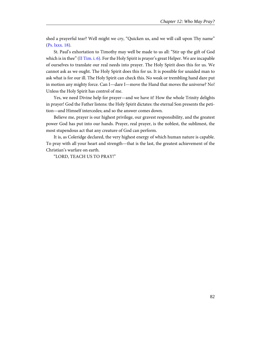<span id="page-85-0"></span>shed a prayerful tear? Well might we cry, "Quicken us, and we will call upon Thy name" ([Ps. lxxx. 18\)](http://www.ccel.org/study/Bible:Ps.80.18).

<span id="page-85-1"></span>St. Paul's exhortation to Timothy may well be made to us all: "Stir up the gift of God which is in thee" ([II Tim. i. 6\)](http://www.ccel.org/study/Bible:2Tim.1.6). For the Holy Spirit is prayer's great Helper. We are incapable of ourselves to translate our real needs into prayer. The Holy Spirit does this for us. We cannot ask as we ought. The Holy Spirit does this for us. It is possible for unaided man to ask what is for our ill. The Holy Spirit can check this. No weak or trembling hand dare put in motion any mighty force. Can I—dare I—move the Hand that moves the universe? No! Unless the Holy Spirit has control of me.

Yes, we need Divine help for prayer—and we have it! How the whole Trinity delights in prayer! God the Father listens: the Holy Spirit dictates: the eternal Son presents the petition—and Himself intercedes; and so the answer comes down.

Believe me, prayer is our highest privilege, our gravest responsibility, and the greatest power God has put into our hands. Prayer, real prayer, is the noblest, the sublimest, the most stupendous act that any creature of God can perform.

It is, as Coleridge declared, the very highest energy of which human nature is capable. To pray with all your heart and strength—that is the last, the greatest achievement of the Christian's warfare on earth.

"LORD, TEACH US TO PRAY!"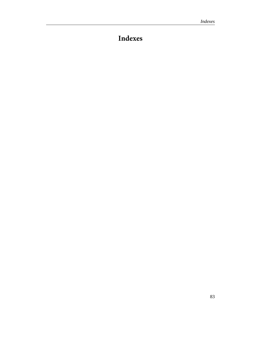## **Indexes**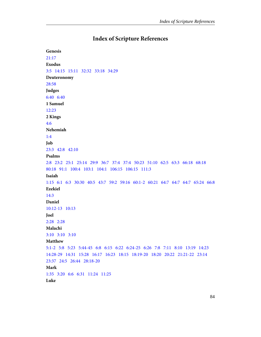## **Index of Scripture References**

```
Genesis
21:17
Exodus
3:5   14:15   15:11   32:32   33:18   34:29
Deuteronomy
28:58
Judges
6:40   6:40
1 Samuel
12:23
2 Kings
4:6
Nehemiah
1:4
Job
23:3   42:8   42:10
Psalms
2:8   23:2   25:1   25:14   29:9   36:7   37:4   37:4   50:23   51:10   62:5   63:3   66:18   68:18  
80:18   91:1   100:4   103:1   104:1   106:15   106:15   111:3
Isaiah
1:15   6:1   6:3   30:30   40:5   43:7   59:2   59:16   60:1-2   60:21   64:7   64:7   64:7   65:24   66:8
Ezekiel
14:3
Daniel
10:12-13   10:13
Joel
2:28   2:28
Malachi
3:10   3:10   3:10
Matthew
5:1-2   5:8   5:23   5:44-45   6:8   6:15   6:22   6:24-25   6:26   7:8   7:11   8:10   13:19   14:23  
14:28-29   14:31   15:28   16:17   16:23   18:15   18:19-20   18:20   20:22   21:21-22   23:14  
23:37   24:5   26:44   28:18-20
Mark
1:35   3:20   6:6   6:31   11:24   11:25
Luke
```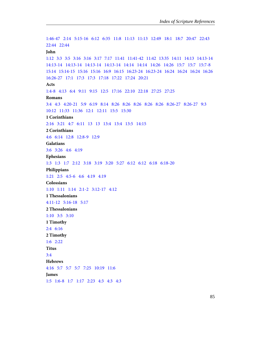```
1:46-47   2:14   5:15-16   6:12   6:35   11:8   11:13   11:13   12:49   18:1   18:7   20:47   22:43  
22:44   22:44
John
1:12   3:3   3:5   3:16   3:16   3:17   7:17   11:41   11:41-42   11:42   13:35   14:11   14:13   14:13-14  
14:13-14   14:13-14   14:13-14   14:13-14   14:14   14:14   14:26   14:26   15:7   15:7   15:7-8  
15:14   15:14-15   15:16   15:16   16:9   16:15   16:23-24   16:23-24   16:24   16:24   16:24   16:26  
16:26-27   17:1   17:3   17:3   17:18   17:22   17:24   20:21
Acts
1:4-8   4:13   6:4   9:11   9:15   12:5   17:16   22:10   22:18   27:25   27:25
Romans
3:4   4:3   4:20-21   5:9   6:19   8:14   8:26   8:26   8:26   8:26   8:26   8:26-27   8:26-27   9:3  
10:12   11:33   11:36   12:1   12:11   15:5   15:30
1 Corinthians
2:16   3:21   4:7   6:11   13   13   13:4   13:4   13:5   14:15
2 Corinthians
4:6   6:14   12:8   12:8-9   12:9
Galatians
3:6   3:26   4:6   4:19
Ephesians
1:3   1:3   1:7   2:12   3:18   3:19   3:20   5:27   6:12   6:12   6:18   6:18-20
Philippians
1:21   2:5   4:5-6   4:6   4:19   4:19
Colossians
1:10   1:11   1:14   2:1-2   3:12-17   4:12
1 Thessalonians
4:11-12   5:16-18   5:17
2 Thessalonians
1:10   3:5   3:10
1 Timothy
2:4   6:16
2 Timothy
1:6   2:22
Titus
3:4
Hebrews
4:16   5:7   5:7   5:7   7:25   10:19   11:6
James
1:5   1:6-8   1:7   1:17   2:23   4:3   4:3   4:3
```